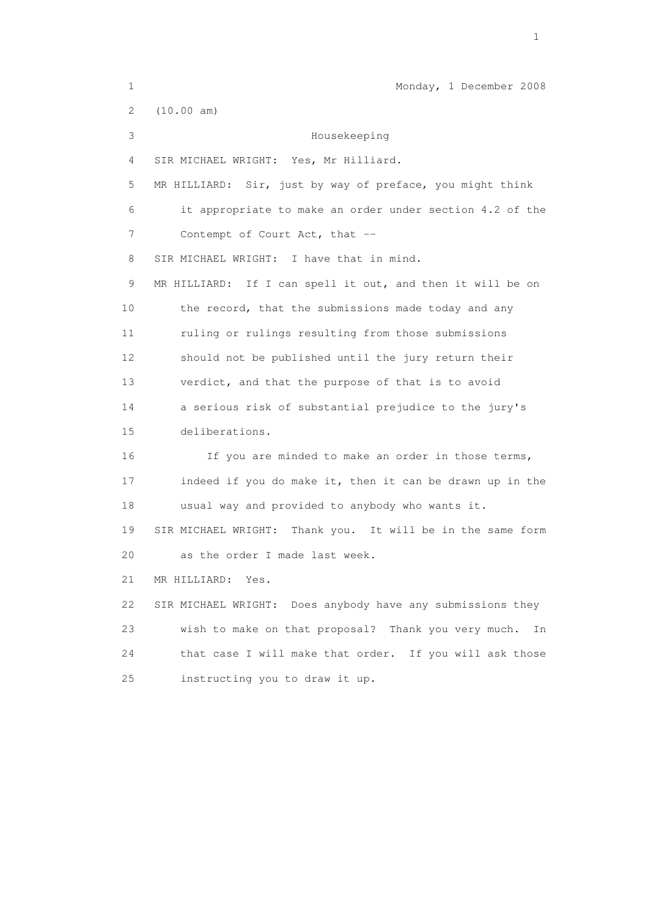1 Monday, 1 December 2008 2 (10.00 am) 3 Housekeeping 4 SIR MICHAEL WRIGHT: Yes, Mr Hilliard. 5 MR HILLIARD: Sir, just by way of preface, you might think 6 it appropriate to make an order under section 4.2 of the 7 Contempt of Court Act, that --8 SIR MICHAEL WRIGHT: I have that in mind. 9 MR HILLIARD: If I can spell it out, and then it will be on 10 the record, that the submissions made today and any 11 ruling or rulings resulting from those submissions 12 should not be published until the jury return their 13 verdict, and that the purpose of that is to avoid 14 a serious risk of substantial prejudice to the jury's 15 deliberations. 16 If you are minded to make an order in those terms, 17 indeed if you do make it, then it can be drawn up in the 18 usual way and provided to anybody who wants it. 19 SIR MICHAEL WRIGHT: Thank you. It will be in the same form 20 as the order I made last week. 21 MR HILLIARD: Yes. 22 SIR MICHAEL WRIGHT: Does anybody have any submissions they 23 wish to make on that proposal? Thank you very much. In 24 that case I will make that order. If you will ask those 25 instructing you to draw it up.

the contract of the contract of the contract of the contract of the contract of the contract of the contract of the contract of the contract of the contract of the contract of the contract of the contract of the contract o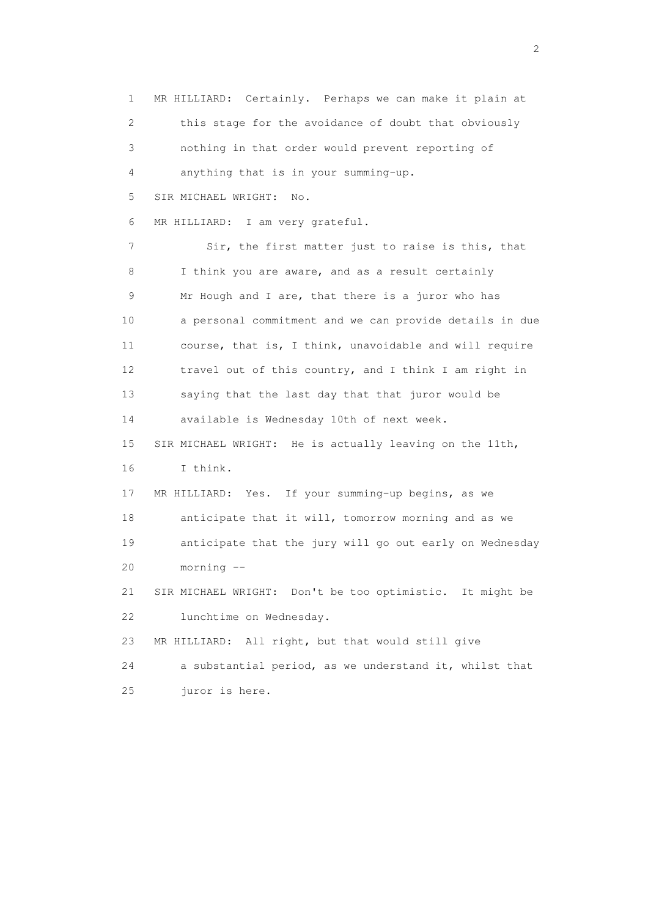1 MR HILLIARD: Certainly. Perhaps we can make it plain at 2 this stage for the avoidance of doubt that obviously 3 nothing in that order would prevent reporting of 4 anything that is in your summing-up. 5 SIR MICHAEL WRIGHT: No. 6 MR HILLIARD: I am very grateful. 7 Sir, the first matter just to raise is this, that 8 I think you are aware, and as a result certainly 9 Mr Hough and I are, that there is a juror who has 10 a personal commitment and we can provide details in due 11 course, that is, I think, unavoidable and will require 12 travel out of this country, and I think I am right in 13 saying that the last day that that juror would be 14 available is Wednesday 10th of next week. 15 SIR MICHAEL WRIGHT: He is actually leaving on the 11th, 16 I think. 17 MR HILLIARD: Yes. If your summing-up begins, as we 18 anticipate that it will, tomorrow morning and as we 19 anticipate that the jury will go out early on Wednesday 20 morning -- 21 SIR MICHAEL WRIGHT: Don't be too optimistic. It might be 22 lunchtime on Wednesday. 23 MR HILLIARD: All right, but that would still give 24 a substantial period, as we understand it, whilst that 25 juror is here.

 $\overline{2}$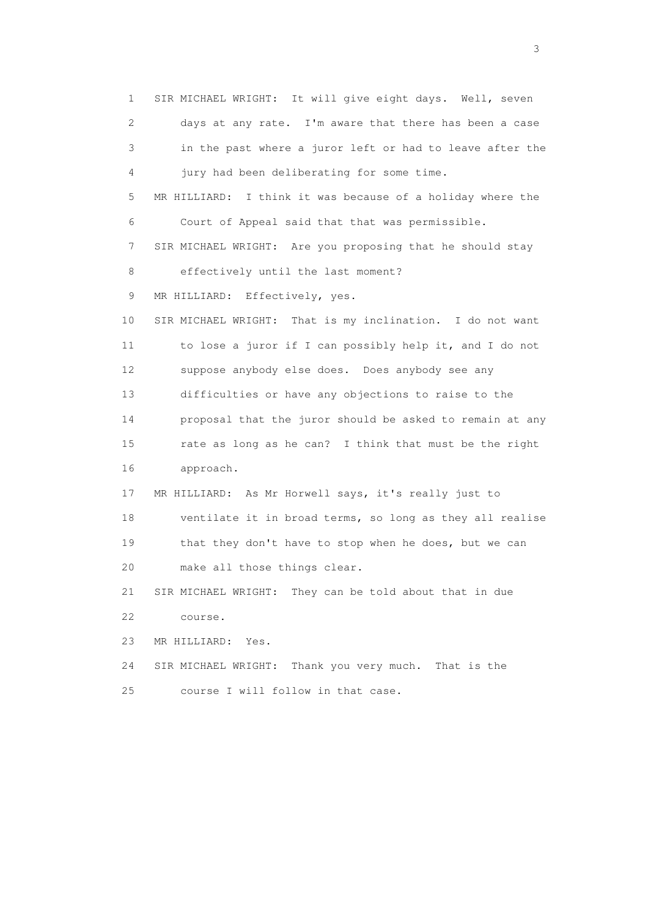1 SIR MICHAEL WRIGHT: It will give eight days. Well, seven 2 days at any rate. I'm aware that there has been a case 3 in the past where a juror left or had to leave after the 4 jury had been deliberating for some time. 5 MR HILLIARD: I think it was because of a holiday where the 6 Court of Appeal said that that was permissible. 7 SIR MICHAEL WRIGHT: Are you proposing that he should stay 8 effectively until the last moment? 9 MR HILLIARD: Effectively, yes. 10 SIR MICHAEL WRIGHT: That is my inclination. I do not want 11 to lose a juror if I can possibly help it, and I do not 12 suppose anybody else does. Does anybody see any 13 difficulties or have any objections to raise to the 14 proposal that the juror should be asked to remain at any 15 rate as long as he can? I think that must be the right 16 approach. 17 MR HILLIARD: As Mr Horwell says, it's really just to 18 ventilate it in broad terms, so long as they all realise 19 that they don't have to stop when he does, but we can 20 make all those things clear. 21 SIR MICHAEL WRIGHT: They can be told about that in due 22 course. 23 MR HILLIARD: Yes. 24 SIR MICHAEL WRIGHT: Thank you very much. That is the 25 course I will follow in that case.

 $\sim$  3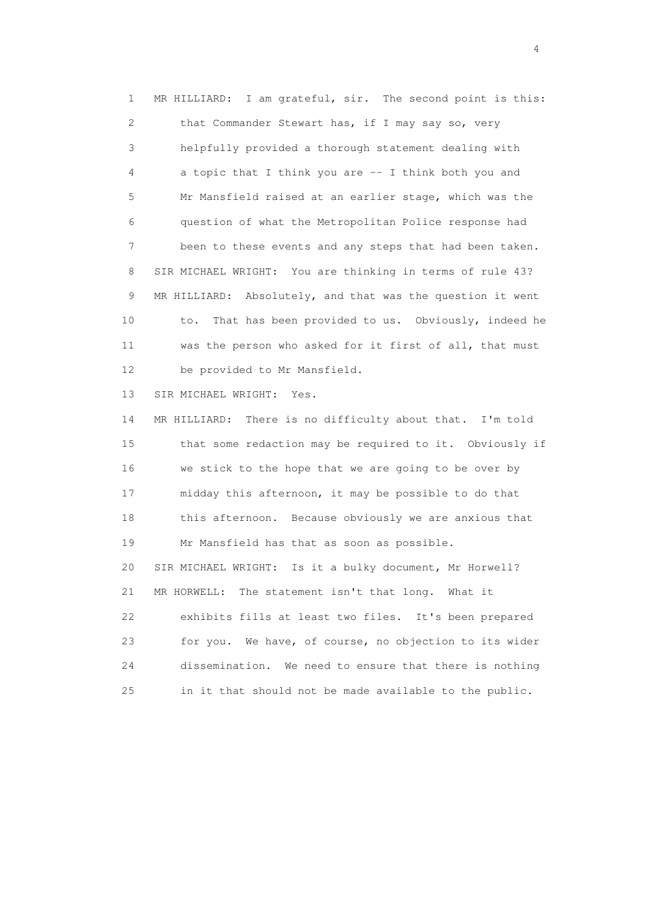1 MR HILLIARD: I am grateful, sir. The second point is this: 2 that Commander Stewart has, if I may say so, very 3 helpfully provided a thorough statement dealing with 4 a topic that I think you are -- I think both you and 5 Mr Mansfield raised at an earlier stage, which was the 6 question of what the Metropolitan Police response had 7 been to these events and any steps that had been taken. 8 SIR MICHAEL WRIGHT: You are thinking in terms of rule 43? 9 MR HILLIARD: Absolutely, and that was the question it went 10 to. That has been provided to us. Obviously, indeed he 11 was the person who asked for it first of all, that must 12 be provided to Mr Mansfield.

13 SIR MICHAEL WRIGHT: Yes.

 14 MR HILLIARD: There is no difficulty about that. I'm told 15 that some redaction may be required to it. Obviously if 16 we stick to the hope that we are going to be over by 17 midday this afternoon, it may be possible to do that 18 this afternoon. Because obviously we are anxious that 19 Mr Mansfield has that as soon as possible. 20 SIR MICHAEL WRIGHT: Is it a bulky document, Mr Horwell? 21 MR HORWELL: The statement isn't that long. What it 22 exhibits fills at least two files. It's been prepared 23 for you. We have, of course, no objection to its wider 24 dissemination. We need to ensure that there is nothing 25 in it that should not be made available to the public.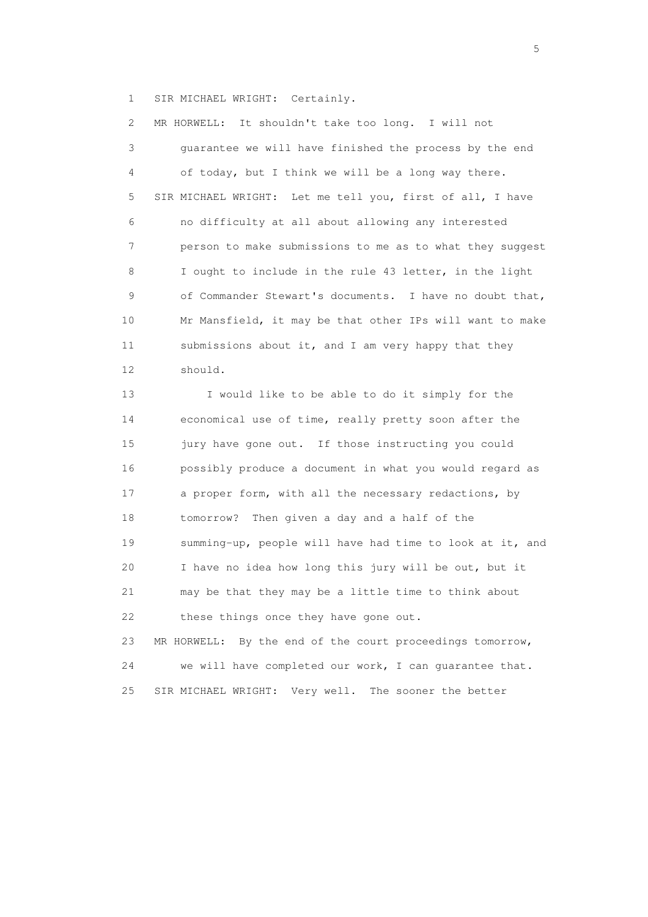1 SIR MICHAEL WRIGHT: Certainly.

 2 MR HORWELL: It shouldn't take too long. I will not 3 guarantee we will have finished the process by the end 4 of today, but I think we will be a long way there. 5 SIR MICHAEL WRIGHT: Let me tell you, first of all, I have 6 no difficulty at all about allowing any interested 7 person to make submissions to me as to what they suggest 8 I ought to include in the rule 43 letter, in the light 9 of Commander Stewart's documents. I have no doubt that, 10 Mr Mansfield, it may be that other IPs will want to make 11 submissions about it, and I am very happy that they 12 should.

 13 I would like to be able to do it simply for the 14 economical use of time, really pretty soon after the 15 jury have gone out. If those instructing you could 16 possibly produce a document in what you would regard as 17 a proper form, with all the necessary redactions, by 18 tomorrow? Then given a day and a half of the 19 summing-up, people will have had time to look at it, and 20 I have no idea how long this jury will be out, but it 21 may be that they may be a little time to think about 22 these things once they have gone out.

 23 MR HORWELL: By the end of the court proceedings tomorrow, 24 we will have completed our work, I can guarantee that. 25 SIR MICHAEL WRIGHT: Very well. The sooner the better

 $\sim$  5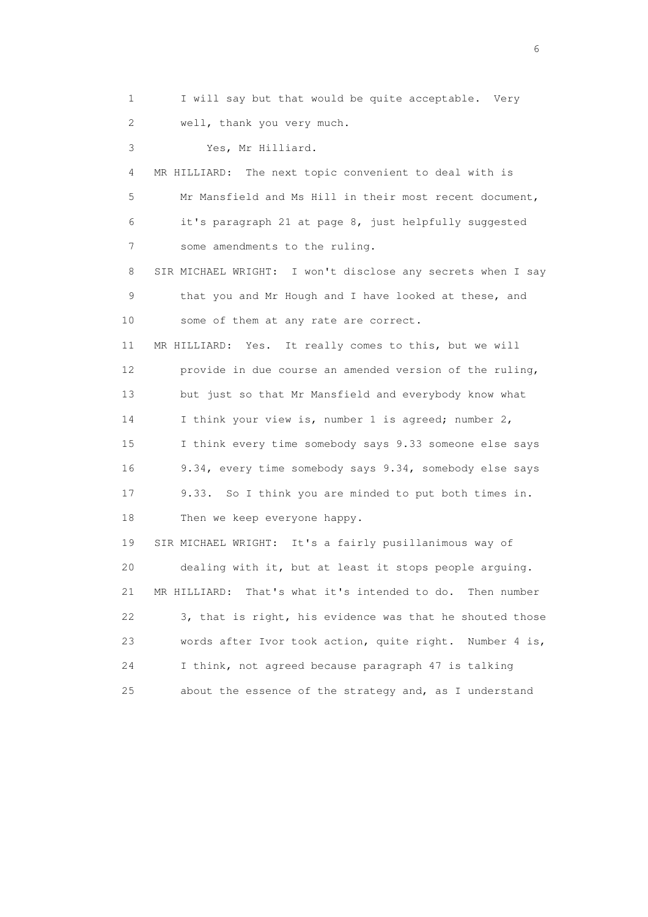1 I will say but that would be quite acceptable. Very 2 well, thank you very much. 3 Yes, Mr Hilliard. 4 MR HILLIARD: The next topic convenient to deal with is 5 Mr Mansfield and Ms Hill in their most recent document, 6 it's paragraph 21 at page 8, just helpfully suggested 7 some amendments to the ruling. 8 SIR MICHAEL WRIGHT: I won't disclose any secrets when I say 9 that you and Mr Hough and I have looked at these, and 10 some of them at any rate are correct. 11 MR HILLIARD: Yes. It really comes to this, but we will 12 provide in due course an amended version of the ruling, 13 but just so that Mr Mansfield and everybody know what 14 I think your view is, number 1 is agreed; number 2, 15 I think every time somebody says 9.33 someone else says 16 9.34, every time somebody says 9.34, somebody else says 17 9.33. So I think you are minded to put both times in. 18 Then we keep everyone happy. 19 SIR MICHAEL WRIGHT: It's a fairly pusillanimous way of 20 dealing with it, but at least it stops people arguing. 21 MR HILLIARD: That's what it's intended to do. Then number 22 3, that is right, his evidence was that he shouted those 23 words after Ivor took action, quite right. Number 4 is, 24 I think, not agreed because paragraph 47 is talking

25 about the essence of the strategy and, as I understand

 $\sim$  6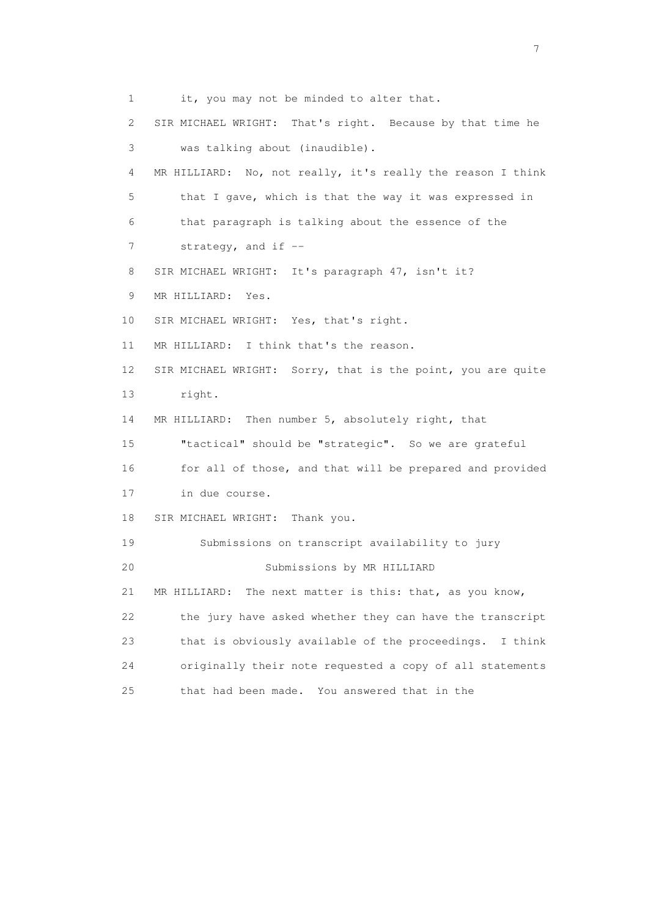1 it, you may not be minded to alter that. 2 SIR MICHAEL WRIGHT: That's right. Because by that time he 3 was talking about (inaudible). 4 MR HILLIARD: No, not really, it's really the reason I think 5 that I gave, which is that the way it was expressed in 6 that paragraph is talking about the essence of the 7 strategy, and if -- 8 SIR MICHAEL WRIGHT: It's paragraph 47, isn't it? 9 MR HILLIARD: Yes. 10 SIR MICHAEL WRIGHT: Yes, that's right. 11 MR HILLIARD: I think that's the reason. 12 SIR MICHAEL WRIGHT: Sorry, that is the point, you are quite 13 right. 14 MR HILLIARD: Then number 5, absolutely right, that 15 "tactical" should be "strategic". So we are grateful 16 for all of those, and that will be prepared and provided 17 in due course. 18 SIR MICHAEL WRIGHT: Thank you. 19 Submissions on transcript availability to jury 20 Submissions by MR HILLIARD 21 MR HILLIARD: The next matter is this: that, as you know, 22 the jury have asked whether they can have the transcript 23 that is obviously available of the proceedings. I think 24 originally their note requested a copy of all statements 25 that had been made. You answered that in the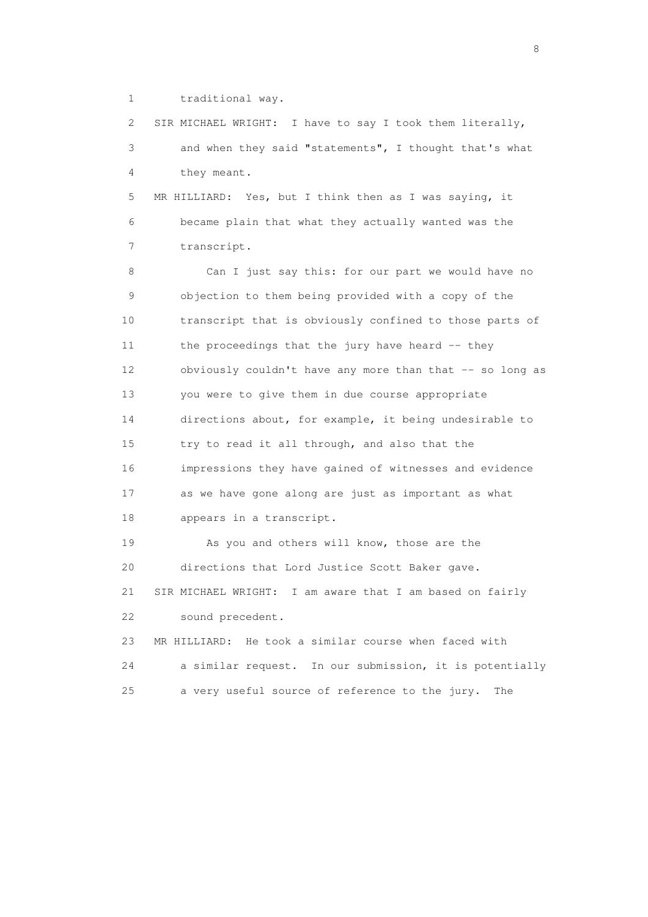1 traditional way.

 2 SIR MICHAEL WRIGHT: I have to say I took them literally, 3 and when they said "statements", I thought that's what 4 they meant.

 5 MR HILLIARD: Yes, but I think then as I was saying, it 6 became plain that what they actually wanted was the 7 transcript.

 8 Can I just say this: for our part we would have no 9 objection to them being provided with a copy of the 10 transcript that is obviously confined to those parts of 11 the proceedings that the jury have heard -- they 12 obviously couldn't have any more than that -- so long as 13 you were to give them in due course appropriate 14 directions about, for example, it being undesirable to 15 try to read it all through, and also that the 16 impressions they have gained of witnesses and evidence 17 as we have gone along are just as important as what 18 appears in a transcript.

 19 As you and others will know, those are the 20 directions that Lord Justice Scott Baker gave. 21 SIR MICHAEL WRIGHT: I am aware that I am based on fairly 22 sound precedent. 23 MR HILLIARD: He took a similar course when faced with

 24 a similar request. In our submission, it is potentially 25 a very useful source of reference to the jury. The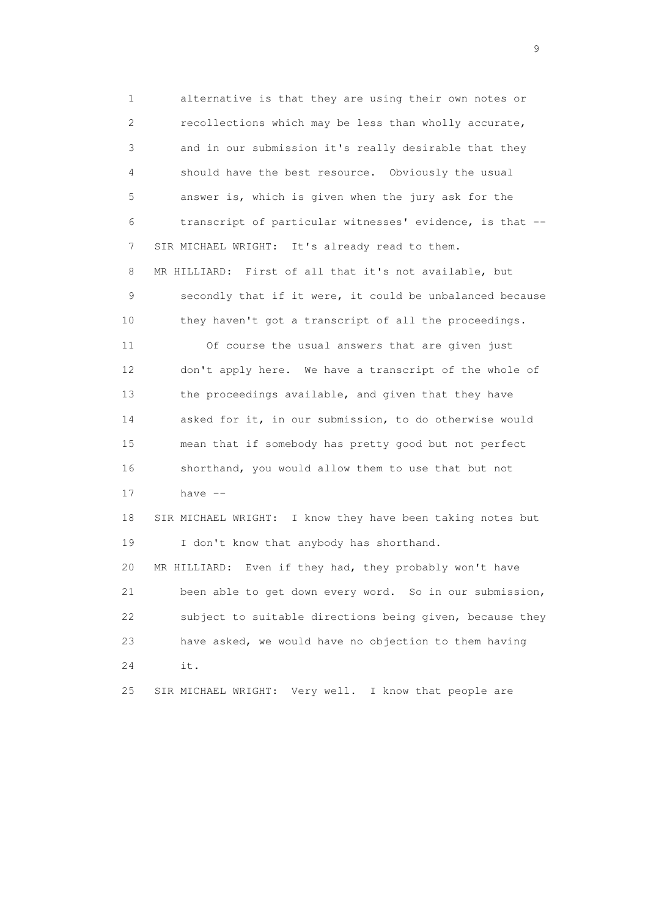1 alternative is that they are using their own notes or 2 recollections which may be less than wholly accurate, 3 and in our submission it's really desirable that they 4 should have the best resource. Obviously the usual 5 answer is, which is given when the jury ask for the 6 transcript of particular witnesses' evidence, is that -- 7 SIR MICHAEL WRIGHT: It's already read to them. 8 MR HILLIARD: First of all that it's not available, but 9 secondly that if it were, it could be unbalanced because 10 they haven't got a transcript of all the proceedings. 11 Of course the usual answers that are given just 12 don't apply here. We have a transcript of the whole of 13 the proceedings available, and given that they have 14 asked for it, in our submission, to do otherwise would 15 mean that if somebody has pretty good but not perfect 16 shorthand, you would allow them to use that but not 17 have -- 18 SIR MICHAEL WRIGHT: I know they have been taking notes but 19 I don't know that anybody has shorthand. 20 MR HILLIARD: Even if they had, they probably won't have 21 been able to get down every word. So in our submission, 22 subject to suitable directions being given, because they 23 have asked, we would have no objection to them having 24 it. 25 SIR MICHAEL WRIGHT: Very well. I know that people are

en de la construction de la construction de la construction de la construction de la construction de la constr<br>1911 : la construction de la construction de la construction de la construction de la construction de la const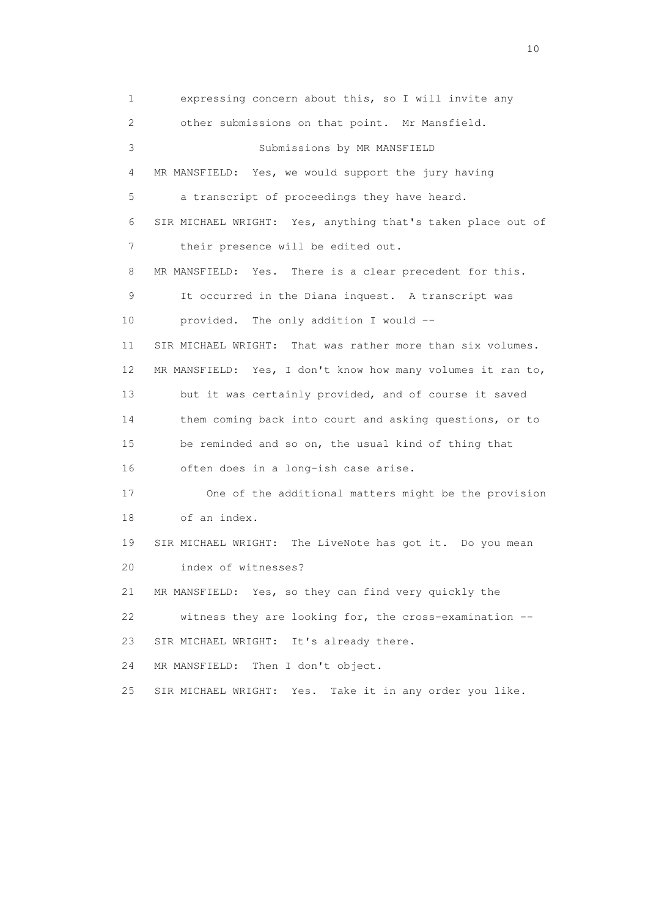1 expressing concern about this, so I will invite any 2 other submissions on that point. Mr Mansfield. 3 Submissions by MR MANSFIELD 4 MR MANSFIELD: Yes, we would support the jury having 5 a transcript of proceedings they have heard. 6 SIR MICHAEL WRIGHT: Yes, anything that's taken place out of 7 their presence will be edited out. 8 MR MANSFIELD: Yes. There is a clear precedent for this. 9 It occurred in the Diana inquest. A transcript was 10 provided. The only addition I would -- 11 SIR MICHAEL WRIGHT: That was rather more than six volumes. 12 MR MANSFIELD: Yes, I don't know how many volumes it ran to, 13 but it was certainly provided, and of course it saved 14 them coming back into court and asking questions, or to 15 be reminded and so on, the usual kind of thing that 16 often does in a long-ish case arise. 17 One of the additional matters might be the provision 18 of an index. 19 SIR MICHAEL WRIGHT: The LiveNote has got it. Do you mean 20 index of witnesses? 21 MR MANSFIELD: Yes, so they can find very quickly the 22 witness they are looking for, the cross-examination -- 23 SIR MICHAEL WRIGHT: It's already there. 24 MR MANSFIELD: Then I don't object. 25 SIR MICHAEL WRIGHT: Yes. Take it in any order you like.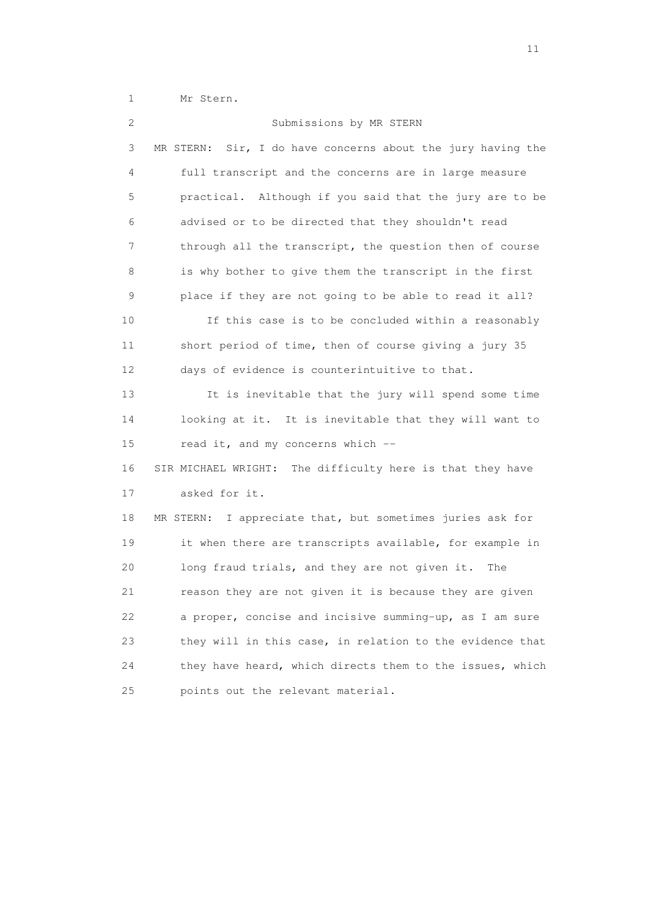1 Mr Stern.

| 2  | Submissions by MR STERN                                        |
|----|----------------------------------------------------------------|
| 3  | Sir, I do have concerns about the jury having the<br>MR STERN: |
| 4  | full transcript and the concerns are in large measure          |
| 5  | practical. Although if you said that the jury are to be        |
| 6  | advised or to be directed that they shouldn't read             |
| 7  | through all the transcript, the question then of course        |
| 8  | is why bother to give them the transcript in the first         |
| 9  | place if they are not going to be able to read it all?         |
| 10 | If this case is to be concluded within a reasonably            |
| 11 | short period of time, then of course giving a jury 35          |
| 12 | days of evidence is counterintuitive to that.                  |
| 13 | It is inevitable that the jury will spend some time            |
| 14 | looking at it. It is inevitable that they will want to         |
| 15 | read it, and my concerns which --                              |
| 16 | SIR MICHAEL WRIGHT: The difficulty here is that they have      |
| 17 | asked for it.                                                  |
| 18 | MR STERN: I appreciate that, but sometimes juries ask for      |
| 19 | it when there are transcripts available, for example in        |
| 20 | long fraud trials, and they are not given it.<br>The           |
| 21 | reason they are not given it is because they are given         |
| 22 | a proper, concise and incisive summing-up, as I am sure        |
| 23 | they will in this case, in relation to the evidence that       |
| 24 | they have heard, which directs them to the issues, which       |
| 25 | points out the relevant material.                              |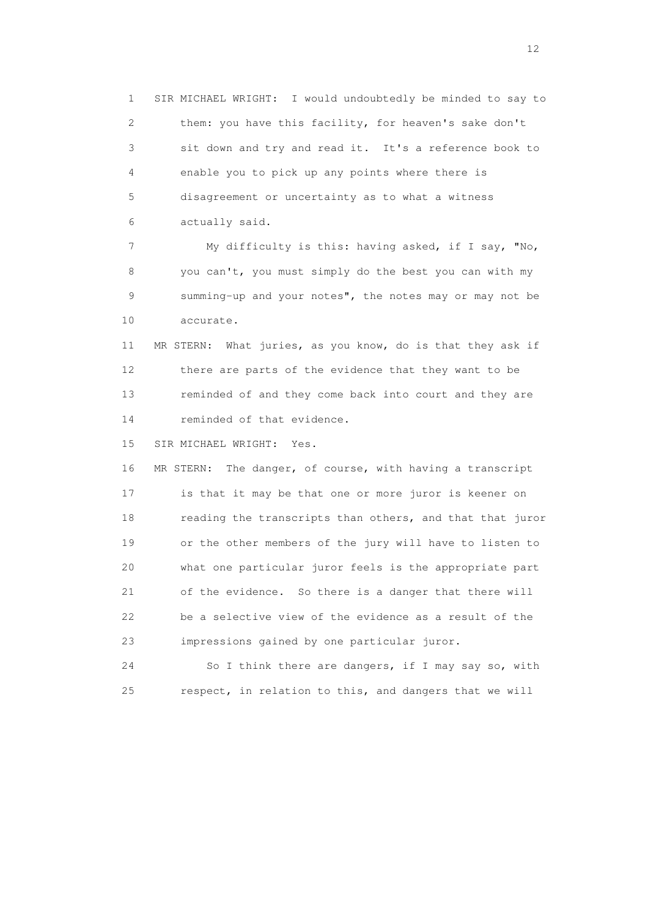1 SIR MICHAEL WRIGHT: I would undoubtedly be minded to say to 2 them: you have this facility, for heaven's sake don't 3 sit down and try and read it. It's a reference book to 4 enable you to pick up any points where there is 5 disagreement or uncertainty as to what a witness 6 actually said.

 7 My difficulty is this: having asked, if I say, "No, 8 you can't, you must simply do the best you can with my 9 summing-up and your notes", the notes may or may not be 10 accurate.

 11 MR STERN: What juries, as you know, do is that they ask if 12 there are parts of the evidence that they want to be 13 reminded of and they come back into court and they are 14 reminded of that evidence.

15 SIR MICHAEL WRIGHT: Yes.

 16 MR STERN: The danger, of course, with having a transcript 17 is that it may be that one or more juror is keener on 18 reading the transcripts than others, and that that juror 19 or the other members of the jury will have to listen to 20 what one particular juror feels is the appropriate part 21 of the evidence. So there is a danger that there will 22 be a selective view of the evidence as a result of the 23 impressions gained by one particular juror.

 24 So I think there are dangers, if I may say so, with 25 respect, in relation to this, and dangers that we will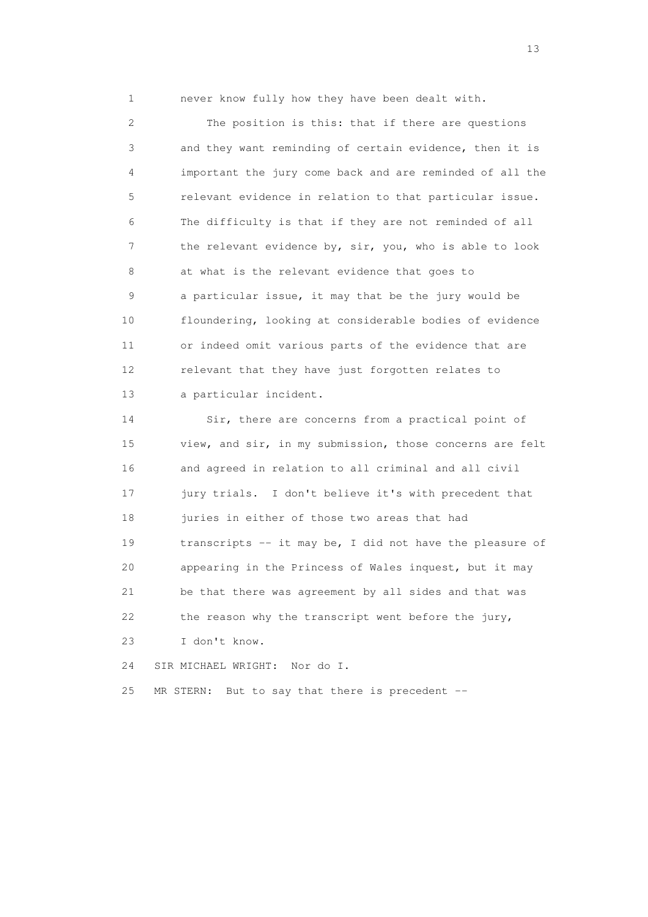1 never know fully how they have been dealt with.

 2 The position is this: that if there are questions 3 and they want reminding of certain evidence, then it is 4 important the jury come back and are reminded of all the 5 relevant evidence in relation to that particular issue. 6 The difficulty is that if they are not reminded of all 7 the relevant evidence by, sir, you, who is able to look 8 at what is the relevant evidence that goes to 9 a particular issue, it may that be the jury would be 10 floundering, looking at considerable bodies of evidence 11 or indeed omit various parts of the evidence that are 12 relevant that they have just forgotten relates to 13 a particular incident.

 14 Sir, there are concerns from a practical point of 15 view, and sir, in my submission, those concerns are felt 16 and agreed in relation to all criminal and all civil 17 jury trials. I don't believe it's with precedent that 18 juries in either of those two areas that had 19 transcripts -- it may be, I did not have the pleasure of 20 appearing in the Princess of Wales inquest, but it may 21 be that there was agreement by all sides and that was 22 the reason why the transcript went before the jury, 23 I don't know.

24 SIR MICHAEL WRIGHT: Nor do I.

25 MR STERN: But to say that there is precedent --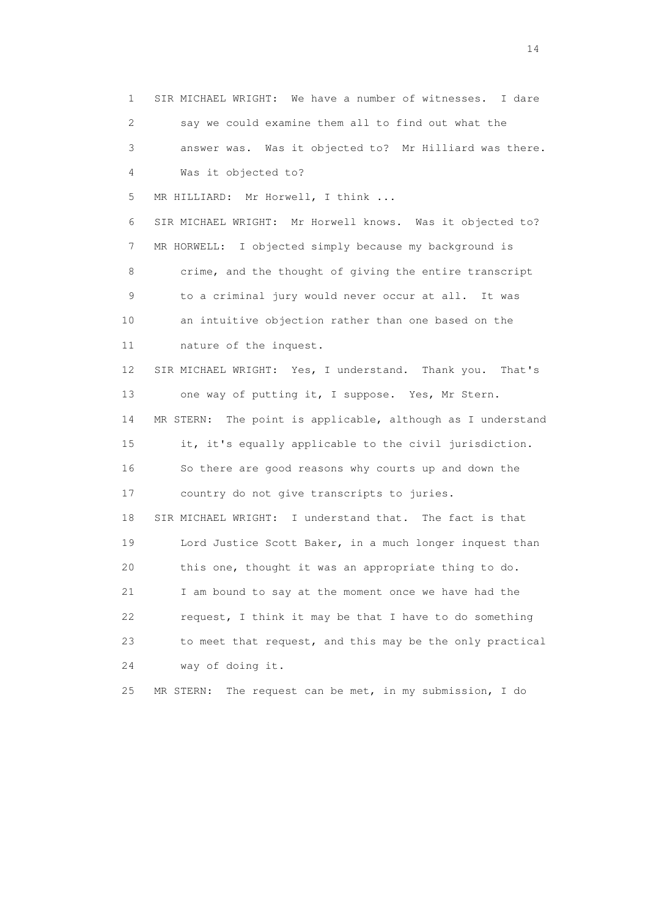1 SIR MICHAEL WRIGHT: We have a number of witnesses. I dare 2 say we could examine them all to find out what the 3 answer was. Was it objected to? Mr Hilliard was there. 4 Was it objected to? 5 MR HILLIARD: Mr Horwell, I think ... 6 SIR MICHAEL WRIGHT: Mr Horwell knows. Was it objected to? 7 MR HORWELL: I objected simply because my background is 8 crime, and the thought of giving the entire transcript 9 to a criminal jury would never occur at all. It was 10 an intuitive objection rather than one based on the 11 nature of the inquest. 12 SIR MICHAEL WRIGHT: Yes, I understand. Thank you. That's 13 one way of putting it, I suppose. Yes, Mr Stern. 14 MR STERN: The point is applicable, although as I understand 15 it, it's equally applicable to the civil jurisdiction. 16 So there are good reasons why courts up and down the 17 country do not give transcripts to juries. 18 SIR MICHAEL WRIGHT: I understand that. The fact is that 19 Lord Justice Scott Baker, in a much longer inquest than 20 this one, thought it was an appropriate thing to do. 21 I am bound to say at the moment once we have had the 22 request, I think it may be that I have to do something 23 to meet that request, and this may be the only practical 24 way of doing it. 25 MR STERN: The request can be met, in my submission, I do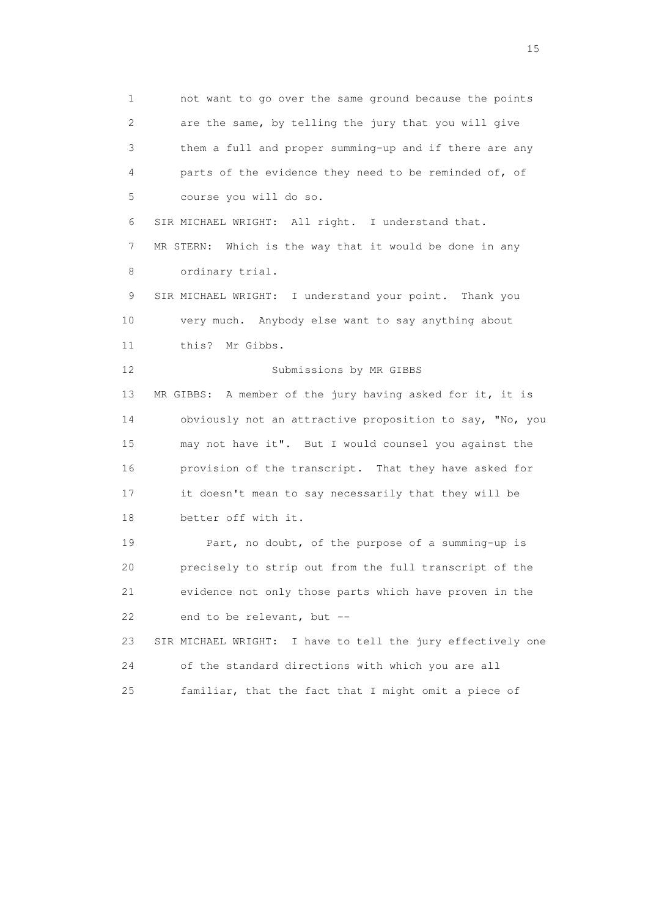1 not want to go over the same ground because the points 2 are the same, by telling the jury that you will give 3 them a full and proper summing-up and if there are any 4 parts of the evidence they need to be reminded of, of 5 course you will do so. 6 SIR MICHAEL WRIGHT: All right. I understand that. 7 MR STERN: Which is the way that it would be done in any 8 ordinary trial. 9 SIR MICHAEL WRIGHT: I understand your point. Thank you 10 very much. Anybody else want to say anything about 11 this? Mr Gibbs. 12 Submissions by MR GIBBS 13 MR GIBBS: A member of the jury having asked for it, it is 14 obviously not an attractive proposition to say, "No, you 15 may not have it". But I would counsel you against the 16 provision of the transcript. That they have asked for 17 it doesn't mean to say necessarily that they will be 18 better off with it. 19 Part, no doubt, of the purpose of a summing-up is 20 precisely to strip out from the full transcript of the 21 evidence not only those parts which have proven in the 22 end to be relevant, but -- 23 SIR MICHAEL WRIGHT: I have to tell the jury effectively one 24 of the standard directions with which you are all 25 familiar, that the fact that I might omit a piece of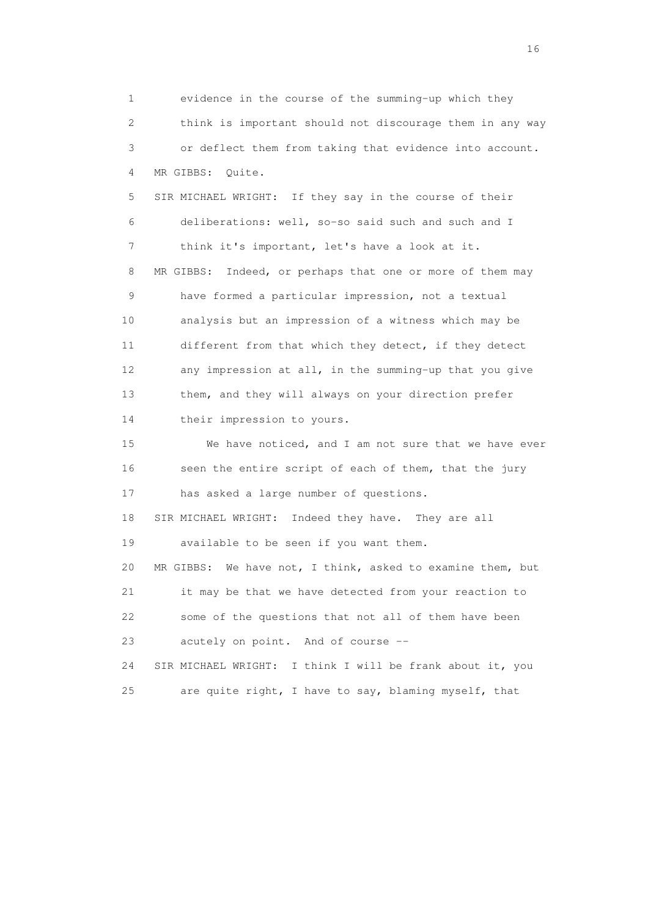1 evidence in the course of the summing-up which they 2 think is important should not discourage them in any way 3 or deflect them from taking that evidence into account. 4 MR GIBBS: Quite. 5 SIR MICHAEL WRIGHT: If they say in the course of their 6 deliberations: well, so-so said such and such and I 7 think it's important, let's have a look at it. 8 MR GIBBS: Indeed, or perhaps that one or more of them may 9 have formed a particular impression, not a textual 10 analysis but an impression of a witness which may be 11 different from that which they detect, if they detect 12 any impression at all, in the summing-up that you give 13 them, and they will always on your direction prefer 14 their impression to yours. 15 We have noticed, and I am not sure that we have ever 16 seen the entire script of each of them, that the jury 17 has asked a large number of questions. 18 SIR MICHAEL WRIGHT: Indeed they have. They are all 19 available to be seen if you want them. 20 MR GIBBS: We have not, I think, asked to examine them, but 21 it may be that we have detected from your reaction to 22 some of the questions that not all of them have been 23 acutely on point. And of course -- 24 SIR MICHAEL WRIGHT: I think I will be frank about it, you 25 are quite right, I have to say, blaming myself, that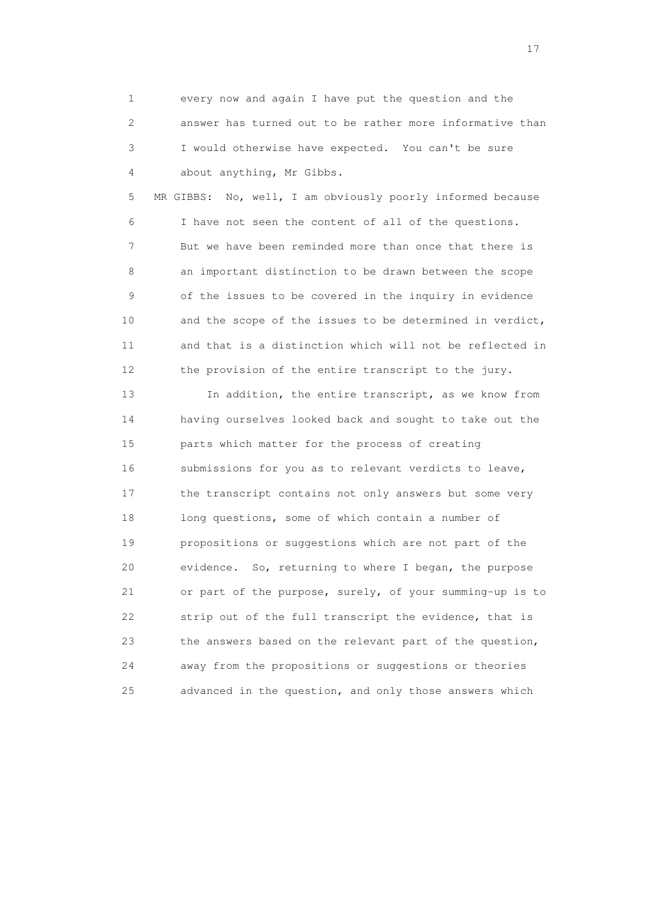1 every now and again I have put the question and the 2 answer has turned out to be rather more informative than 3 I would otherwise have expected. You can't be sure 4 about anything, Mr Gibbs.

 5 MR GIBBS: No, well, I am obviously poorly informed because 6 I have not seen the content of all of the questions. 7 But we have been reminded more than once that there is 8 an important distinction to be drawn between the scope 9 of the issues to be covered in the inquiry in evidence 10 and the scope of the issues to be determined in verdict, 11 and that is a distinction which will not be reflected in 12 the provision of the entire transcript to the jury.

 13 In addition, the entire transcript, as we know from 14 having ourselves looked back and sought to take out the 15 parts which matter for the process of creating 16 submissions for you as to relevant verdicts to leave, 17 the transcript contains not only answers but some very 18 long questions, some of which contain a number of 19 propositions or suggestions which are not part of the 20 evidence. So, returning to where I began, the purpose 21 or part of the purpose, surely, of your summing-up is to 22 strip out of the full transcript the evidence, that is 23 the answers based on the relevant part of the question, 24 away from the propositions or suggestions or theories 25 advanced in the question, and only those answers which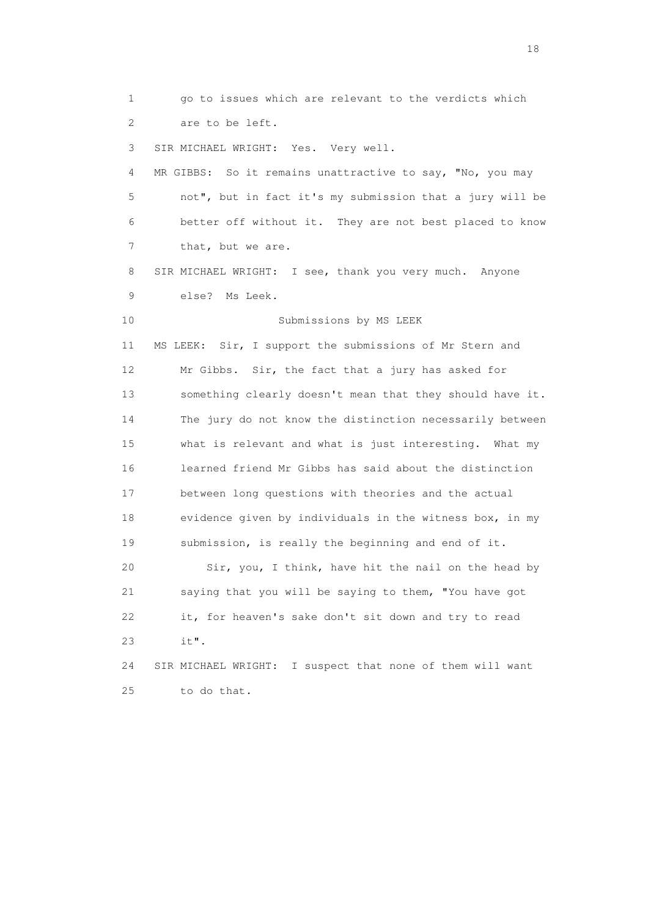1 go to issues which are relevant to the verdicts which 2 are to be left. 3 SIR MICHAEL WRIGHT: Yes. Very well. 4 MR GIBBS: So it remains unattractive to say, "No, you may 5 not", but in fact it's my submission that a jury will be 6 better off without it. They are not best placed to know 7 that, but we are. 8 SIR MICHAEL WRIGHT: I see, thank you very much. Anyone 9 else? Ms Leek. 10 Submissions by MS LEEK 11 MS LEEK: Sir, I support the submissions of Mr Stern and 12 Mr Gibbs. Sir, the fact that a jury has asked for 13 something clearly doesn't mean that they should have it. 14 The jury do not know the distinction necessarily between 15 what is relevant and what is just interesting. What my 16 learned friend Mr Gibbs has said about the distinction 17 between long questions with theories and the actual 18 evidence given by individuals in the witness box, in my 19 submission, is really the beginning and end of it. 20 Sir, you, I think, have hit the nail on the head by 21 saying that you will be saying to them, "You have got 22 it, for heaven's sake don't sit down and try to read 23 it". 24 SIR MICHAEL WRIGHT: I suspect that none of them will want 25 to do that.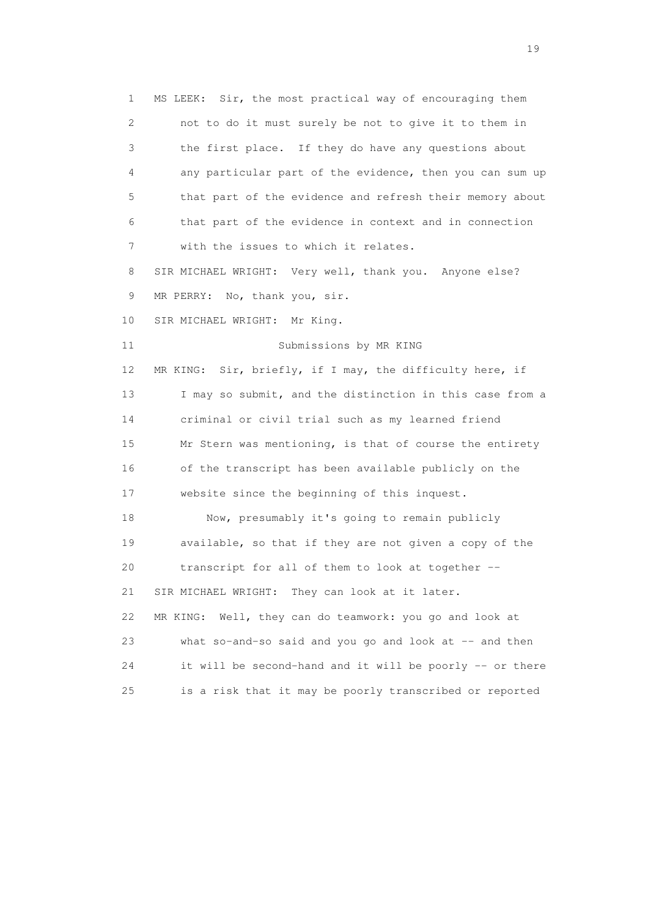1 MS LEEK: Sir, the most practical way of encouraging them 2 not to do it must surely be not to give it to them in 3 the first place. If they do have any questions about 4 any particular part of the evidence, then you can sum up 5 that part of the evidence and refresh their memory about 6 that part of the evidence in context and in connection 7 with the issues to which it relates. 8 SIR MICHAEL WRIGHT: Very well, thank you. Anyone else? 9 MR PERRY: No, thank you, sir. 10 SIR MICHAEL WRIGHT: Mr King. 11 Submissions by MR KING 12 MR KING: Sir, briefly, if I may, the difficulty here, if 13 I may so submit, and the distinction in this case from a 14 criminal or civil trial such as my learned friend 15 Mr Stern was mentioning, is that of course the entirety 16 of the transcript has been available publicly on the 17 website since the beginning of this inquest. 18 Now, presumably it's going to remain publicly 19 available, so that if they are not given a copy of the 20 transcript for all of them to look at together -- 21 SIR MICHAEL WRIGHT: They can look at it later. 22 MR KING: Well, they can do teamwork: you go and look at 23 what so-and-so said and you go and look at -- and then 24 it will be second-hand and it will be poorly -- or there 25 is a risk that it may be poorly transcribed or reported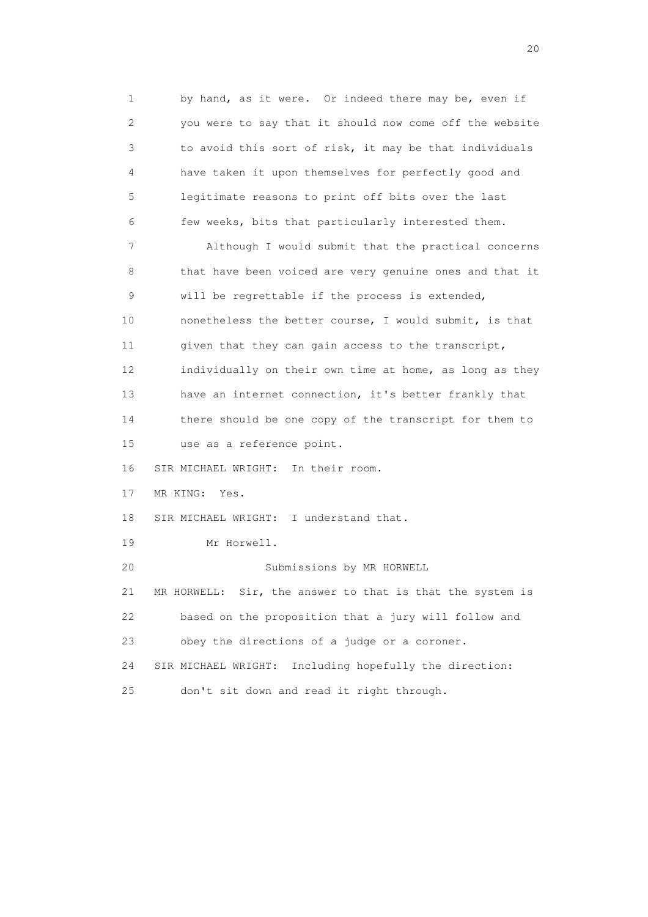1 by hand, as it were. Or indeed there may be, even if 2 you were to say that it should now come off the website 3 to avoid this sort of risk, it may be that individuals 4 have taken it upon themselves for perfectly good and 5 legitimate reasons to print off bits over the last 6 few weeks, bits that particularly interested them. 7 Although I would submit that the practical concerns 8 that have been voiced are very genuine ones and that it 9 will be regrettable if the process is extended, 10 nonetheless the better course, I would submit, is that 11 given that they can gain access to the transcript, 12 individually on their own time at home, as long as they 13 have an internet connection, it's better frankly that 14 there should be one copy of the transcript for them to 15 use as a reference point. 16 SIR MICHAEL WRIGHT: In their room. 17 MR KING: Yes. 18 SIR MICHAEL WRIGHT: I understand that. 19 Mr Horwell. 20 Submissions by MR HORWELL 21 MR HORWELL: Sir, the answer to that is that the system is 22 based on the proposition that a jury will follow and 23 obey the directions of a judge or a coroner. 24 SIR MICHAEL WRIGHT: Including hopefully the direction: 25 don't sit down and read it right through.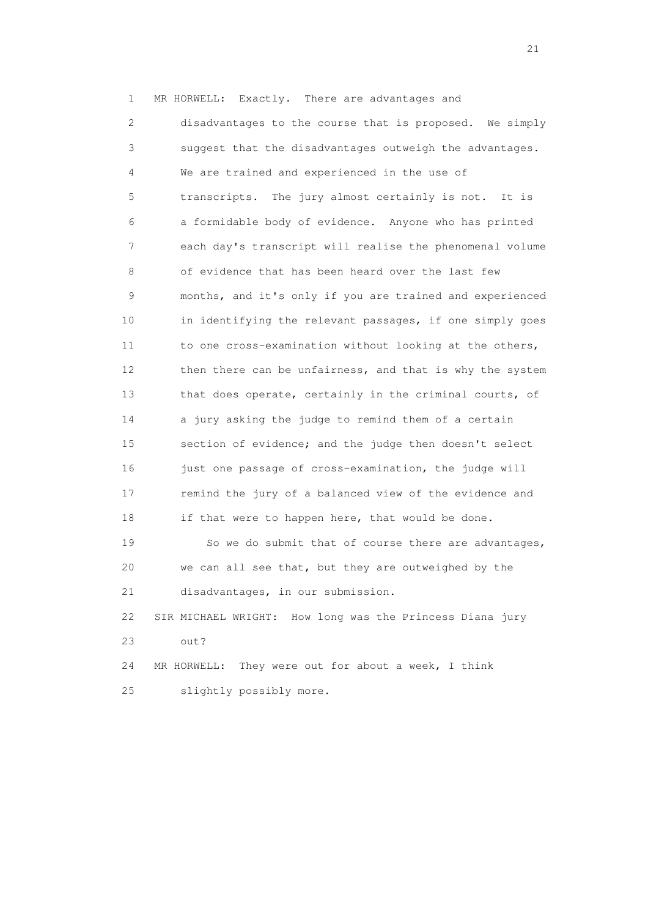1 MR HORWELL: Exactly. There are advantages and 2 disadvantages to the course that is proposed. We simply 3 suggest that the disadvantages outweigh the advantages. 4 We are trained and experienced in the use of 5 transcripts. The jury almost certainly is not. It is 6 a formidable body of evidence. Anyone who has printed 7 each day's transcript will realise the phenomenal volume 8 of evidence that has been heard over the last few 9 months, and it's only if you are trained and experienced 10 in identifying the relevant passages, if one simply goes 11 to one cross-examination without looking at the others, 12 then there can be unfairness, and that is why the system 13 that does operate, certainly in the criminal courts, of 14 a jury asking the judge to remind them of a certain 15 section of evidence; and the judge then doesn't select 16 just one passage of cross-examination, the judge will 17 remind the jury of a balanced view of the evidence and 18 if that were to happen here, that would be done. 19 So we do submit that of course there are advantages,

 20 we can all see that, but they are outweighed by the 21 disadvantages, in our submission.

 22 SIR MICHAEL WRIGHT: How long was the Princess Diana jury 23 out?

 24 MR HORWELL: They were out for about a week, I think 25 slightly possibly more.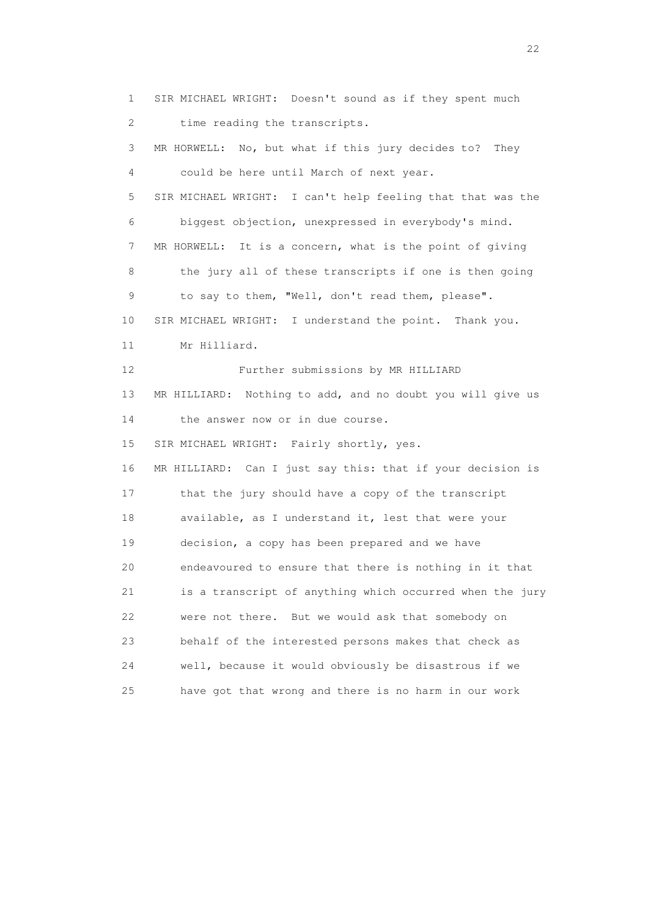1 SIR MICHAEL WRIGHT: Doesn't sound as if they spent much 2 time reading the transcripts. 3 MR HORWELL: No, but what if this jury decides to? They 4 could be here until March of next year. 5 SIR MICHAEL WRIGHT: I can't help feeling that that was the 6 biggest objection, unexpressed in everybody's mind. 7 MR HORWELL: It is a concern, what is the point of giving 8 the jury all of these transcripts if one is then going 9 to say to them, "Well, don't read them, please". 10 SIR MICHAEL WRIGHT: I understand the point. Thank you. 11 Mr Hilliard. 12 Further submissions by MR HILLIARD 13 MR HILLIARD: Nothing to add, and no doubt you will give us 14 the answer now or in due course. 15 SIR MICHAEL WRIGHT: Fairly shortly, yes. 16 MR HILLIARD: Can I just say this: that if your decision is 17 that the jury should have a copy of the transcript 18 available, as I understand it, lest that were your 19 decision, a copy has been prepared and we have 20 endeavoured to ensure that there is nothing in it that 21 is a transcript of anything which occurred when the jury 22 were not there. But we would ask that somebody on 23 behalf of the interested persons makes that check as 24 well, because it would obviously be disastrous if we 25 have got that wrong and there is no harm in our work

22 and 22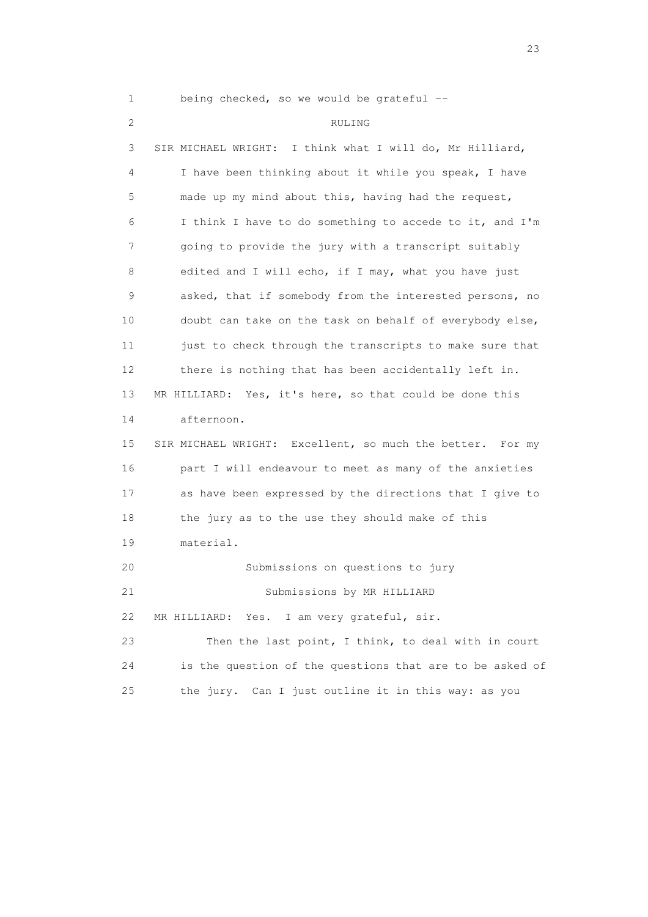1 being checked, so we would be grateful --

## 2 RULING

 3 SIR MICHAEL WRIGHT: I think what I will do, Mr Hilliard, 4 I have been thinking about it while you speak, I have 5 made up my mind about this, having had the request, 6 I think I have to do something to accede to it, and I'm 7 going to provide the jury with a transcript suitably 8 edited and I will echo, if I may, what you have just 9 asked, that if somebody from the interested persons, no 10 doubt can take on the task on behalf of everybody else, 11 just to check through the transcripts to make sure that 12 there is nothing that has been accidentally left in. 13 MR HILLIARD: Yes, it's here, so that could be done this 14 afternoon. 15 SIR MICHAEL WRIGHT: Excellent, so much the better. For my 16 part I will endeavour to meet as many of the anxieties 17 as have been expressed by the directions that I give to 18 the jury as to the use they should make of this 19 material. 20 Submissions on questions to jury 21 Submissions by MR HILLIARD 22 MR HILLIARD: Yes. I am very grateful, sir. 23 Then the last point, I think, to deal with in court 24 is the question of the questions that are to be asked of 25 the jury. Can I just outline it in this way: as you

23 and 23 and 23 and 23 and 23 and 23 and 23 and 23 and 23 and 23 and 23 and 23 and 23 and 23 and 23 and 23 and 24 and 25 and 25 and 25 and 26 and 26 and 26 and 26 and 26 and 26 and 26 and 26 and 26 and 26 and 26 and 26 an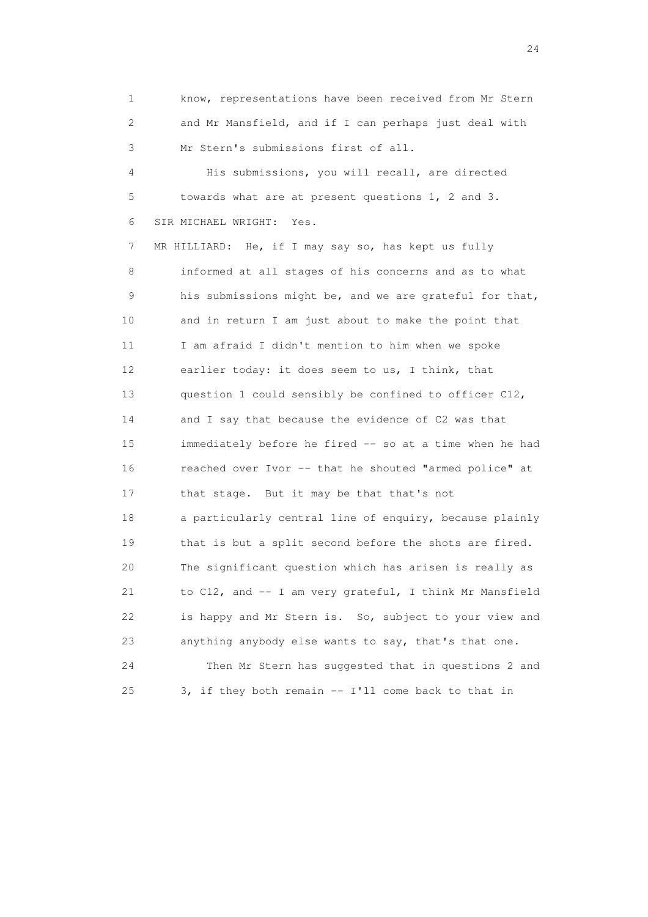1 know, representations have been received from Mr Stern 2 and Mr Mansfield, and if I can perhaps just deal with 3 Mr Stern's submissions first of all.

 4 His submissions, you will recall, are directed 5 towards what are at present questions 1, 2 and 3. 6 SIR MICHAEL WRIGHT: Yes.

 7 MR HILLIARD: He, if I may say so, has kept us fully 8 informed at all stages of his concerns and as to what 9 his submissions might be, and we are grateful for that, 10 and in return I am just about to make the point that 11 I am afraid I didn't mention to him when we spoke 12 earlier today: it does seem to us, I think, that 13 question 1 could sensibly be confined to officer C12, 14 and I say that because the evidence of C2 was that 15 immediately before he fired -- so at a time when he had 16 reached over Ivor -- that he shouted "armed police" at 17 that stage. But it may be that that's not 18 a particularly central line of enquiry, because plainly 19 that is but a split second before the shots are fired. 20 The significant question which has arisen is really as 21 to C12, and -- I am very grateful, I think Mr Mansfield 22 is happy and Mr Stern is. So, subject to your view and 23 anything anybody else wants to say, that's that one. 24 Then Mr Stern has suggested that in questions 2 and 25 3, if they both remain -- I'll come back to that in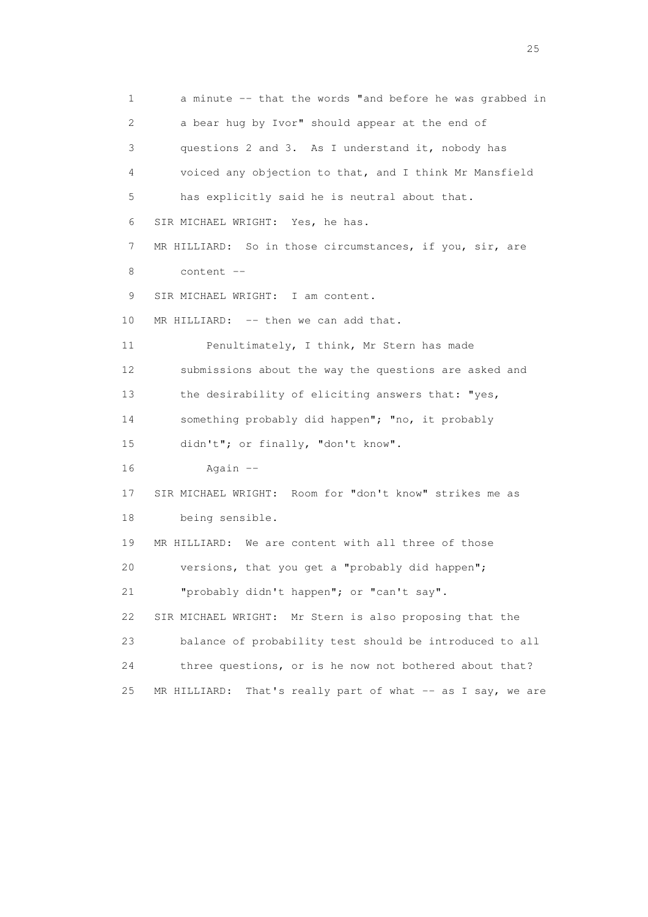1 a minute -- that the words "and before he was grabbed in 2 a bear hug by Ivor" should appear at the end of 3 questions 2 and 3. As I understand it, nobody has 4 voiced any objection to that, and I think Mr Mansfield 5 has explicitly said he is neutral about that. 6 SIR MICHAEL WRIGHT: Yes, he has. 7 MR HILLIARD: So in those circumstances, if you, sir, are 8 content -- 9 SIR MICHAEL WRIGHT: I am content. 10 MR HILLIARD: -- then we can add that. 11 Penultimately, I think, Mr Stern has made 12 submissions about the way the questions are asked and 13 the desirability of eliciting answers that: "yes, 14 something probably did happen"; "no, it probably 15 didn't"; or finally, "don't know". 16 Again -- 17 SIR MICHAEL WRIGHT: Room for "don't know" strikes me as 18 being sensible. 19 MR HILLIARD: We are content with all three of those 20 versions, that you get a "probably did happen"; 21 "probably didn't happen"; or "can't say". 22 SIR MICHAEL WRIGHT: Mr Stern is also proposing that the 23 balance of probability test should be introduced to all 24 three questions, or is he now not bothered about that? 25 MR HILLIARD: That's really part of what -- as I say, we are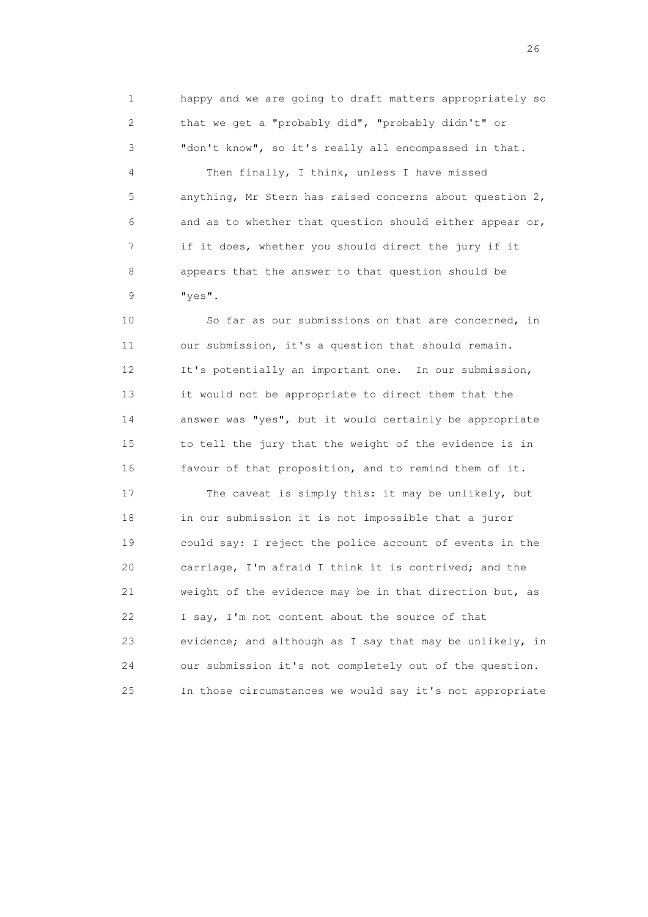1 happy and we are going to draft matters appropriately so 2 that we get a "probably did", "probably didn't" or 3 "don't know", so it's really all encompassed in that.

 4 Then finally, I think, unless I have missed 5 anything, Mr Stern has raised concerns about question 2, 6 and as to whether that question should either appear or, 7 if it does, whether you should direct the jury if it 8 appears that the answer to that question should be 9 "yes".

 10 So far as our submissions on that are concerned, in 11 our submission, it's a question that should remain. 12 It's potentially an important one. In our submission, 13 it would not be appropriate to direct them that the 14 answer was "yes", but it would certainly be appropriate 15 to tell the jury that the weight of the evidence is in 16 favour of that proposition, and to remind them of it.

17 The caveat is simply this: it may be unlikely, but 18 in our submission it is not impossible that a juror 19 could say: I reject the police account of events in the 20 carriage, I'm afraid I think it is contrived; and the 21 weight of the evidence may be in that direction but, as 22 I say, I'm not content about the source of that 23 evidence; and although as I say that may be unlikely, in 24 our submission it's not completely out of the question. 25 In those circumstances we would say it's not appropriate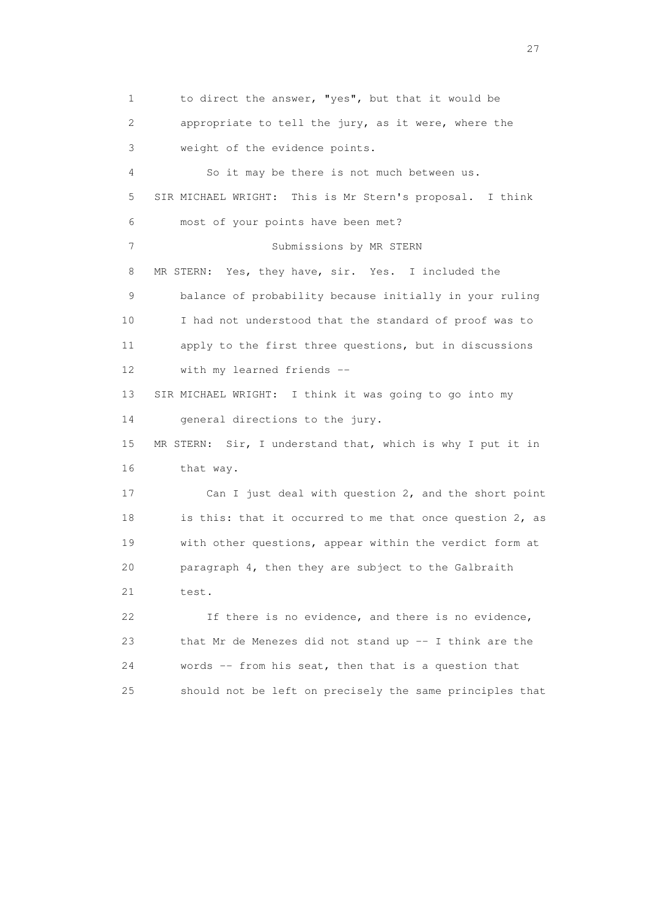1 to direct the answer, "yes", but that it would be 2 appropriate to tell the jury, as it were, where the 3 weight of the evidence points. 4 So it may be there is not much between us. 5 SIR MICHAEL WRIGHT: This is Mr Stern's proposal. I think 6 most of your points have been met? 7 Submissions by MR STERN 8 MR STERN: Yes, they have, sir. Yes. I included the 9 balance of probability because initially in your ruling 10 I had not understood that the standard of proof was to 11 apply to the first three questions, but in discussions 12 with my learned friends -- 13 SIR MICHAEL WRIGHT: I think it was going to go into my 14 general directions to the jury. 15 MR STERN: Sir, I understand that, which is why I put it in 16 that way. 17 Can I just deal with question 2, and the short point 18 is this: that it occurred to me that once question 2, as 19 with other questions, appear within the verdict form at 20 paragraph 4, then they are subject to the Galbraith 21 test. 22 If there is no evidence, and there is no evidence, 23 that Mr de Menezes did not stand up -- I think are the 24 words -- from his seat, then that is a question that 25 should not be left on precisely the same principles that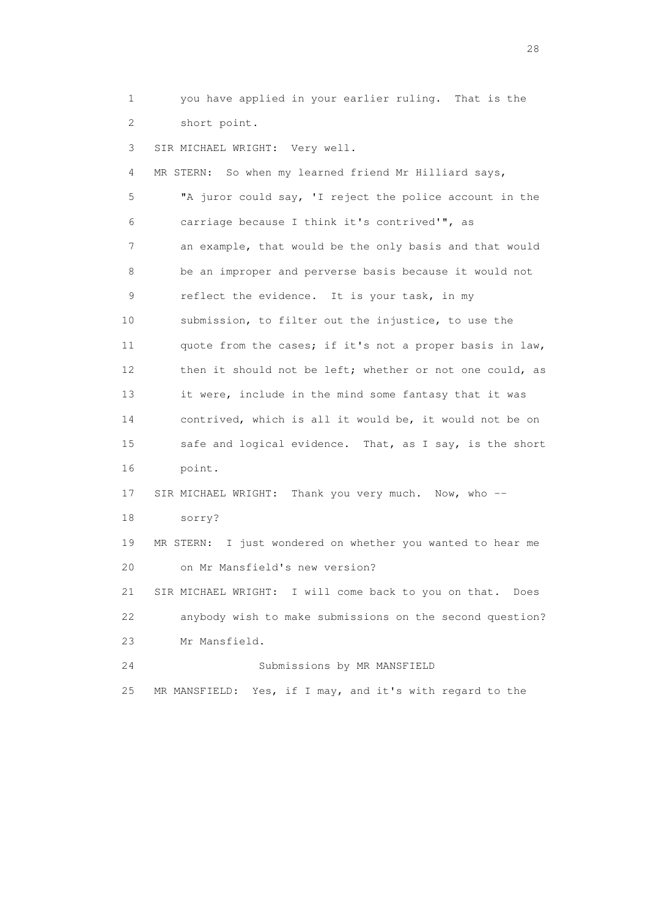1 you have applied in your earlier ruling. That is the 2 short point.

3 SIR MICHAEL WRIGHT: Very well.

 4 MR STERN: So when my learned friend Mr Hilliard says, 5 "A juror could say, 'I reject the police account in the 6 carriage because I think it's contrived'", as 7 an example, that would be the only basis and that would 8 be an improper and perverse basis because it would not 9 reflect the evidence. It is your task, in my 10 submission, to filter out the injustice, to use the 11 quote from the cases; if it's not a proper basis in law, 12 then it should not be left; whether or not one could, as 13 it were, include in the mind some fantasy that it was 14 contrived, which is all it would be, it would not be on 15 safe and logical evidence. That, as I say, is the short 16 point. 17 SIR MICHAEL WRIGHT: Thank you very much. Now, who -- 18 sorry? 19 MR STERN: I just wondered on whether you wanted to hear me 20 on Mr Mansfield's new version? 21 SIR MICHAEL WRIGHT: I will come back to you on that. Does 22 anybody wish to make submissions on the second question? 23 Mr Mansfield. 24 Submissions by MR MANSFIELD 25 MR MANSFIELD: Yes, if I may, and it's with regard to the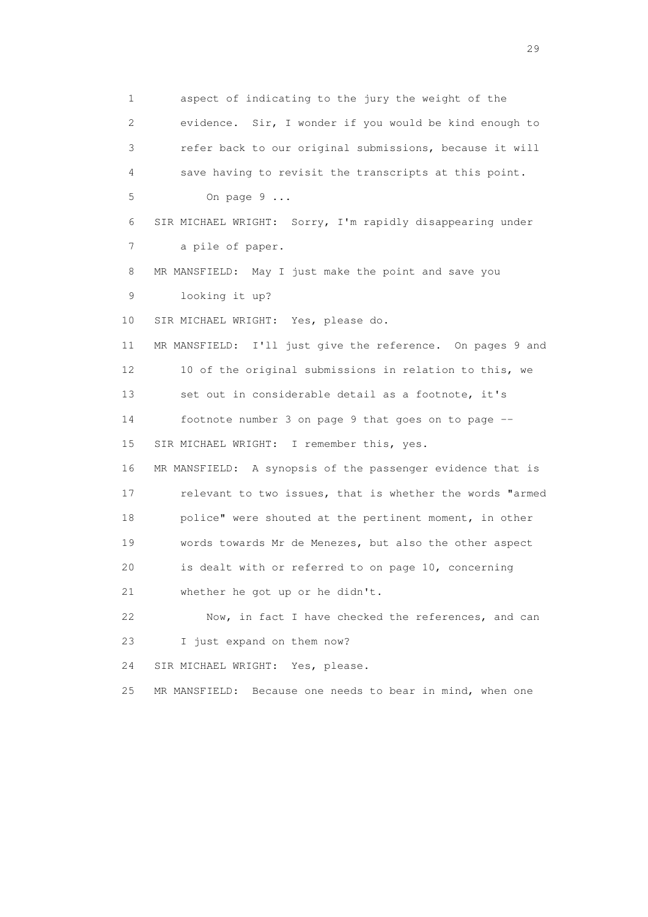1 aspect of indicating to the jury the weight of the 2 evidence. Sir, I wonder if you would be kind enough to 3 refer back to our original submissions, because it will 4 save having to revisit the transcripts at this point. 5 On page 9 ... 6 SIR MICHAEL WRIGHT: Sorry, I'm rapidly disappearing under 7 a pile of paper. 8 MR MANSFIELD: May I just make the point and save you 9 looking it up? 10 SIR MICHAEL WRIGHT: Yes, please do. 11 MR MANSFIELD: I'll just give the reference. On pages 9 and 12 10 of the original submissions in relation to this, we 13 set out in considerable detail as a footnote, it's 14 footnote number 3 on page 9 that goes on to page -- 15 SIR MICHAEL WRIGHT: I remember this, yes. 16 MR MANSFIELD: A synopsis of the passenger evidence that is 17 relevant to two issues, that is whether the words "armed 18 police" were shouted at the pertinent moment, in other 19 words towards Mr de Menezes, but also the other aspect 20 is dealt with or referred to on page 10, concerning 21 whether he got up or he didn't. 22 Now, in fact I have checked the references, and can 23 I just expand on them now? 24 SIR MICHAEL WRIGHT: Yes, please. 25 MR MANSFIELD: Because one needs to bear in mind, when one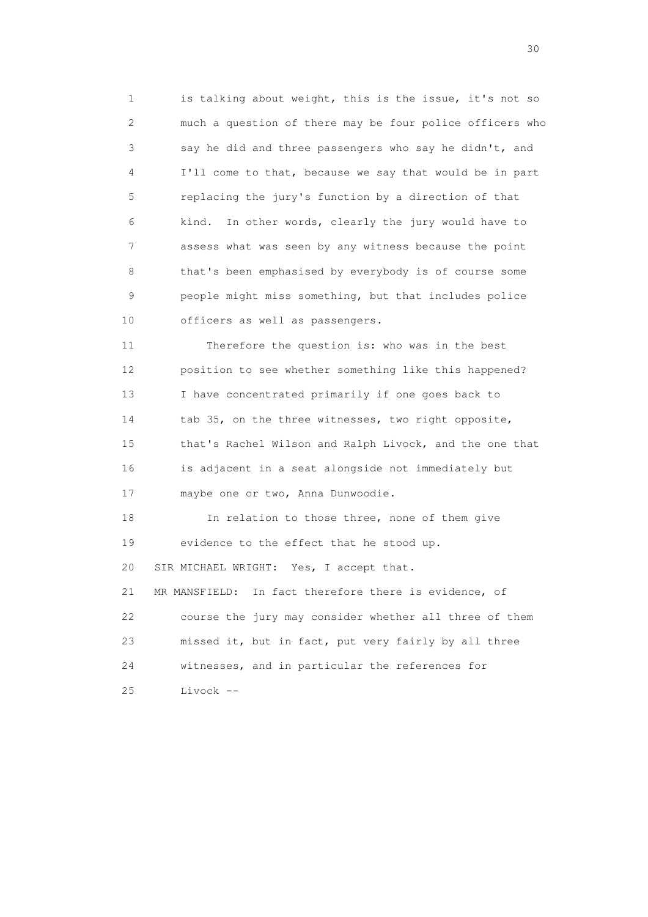1 is talking about weight, this is the issue, it's not so 2 much a question of there may be four police officers who 3 say he did and three passengers who say he didn't, and 4 I'll come to that, because we say that would be in part 5 replacing the jury's function by a direction of that 6 kind. In other words, clearly the jury would have to 7 assess what was seen by any witness because the point 8 that's been emphasised by everybody is of course some 9 people might miss something, but that includes police 10 officers as well as passengers.

 11 Therefore the question is: who was in the best 12 position to see whether something like this happened? 13 I have concentrated primarily if one goes back to 14 tab 35, on the three witnesses, two right opposite, 15 that's Rachel Wilson and Ralph Livock, and the one that 16 is adjacent in a seat alongside not immediately but 17 maybe one or two, Anna Dunwoodie.

 18 In relation to those three, none of them give 19 evidence to the effect that he stood up. 20 SIR MICHAEL WRIGHT: Yes, I accept that. 21 MR MANSFIELD: In fact therefore there is evidence, of 22 course the jury may consider whether all three of them 23 missed it, but in fact, put very fairly by all three 24 witnesses, and in particular the references for 25 Livock --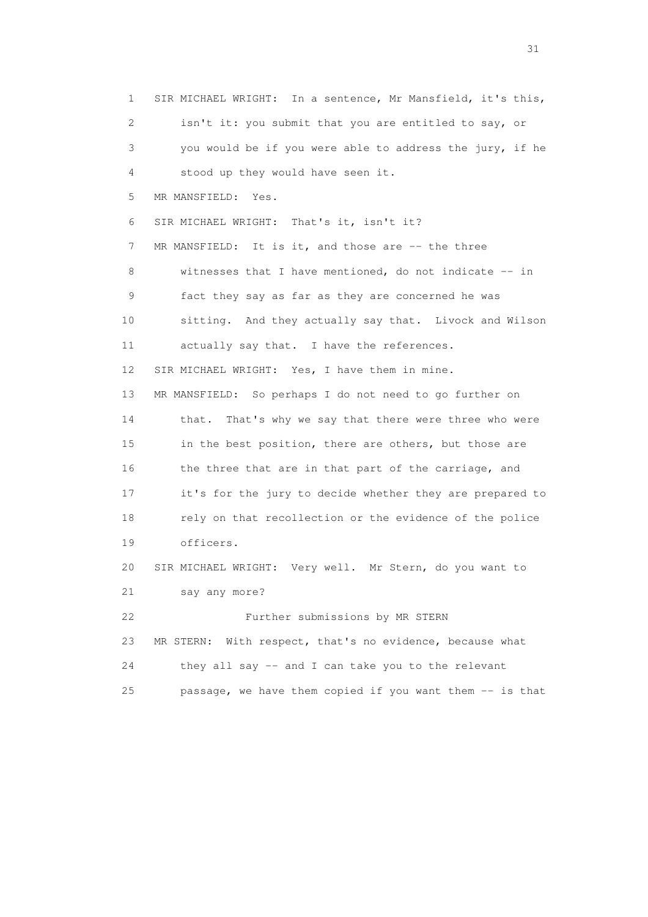1 SIR MICHAEL WRIGHT: In a sentence, Mr Mansfield, it's this, 2 isn't it: you submit that you are entitled to say, or 3 you would be if you were able to address the jury, if he 4 stood up they would have seen it. 5 MR MANSFIELD: Yes. 6 SIR MICHAEL WRIGHT: That's it, isn't it? 7 MR MANSFIELD: It is it, and those are -- the three 8 witnesses that I have mentioned, do not indicate -- in 9 fact they say as far as they are concerned he was 10 sitting. And they actually say that. Livock and Wilson 11 actually say that. I have the references. 12 SIR MICHAEL WRIGHT: Yes, I have them in mine. 13 MR MANSFIELD: So perhaps I do not need to go further on 14 that. That's why we say that there were three who were 15 in the best position, there are others, but those are 16 the three that are in that part of the carriage, and 17 it's for the jury to decide whether they are prepared to 18 rely on that recollection or the evidence of the police 19 officers. 20 SIR MICHAEL WRIGHT: Very well. Mr Stern, do you want to 21 say any more? 22 Further submissions by MR STERN 23 MR STERN: With respect, that's no evidence, because what 24 they all say -- and I can take you to the relevant 25 passage, we have them copied if you want them -- is that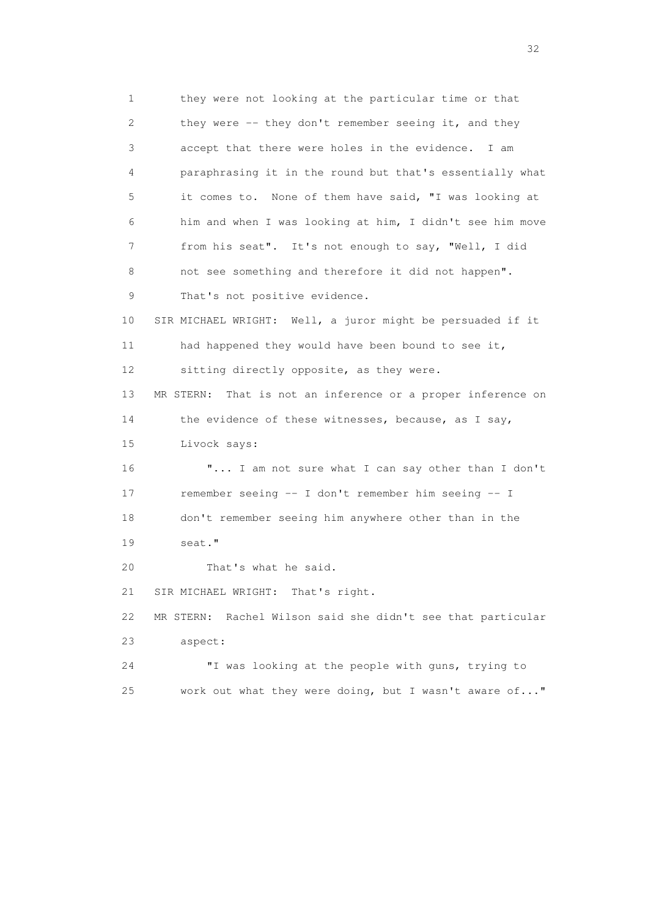1 they were not looking at the particular time or that 2 they were -- they don't remember seeing it, and they 3 accept that there were holes in the evidence. I am 4 paraphrasing it in the round but that's essentially what 5 it comes to. None of them have said, "I was looking at 6 him and when I was looking at him, I didn't see him move 7 from his seat". It's not enough to say, "Well, I did 8 not see something and therefore it did not happen". 9 That's not positive evidence. 10 SIR MICHAEL WRIGHT: Well, a juror might be persuaded if it 11 had happened they would have been bound to see it, 12 sitting directly opposite, as they were. 13 MR STERN: That is not an inference or a proper inference on 14 the evidence of these witnesses, because, as I say, 15 Livock says: 16 "... I am not sure what I can say other than I don't 17 remember seeing -- I don't remember him seeing -- I 18 don't remember seeing him anywhere other than in the 19 seat." 20 That's what he said. 21 SIR MICHAEL WRIGHT: That's right. 22 MR STERN: Rachel Wilson said she didn't see that particular 23 aspect: 24 "I was looking at the people with guns, trying to 25 work out what they were doing, but I wasn't aware of..."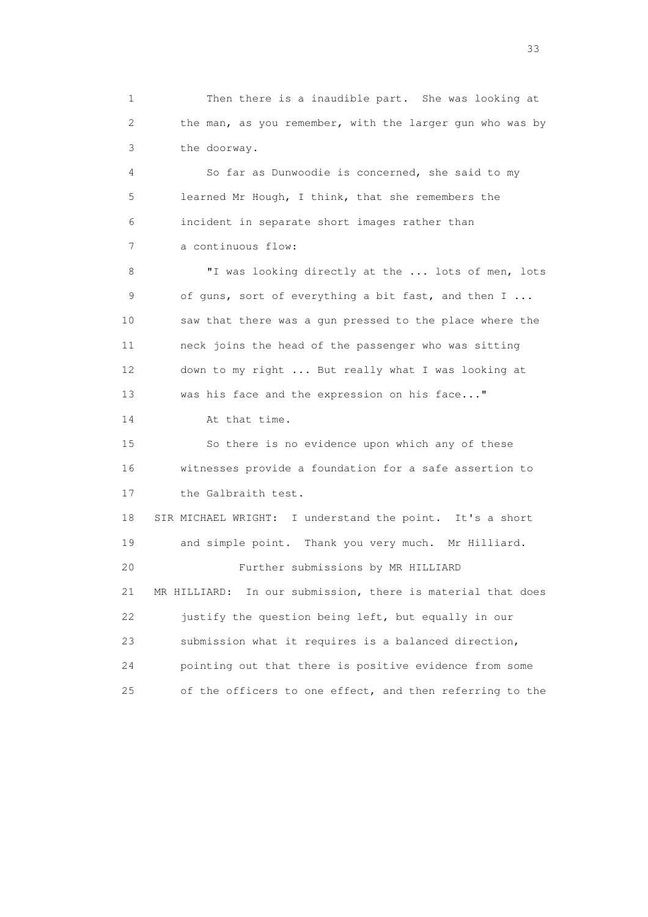1 Then there is a inaudible part. She was looking at 2 the man, as you remember, with the larger gun who was by 3 the doorway.

 4 So far as Dunwoodie is concerned, she said to my 5 learned Mr Hough, I think, that she remembers the 6 incident in separate short images rather than 7 a continuous flow:

 8 "I was looking directly at the ... lots of men, lots 9 of guns, sort of everything a bit fast, and then I ... 10 saw that there was a gun pressed to the place where the 11 neck joins the head of the passenger who was sitting 12 down to my right ... But really what I was looking at 13 was his face and the expression on his face..."

14 At that time.

 15 So there is no evidence upon which any of these 16 witnesses provide a foundation for a safe assertion to 17 the Galbraith test.

 18 SIR MICHAEL WRIGHT: I understand the point. It's a short 19 and simple point. Thank you very much. Mr Hilliard. 20 Further submissions by MR HILLIARD 21 MR HILLIARD: In our submission, there is material that does 22 justify the question being left, but equally in our 23 submission what it requires is a balanced direction, 24 pointing out that there is positive evidence from some 25 of the officers to one effect, and then referring to the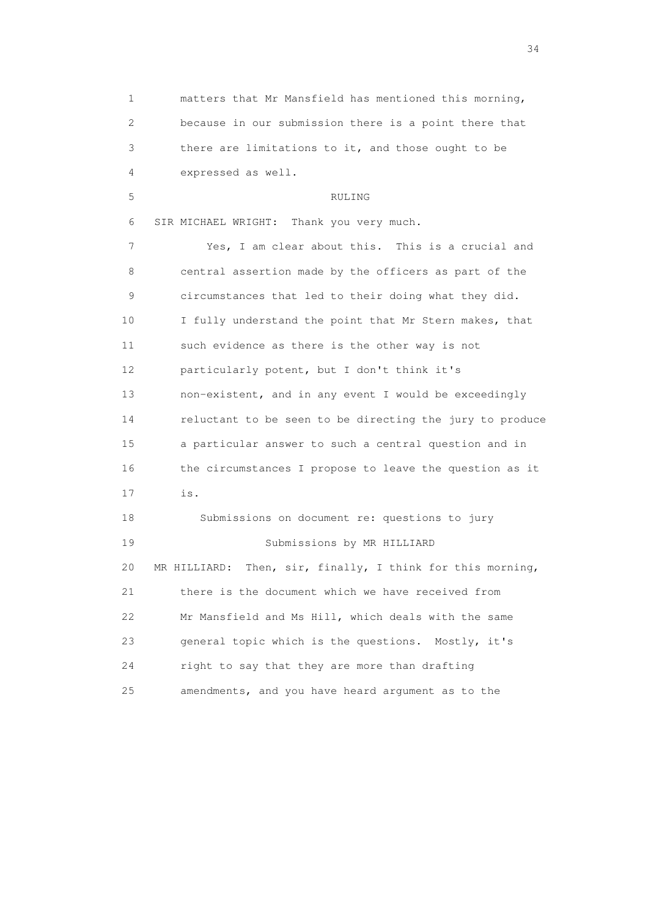| 1  | matters that Mr Mansfield has mentioned this morning,         |
|----|---------------------------------------------------------------|
| 2  | because in our submission there is a point there that         |
| 3  | there are limitations to it, and those ought to be            |
| 4  | expressed as well.                                            |
| 5  | RULING                                                        |
| 6  | SIR MICHAEL WRIGHT: Thank you very much.                      |
| 7  | Yes, I am clear about this. This is a crucial and             |
| 8  | central assertion made by the officers as part of the         |
| 9  | circumstances that led to their doing what they did.          |
| 10 | I fully understand the point that Mr Stern makes, that        |
| 11 | such evidence as there is the other way is not                |
| 12 | particularly potent, but I don't think it's                   |
| 13 | non-existent, and in any event I would be exceedingly         |
| 14 | reluctant to be seen to be directing the jury to produce      |
| 15 | a particular answer to such a central question and in         |
| 16 | the circumstances I propose to leave the question as it       |
| 17 | is.                                                           |
| 18 | Submissions on document re: questions to jury                 |
| 19 | Submissions by MR HILLIARD                                    |
| 20 | Then, sir, finally, I think for this morning,<br>MR HILLIARD: |
| 21 | there is the document which we have received from             |
| 22 | Mr Mansfield and Ms Hill, which deals with the same           |
| 23 | general topic which is the questions. Mostly, it's            |
| 24 | right to say that they are more than drafting                 |
| 25 | amendments, and you have heard argument as to the             |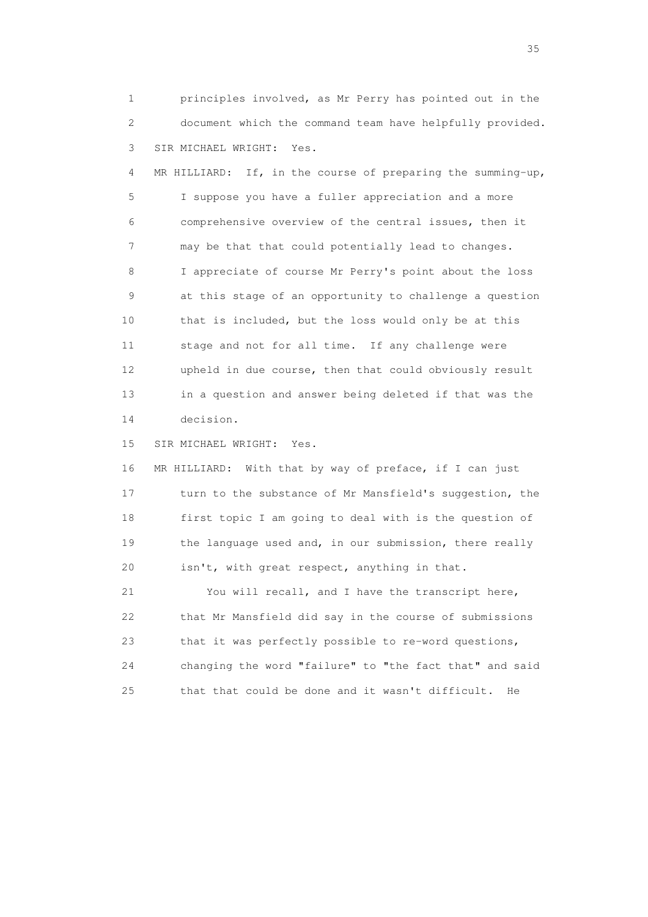1 principles involved, as Mr Perry has pointed out in the 2 document which the command team have helpfully provided. 3 SIR MICHAEL WRIGHT: Yes.

 4 MR HILLIARD: If, in the course of preparing the summing-up, 5 I suppose you have a fuller appreciation and a more 6 comprehensive overview of the central issues, then it 7 may be that that could potentially lead to changes. 8 I appreciate of course Mr Perry's point about the loss 9 at this stage of an opportunity to challenge a question 10 that is included, but the loss would only be at this 11 stage and not for all time. If any challenge were 12 upheld in due course, then that could obviously result 13 in a question and answer being deleted if that was the 14 decision.

15 SIR MICHAEL WRIGHT: Yes.

 16 MR HILLIARD: With that by way of preface, if I can just 17 turn to the substance of Mr Mansfield's suggestion, the 18 first topic I am going to deal with is the question of 19 the language used and, in our submission, there really 20 isn't, with great respect, anything in that.

 21 You will recall, and I have the transcript here, 22 that Mr Mansfield did say in the course of submissions 23 that it was perfectly possible to re-word questions, 24 changing the word "failure" to "the fact that" and said 25 that that could be done and it wasn't difficult. He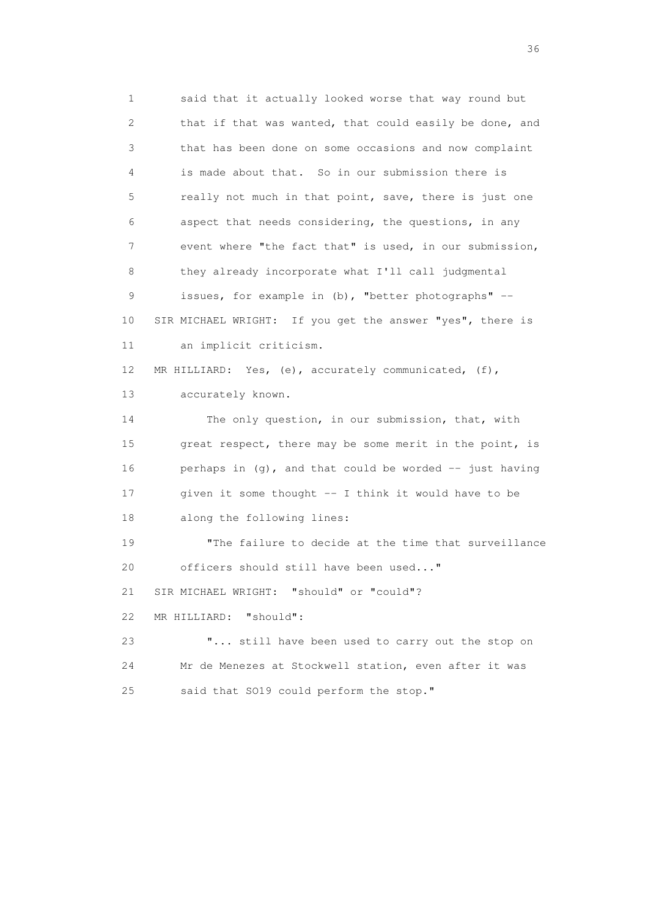1 said that it actually looked worse that way round but 2 that if that was wanted, that could easily be done, and 3 that has been done on some occasions and now complaint 4 is made about that. So in our submission there is 5 really not much in that point, save, there is just one 6 aspect that needs considering, the questions, in any 7 event where "the fact that" is used, in our submission, 8 they already incorporate what I'll call judgmental 9 issues, for example in (b), "better photographs" -- 10 SIR MICHAEL WRIGHT: If you get the answer "yes", there is 11 an implicit criticism. 12 MR HILLIARD: Yes, (e), accurately communicated, (f), 13 accurately known. 14 The only question, in our submission, that, with 15 great respect, there may be some merit in the point, is 16 perhaps in (g), and that could be worded -- just having 17 given it some thought -- I think it would have to be 18 along the following lines: 19 "The failure to decide at the time that surveillance 20 officers should still have been used..." 21 SIR MICHAEL WRIGHT: "should" or "could"? 22 MR HILLIARD: "should": 23 "... still have been used to carry out the stop on 24 Mr de Menezes at Stockwell station, even after it was 25 said that SO19 could perform the stop."

 $36<sup>2</sup>$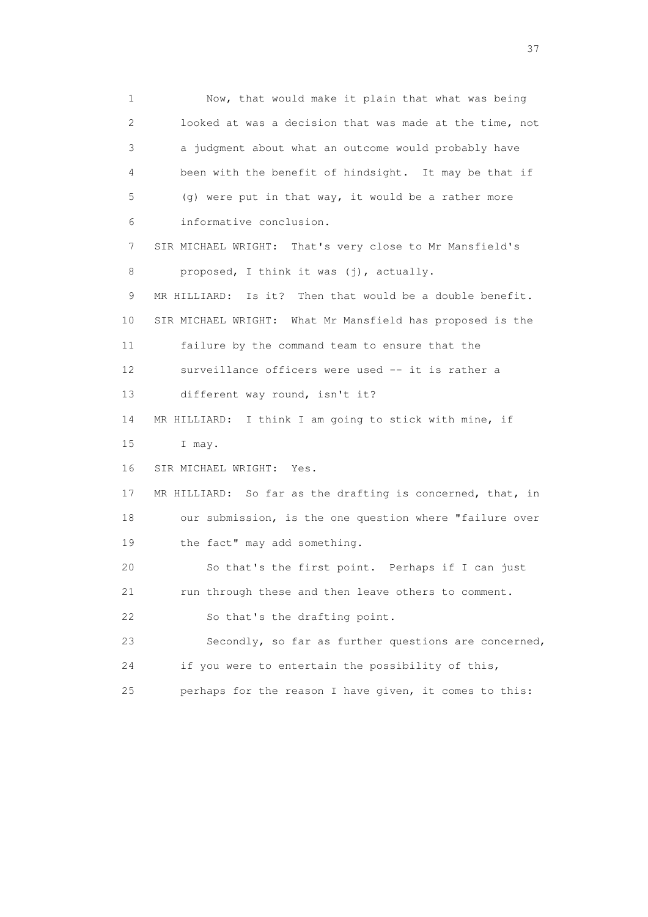1 Now, that would make it plain that what was being 2 looked at was a decision that was made at the time, not 3 a judgment about what an outcome would probably have 4 been with the benefit of hindsight. It may be that if 5 (g) were put in that way, it would be a rather more 6 informative conclusion. 7 SIR MICHAEL WRIGHT: That's very close to Mr Mansfield's 8 proposed, I think it was (j), actually. 9 MR HILLIARD: Is it? Then that would be a double benefit. 10 SIR MICHAEL WRIGHT: What Mr Mansfield has proposed is the 11 failure by the command team to ensure that the 12 surveillance officers were used -- it is rather a 13 different way round, isn't it? 14 MR HILLIARD: I think I am going to stick with mine, if 15 I may. 16 SIR MICHAEL WRIGHT: Yes. 17 MR HILLIARD: So far as the drafting is concerned, that, in 18 our submission, is the one question where "failure over 19 the fact" may add something. 20 So that's the first point. Perhaps if I can just 21 run through these and then leave others to comment. 22 So that's the drafting point. 23 Secondly, so far as further questions are concerned, 24 if you were to entertain the possibility of this, 25 perhaps for the reason I have given, it comes to this: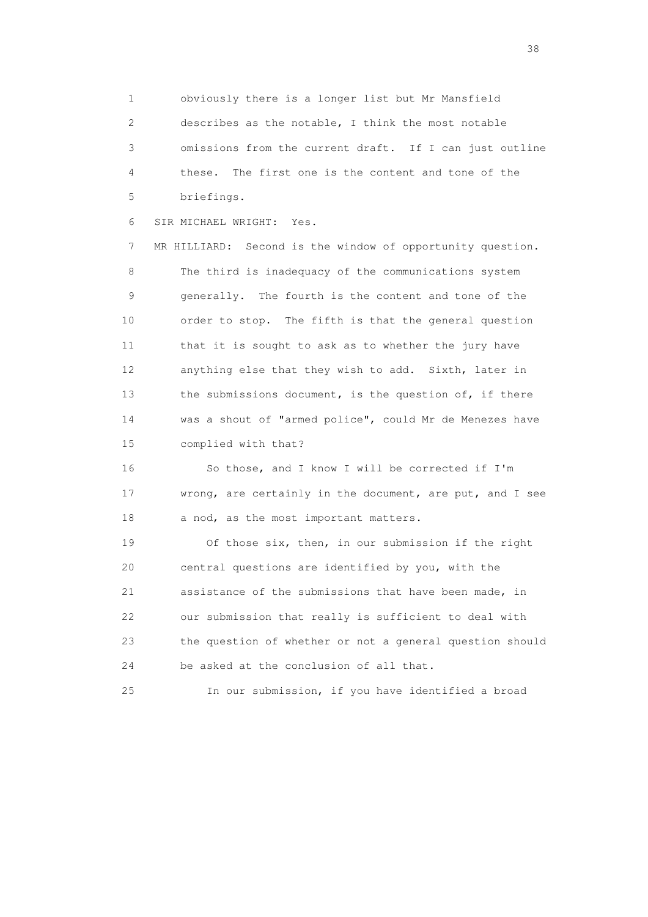1 obviously there is a longer list but Mr Mansfield 2 describes as the notable, I think the most notable 3 omissions from the current draft. If I can just outline 4 these. The first one is the content and tone of the 5 briefings.

6 SIR MICHAEL WRIGHT: Yes.

 7 MR HILLIARD: Second is the window of opportunity question. 8 The third is inadequacy of the communications system 9 generally. The fourth is the content and tone of the 10 order to stop. The fifth is that the general question 11 that it is sought to ask as to whether the jury have 12 anything else that they wish to add. Sixth, later in 13 the submissions document, is the question of, if there 14 was a shout of "armed police", could Mr de Menezes have 15 complied with that?

 16 So those, and I know I will be corrected if I'm 17 wrong, are certainly in the document, are put, and I see 18 a nod, as the most important matters.

 19 Of those six, then, in our submission if the right 20 central questions are identified by you, with the 21 assistance of the submissions that have been made, in 22 our submission that really is sufficient to deal with 23 the question of whether or not a general question should 24 be asked at the conclusion of all that.

25 In our submission, if you have identified a broad

and the state of the state of the state of the state of the state of the state of the state of the state of the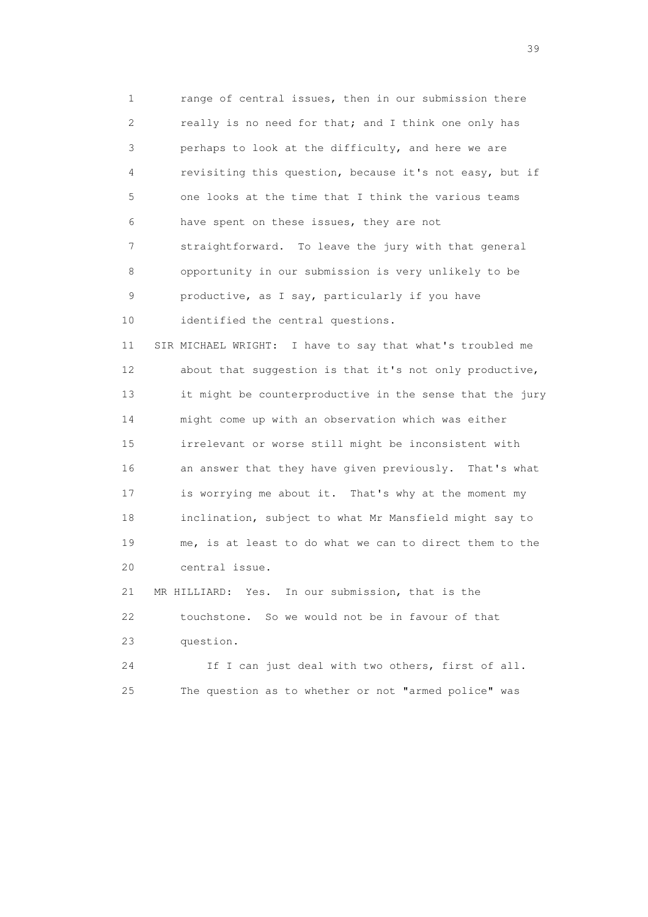1 range of central issues, then in our submission there 2 really is no need for that; and I think one only has 3 perhaps to look at the difficulty, and here we are 4 revisiting this question, because it's not easy, but if 5 one looks at the time that I think the various teams 6 have spent on these issues, they are not 7 straightforward. To leave the jury with that general 8 opportunity in our submission is very unlikely to be 9 productive, as I say, particularly if you have 10 identified the central questions.

 11 SIR MICHAEL WRIGHT: I have to say that what's troubled me 12 about that suggestion is that it's not only productive, 13 it might be counterproductive in the sense that the jury 14 might come up with an observation which was either 15 irrelevant or worse still might be inconsistent with 16 an answer that they have given previously. That's what 17 is worrying me about it. That's why at the moment my 18 inclination, subject to what Mr Mansfield might say to 19 me, is at least to do what we can to direct them to the 20 central issue.

 21 MR HILLIARD: Yes. In our submission, that is the 22 touchstone. So we would not be in favour of that 23 question.

 24 If I can just deal with two others, first of all. 25 The question as to whether or not "armed police" was

 $39<sup>2</sup>$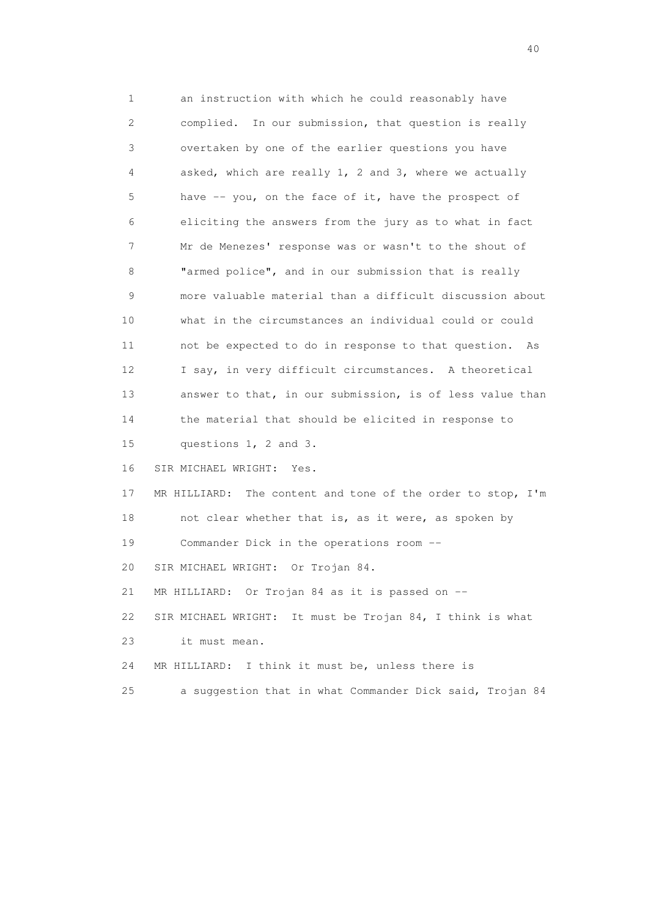1 an instruction with which he could reasonably have 2 complied. In our submission, that question is really 3 overtaken by one of the earlier questions you have 4 asked, which are really 1, 2 and 3, where we actually 5 have -- you, on the face of it, have the prospect of 6 eliciting the answers from the jury as to what in fact 7 Mr de Menezes' response was or wasn't to the shout of 8 "armed police", and in our submission that is really 9 more valuable material than a difficult discussion about 10 what in the circumstances an individual could or could 11 not be expected to do in response to that question. As 12 I say, in very difficult circumstances. A theoretical 13 answer to that, in our submission, is of less value than 14 the material that should be elicited in response to 15 questions 1, 2 and 3. 16 SIR MICHAEL WRIGHT: Yes. 17 MR HILLIARD: The content and tone of the order to stop, I'm 18 not clear whether that is, as it were, as spoken by 19 Commander Dick in the operations room -- 20 SIR MICHAEL WRIGHT: Or Trojan 84. 21 MR HILLIARD: Or Trojan 84 as it is passed on -- 22 SIR MICHAEL WRIGHT: It must be Trojan 84, I think is what 23 it must mean. 24 MR HILLIARD: I think it must be, unless there is 25 a suggestion that in what Commander Dick said, Trojan 84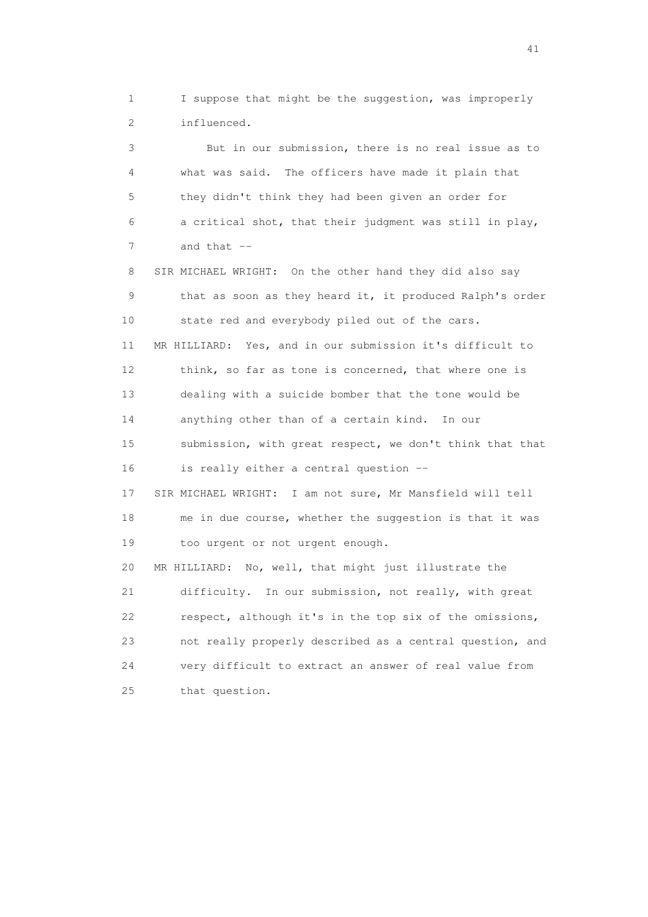1 I suppose that might be the suggestion, was improperly 2 influenced.

 3 But in our submission, there is no real issue as to 4 what was said. The officers have made it plain that 5 they didn't think they had been given an order for 6 a critical shot, that their judgment was still in play, 7 and that --

 8 SIR MICHAEL WRIGHT: On the other hand they did also say 9 that as soon as they heard it, it produced Ralph's order 10 state red and everybody piled out of the cars. 11 MR HILLIARD: Yes, and in our submission it's difficult to 12 think, so far as tone is concerned, that where one is 13 dealing with a suicide bomber that the tone would be 14 anything other than of a certain kind. In our 15 submission, with great respect, we don't think that that 16 is really either a central question -- 17 SIR MICHAEL WRIGHT: I am not sure, Mr Mansfield will tell 18 me in due course, whether the suggestion is that it was 19 too urgent or not urgent enough. 20 MR HILLIARD: No, well, that might just illustrate the 21 difficulty. In our submission, not really, with great 22 respect, although it's in the top six of the omissions, 23 not really properly described as a central question, and

 24 very difficult to extract an answer of real value from 25 that question.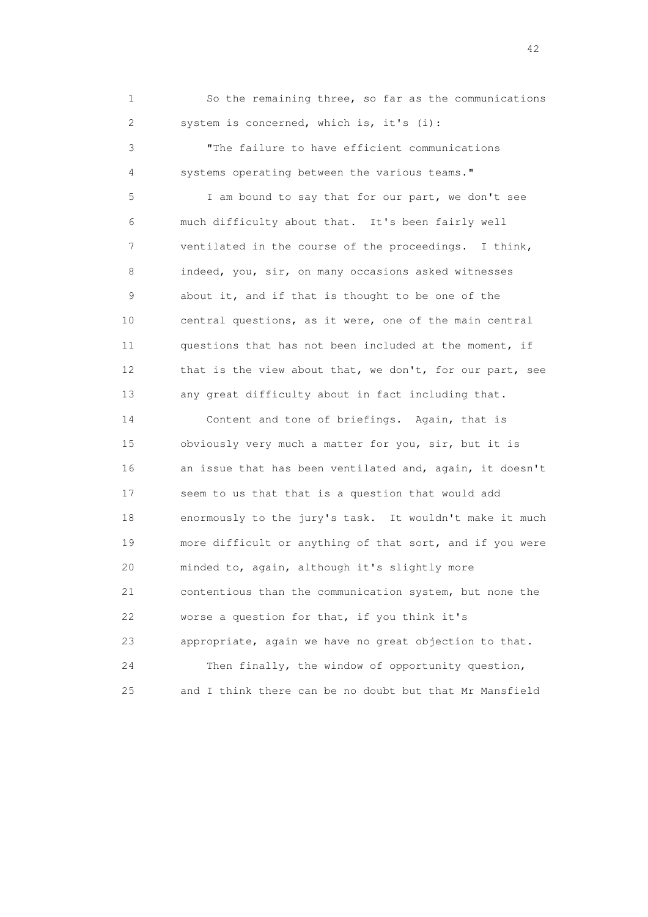1 So the remaining three, so far as the communications 2 system is concerned, which is, it's (i):

 3 "The failure to have efficient communications 4 systems operating between the various teams."

 5 I am bound to say that for our part, we don't see 6 much difficulty about that. It's been fairly well 7 ventilated in the course of the proceedings. I think, 8 indeed, you, sir, on many occasions asked witnesses 9 about it, and if that is thought to be one of the 10 central questions, as it were, one of the main central 11 questions that has not been included at the moment, if 12 that is the view about that, we don't, for our part, see 13 any great difficulty about in fact including that.

 14 Content and tone of briefings. Again, that is 15 obviously very much a matter for you, sir, but it is 16 an issue that has been ventilated and, again, it doesn't 17 seem to us that that is a question that would add 18 enormously to the jury's task. It wouldn't make it much 19 more difficult or anything of that sort, and if you were 20 minded to, again, although it's slightly more 21 contentious than the communication system, but none the 22 worse a question for that, if you think it's 23 appropriate, again we have no great objection to that. 24 Then finally, the window of opportunity question, 25 and I think there can be no doubt but that Mr Mansfield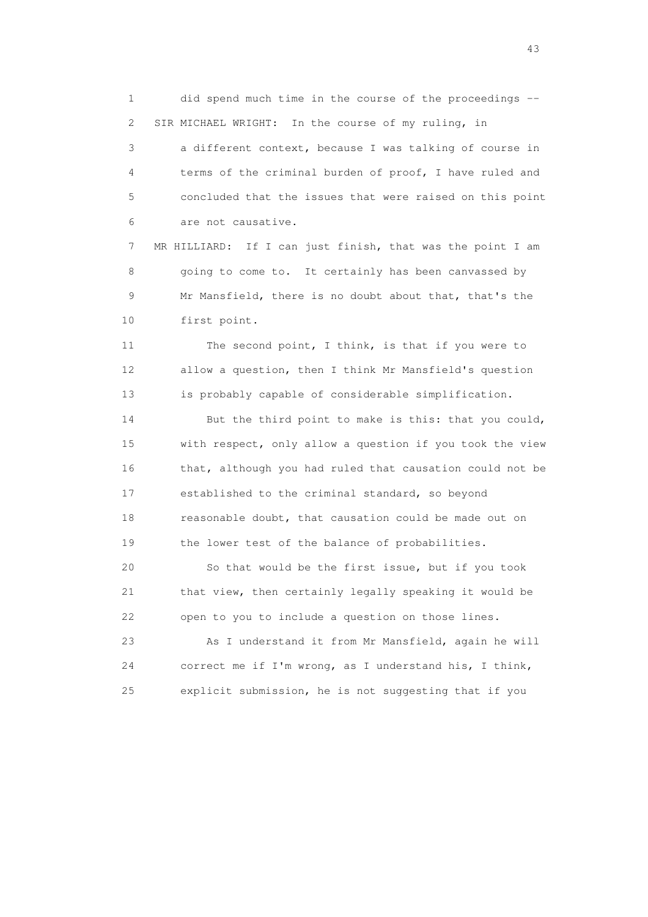1 did spend much time in the course of the proceedings -- 2 SIR MICHAEL WRIGHT: In the course of my ruling, in

 3 a different context, because I was talking of course in 4 terms of the criminal burden of proof, I have ruled and 5 concluded that the issues that were raised on this point 6 are not causative.

 7 MR HILLIARD: If I can just finish, that was the point I am 8 going to come to. It certainly has been canvassed by 9 Mr Mansfield, there is no doubt about that, that's the 10 first point.

 11 The second point, I think, is that if you were to 12 allow a question, then I think Mr Mansfield's question 13 is probably capable of considerable simplification.

 14 But the third point to make is this: that you could, 15 with respect, only allow a question if you took the view 16 that, although you had ruled that causation could not be 17 established to the criminal standard, so beyond 18 reasonable doubt, that causation could be made out on 19 the lower test of the balance of probabilities.

 20 So that would be the first issue, but if you took 21 that view, then certainly legally speaking it would be 22 open to you to include a question on those lines.

 23 As I understand it from Mr Mansfield, again he will 24 correct me if I'm wrong, as I understand his, I think, 25 explicit submission, he is not suggesting that if you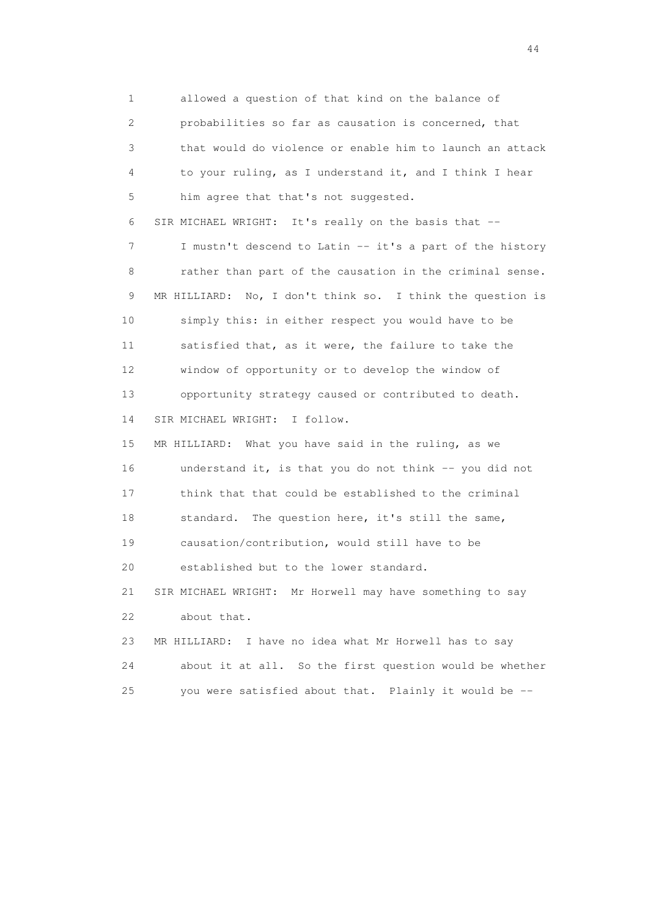1 allowed a question of that kind on the balance of 2 probabilities so far as causation is concerned, that 3 that would do violence or enable him to launch an attack 4 to your ruling, as I understand it, and I think I hear 5 him agree that that's not suggested. 6 SIR MICHAEL WRIGHT: It's really on the basis that -- 7 I mustn't descend to Latin -- it's a part of the history 8 rather than part of the causation in the criminal sense. 9 MR HILLIARD: No, I don't think so. I think the question is 10 simply this: in either respect you would have to be 11 satisfied that, as it were, the failure to take the 12 window of opportunity or to develop the window of 13 opportunity strategy caused or contributed to death. 14 SIR MICHAEL WRIGHT: I follow. 15 MR HILLIARD: What you have said in the ruling, as we 16 understand it, is that you do not think -- you did not 17 think that that could be established to the criminal 18 standard. The question here, it's still the same, 19 causation/contribution, would still have to be 20 established but to the lower standard. 21 SIR MICHAEL WRIGHT: Mr Horwell may have something to say 22 about that. 23 MR HILLIARD: I have no idea what Mr Horwell has to say 24 about it at all. So the first question would be whether 25 you were satisfied about that. Plainly it would be --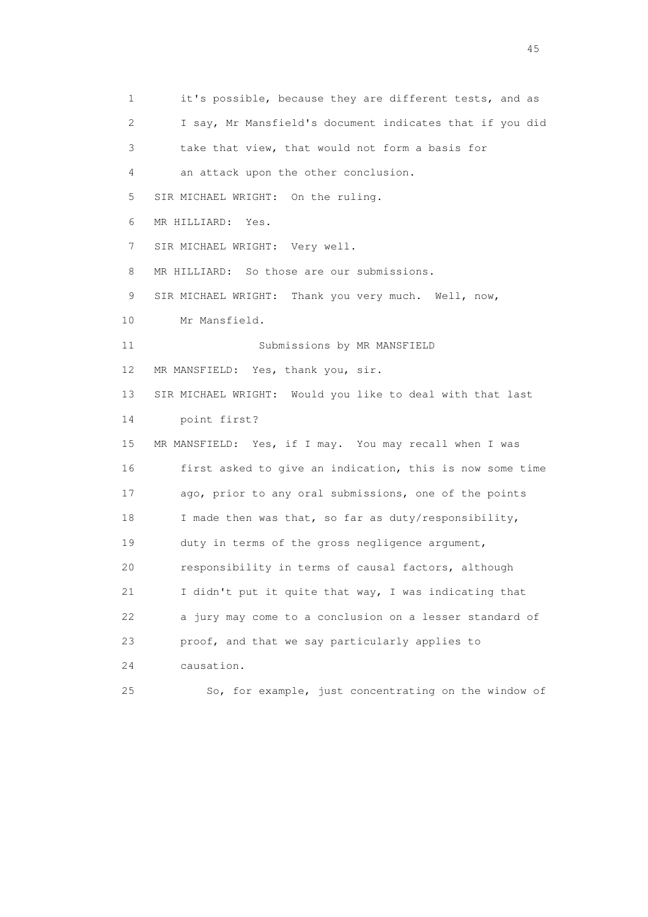1 it's possible, because they are different tests, and as 2 I say, Mr Mansfield's document indicates that if you did 3 take that view, that would not form a basis for 4 an attack upon the other conclusion. 5 SIR MICHAEL WRIGHT: On the ruling. 6 MR HILLIARD: Yes. 7 SIR MICHAEL WRIGHT: Very well. 8 MR HILLIARD: So those are our submissions. 9 SIR MICHAEL WRIGHT: Thank you very much. Well, now, 10 Mr Mansfield. 11 Submissions by MR MANSFIELD 12 MR MANSFIELD: Yes, thank you, sir. 13 SIR MICHAEL WRIGHT: Would you like to deal with that last 14 point first? 15 MR MANSFIELD: Yes, if I may. You may recall when I was 16 first asked to give an indication, this is now some time 17 ago, prior to any oral submissions, one of the points 18 I made then was that, so far as duty/responsibility, 19 duty in terms of the gross negligence argument, 20 responsibility in terms of causal factors, although 21 I didn't put it quite that way, I was indicating that 22 a jury may come to a conclusion on a lesser standard of 23 proof, and that we say particularly applies to 24 causation. 25 So, for example, just concentrating on the window of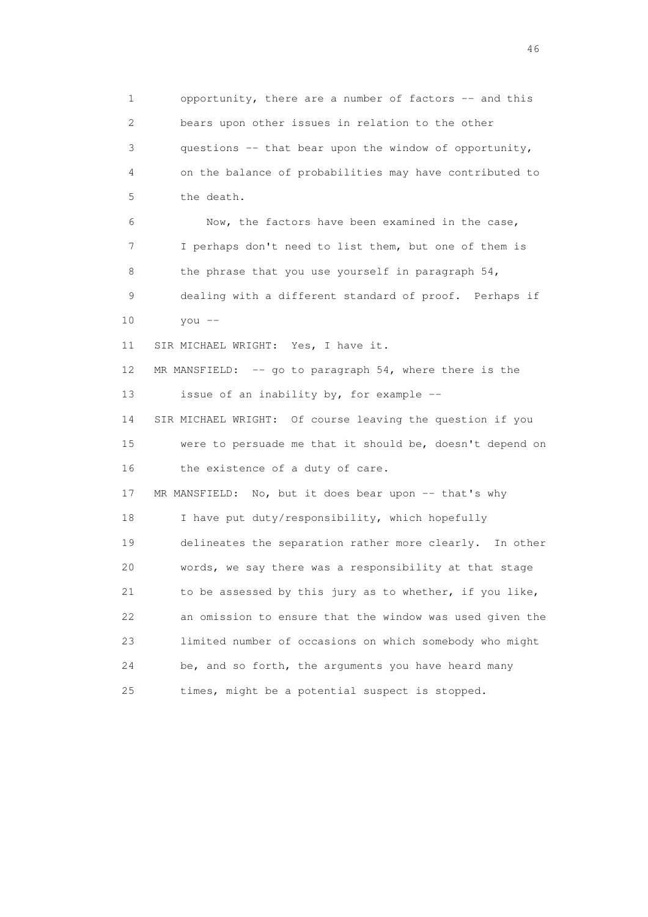1 opportunity, there are a number of factors -- and this 2 bears upon other issues in relation to the other 3 questions -- that bear upon the window of opportunity, 4 on the balance of probabilities may have contributed to 5 the death. 6 Now, the factors have been examined in the case, 7 I perhaps don't need to list them, but one of them is 8 the phrase that you use yourself in paragraph 54, 9 dealing with a different standard of proof. Perhaps if 10 you -- 11 SIR MICHAEL WRIGHT: Yes, I have it. 12 MR MANSFIELD: -- go to paragraph 54, where there is the 13 issue of an inability by, for example -- 14 SIR MICHAEL WRIGHT: Of course leaving the question if you 15 were to persuade me that it should be, doesn't depend on 16 the existence of a duty of care. 17 MR MANSFIELD: No, but it does bear upon -- that's why 18 I have put duty/responsibility, which hopefully 19 delineates the separation rather more clearly. In other 20 words, we say there was a responsibility at that stage 21 to be assessed by this jury as to whether, if you like, 22 an omission to ensure that the window was used given the 23 limited number of occasions on which somebody who might 24 be, and so forth, the arguments you have heard many 25 times, might be a potential suspect is stopped.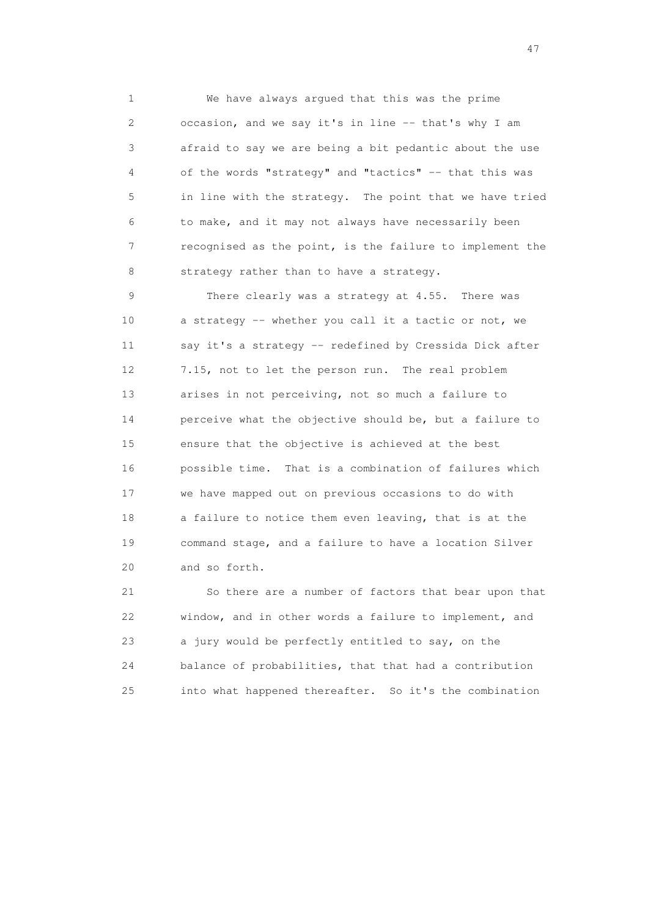1 We have always argued that this was the prime 2 occasion, and we say it's in line -- that's why I am 3 afraid to say we are being a bit pedantic about the use 4 of the words "strategy" and "tactics" -- that this was 5 in line with the strategy. The point that we have tried 6 to make, and it may not always have necessarily been 7 recognised as the point, is the failure to implement the 8 strategy rather than to have a strategy.

 9 There clearly was a strategy at 4.55. There was 10 a strategy -- whether you call it a tactic or not, we 11 say it's a strategy -- redefined by Cressida Dick after 12 7.15, not to let the person run. The real problem 13 arises in not perceiving, not so much a failure to 14 perceive what the objective should be, but a failure to 15 ensure that the objective is achieved at the best 16 possible time. That is a combination of failures which 17 we have mapped out on previous occasions to do with 18 a failure to notice them even leaving, that is at the 19 command stage, and a failure to have a location Silver 20 and so forth.

 21 So there are a number of factors that bear upon that 22 window, and in other words a failure to implement, and 23 a jury would be perfectly entitled to say, on the 24 balance of probabilities, that that had a contribution 25 into what happened thereafter. So it's the combination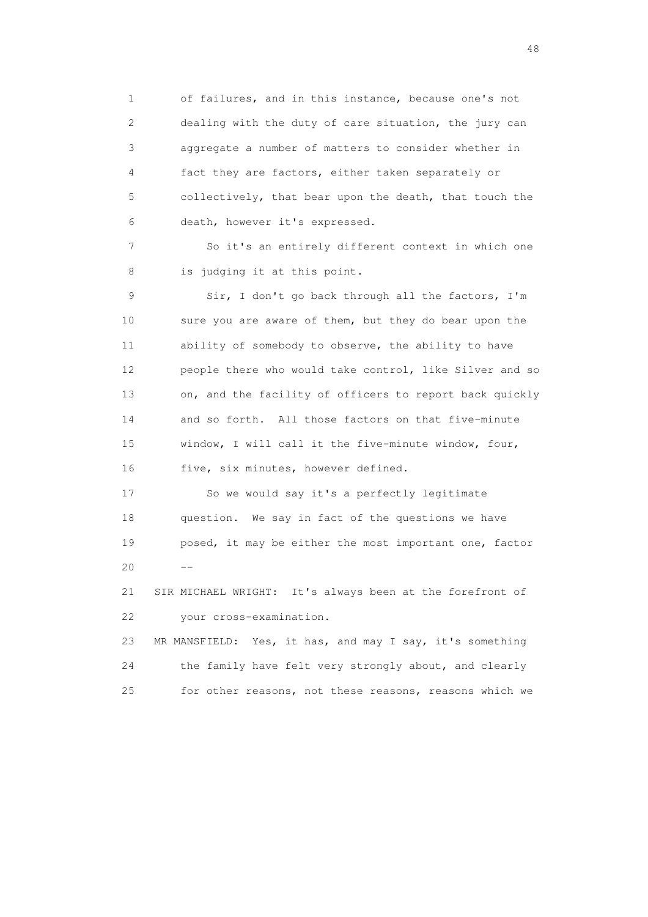1 of failures, and in this instance, because one's not 2 dealing with the duty of care situation, the jury can 3 aggregate a number of matters to consider whether in 4 fact they are factors, either taken separately or 5 collectively, that bear upon the death, that touch the 6 death, however it's expressed.

 7 So it's an entirely different context in which one 8 is judging it at this point.

 9 Sir, I don't go back through all the factors, I'm 10 sure you are aware of them, but they do bear upon the 11 ability of somebody to observe, the ability to have 12 people there who would take control, like Silver and so 13 on, and the facility of officers to report back quickly 14 and so forth. All those factors on that five-minute 15 window, I will call it the five-minute window, four, 16 five, six minutes, however defined.

 17 So we would say it's a perfectly legitimate 18 question. We say in fact of the questions we have 19 posed, it may be either the most important one, factor  $20$  --

> 21 SIR MICHAEL WRIGHT: It's always been at the forefront of 22 your cross-examination.

 23 MR MANSFIELD: Yes, it has, and may I say, it's something 24 the family have felt very strongly about, and clearly 25 for other reasons, not these reasons, reasons which we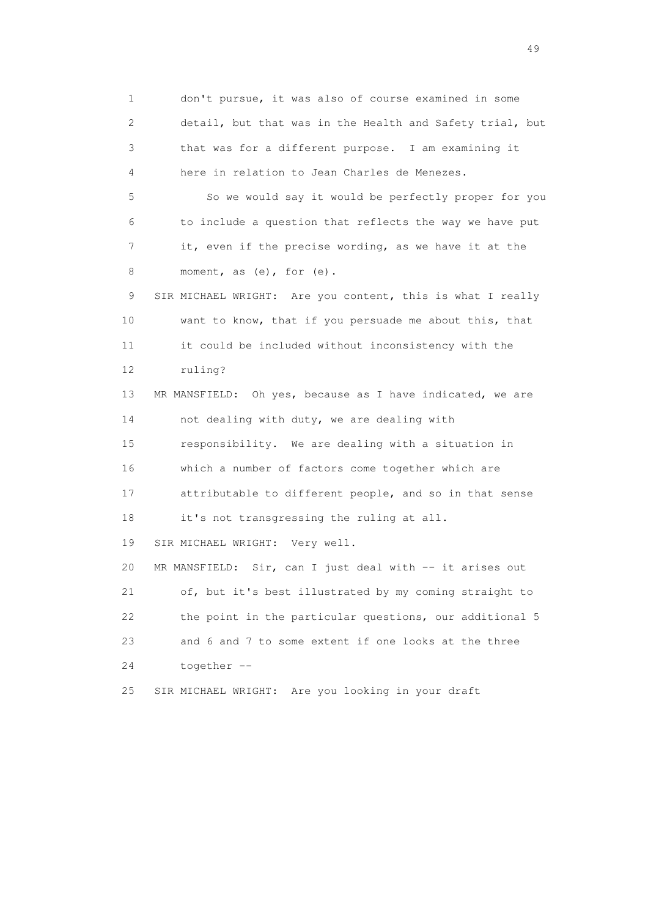1 don't pursue, it was also of course examined in some 2 detail, but that was in the Health and Safety trial, but 3 that was for a different purpose. I am examining it 4 here in relation to Jean Charles de Menezes. 5 So we would say it would be perfectly proper for you 6 to include a question that reflects the way we have put 7 it, even if the precise wording, as we have it at the 8 moment, as (e), for (e). 9 SIR MICHAEL WRIGHT: Are you content, this is what I really 10 want to know, that if you persuade me about this, that 11 it could be included without inconsistency with the 12 ruling? 13 MR MANSFIELD: Oh yes, because as I have indicated, we are 14 not dealing with duty, we are dealing with 15 responsibility. We are dealing with a situation in 16 which a number of factors come together which are 17 attributable to different people, and so in that sense 18 it's not transgressing the ruling at all. 19 SIR MICHAEL WRIGHT: Very well. 20 MR MANSFIELD: Sir, can I just deal with -- it arises out 21 of, but it's best illustrated by my coming straight to 22 the point in the particular questions, our additional 5 23 and 6 and 7 to some extent if one looks at the three 24 together -- 25 SIR MICHAEL WRIGHT: Are you looking in your draft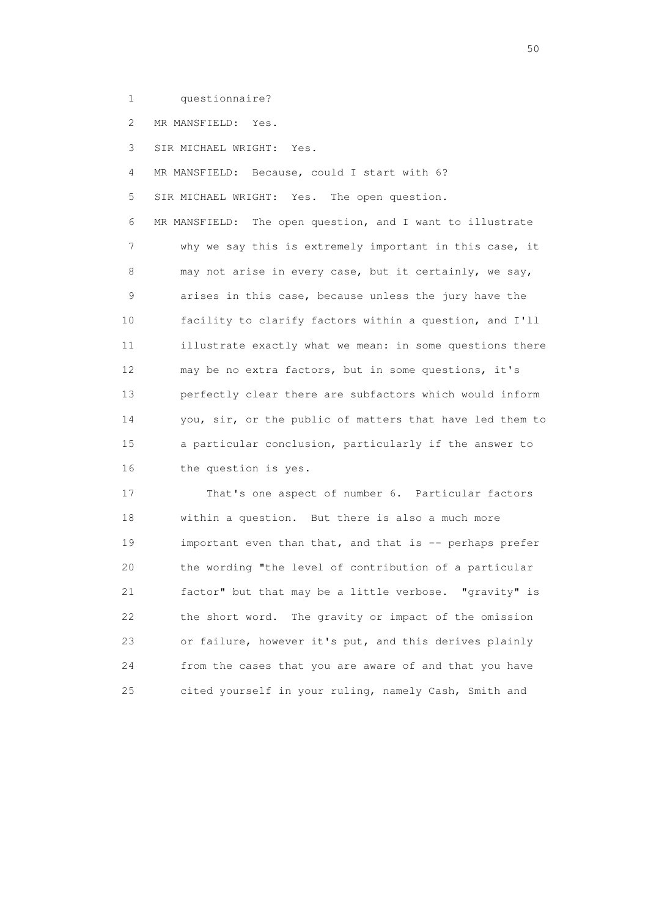1 questionnaire?

2 MR MANSFIELD: Yes.

3 SIR MICHAEL WRIGHT: Yes.

4 MR MANSFIELD: Because, could I start with 6?

5 SIR MICHAEL WRIGHT: Yes. The open question.

 6 MR MANSFIELD: The open question, and I want to illustrate 7 why we say this is extremely important in this case, it 8 may not arise in every case, but it certainly, we say, 9 arises in this case, because unless the jury have the 10 facility to clarify factors within a question, and I'll 11 illustrate exactly what we mean: in some questions there 12 may be no extra factors, but in some questions, it's 13 perfectly clear there are subfactors which would inform 14 you, sir, or the public of matters that have led them to 15 a particular conclusion, particularly if the answer to 16 the question is yes.

 17 That's one aspect of number 6. Particular factors 18 within a question. But there is also a much more 19 important even than that, and that is -- perhaps prefer 20 the wording "the level of contribution of a particular 21 factor" but that may be a little verbose. "gravity" is 22 the short word. The gravity or impact of the omission 23 or failure, however it's put, and this derives plainly 24 from the cases that you are aware of and that you have 25 cited yourself in your ruling, namely Cash, Smith and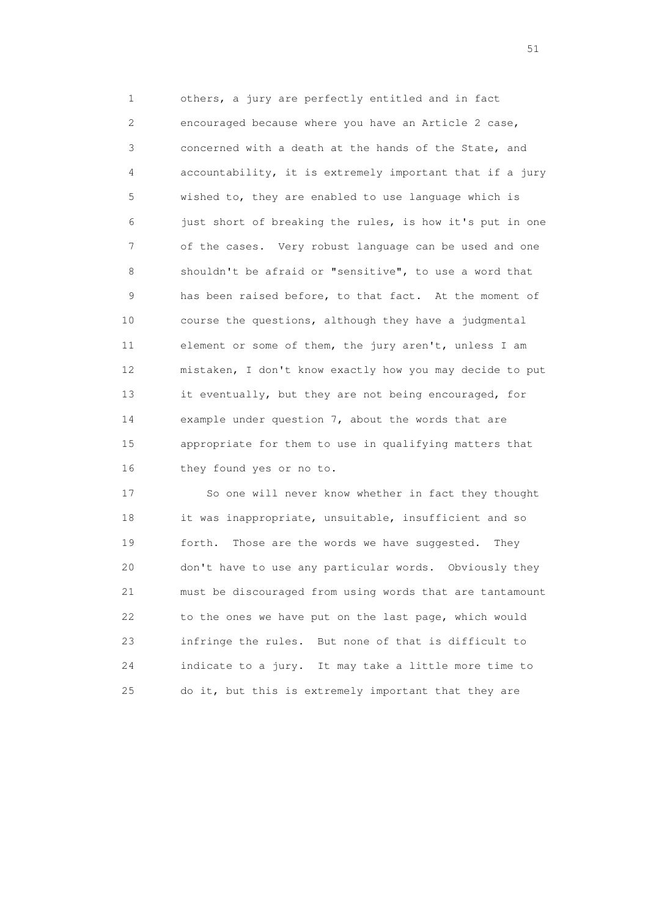1 others, a jury are perfectly entitled and in fact 2 encouraged because where you have an Article 2 case, 3 concerned with a death at the hands of the State, and 4 accountability, it is extremely important that if a jury 5 wished to, they are enabled to use language which is 6 just short of breaking the rules, is how it's put in one 7 of the cases. Very robust language can be used and one 8 shouldn't be afraid or "sensitive", to use a word that 9 has been raised before, to that fact. At the moment of 10 course the questions, although they have a judgmental 11 element or some of them, the jury aren't, unless I am 12 mistaken, I don't know exactly how you may decide to put 13 it eventually, but they are not being encouraged, for 14 example under question 7, about the words that are 15 appropriate for them to use in qualifying matters that 16 they found yes or no to.

 17 So one will never know whether in fact they thought 18 it was inappropriate, unsuitable, insufficient and so 19 forth. Those are the words we have suggested. They 20 don't have to use any particular words. Obviously they 21 must be discouraged from using words that are tantamount 22 to the ones we have put on the last page, which would 23 infringe the rules. But none of that is difficult to 24 indicate to a jury. It may take a little more time to 25 do it, but this is extremely important that they are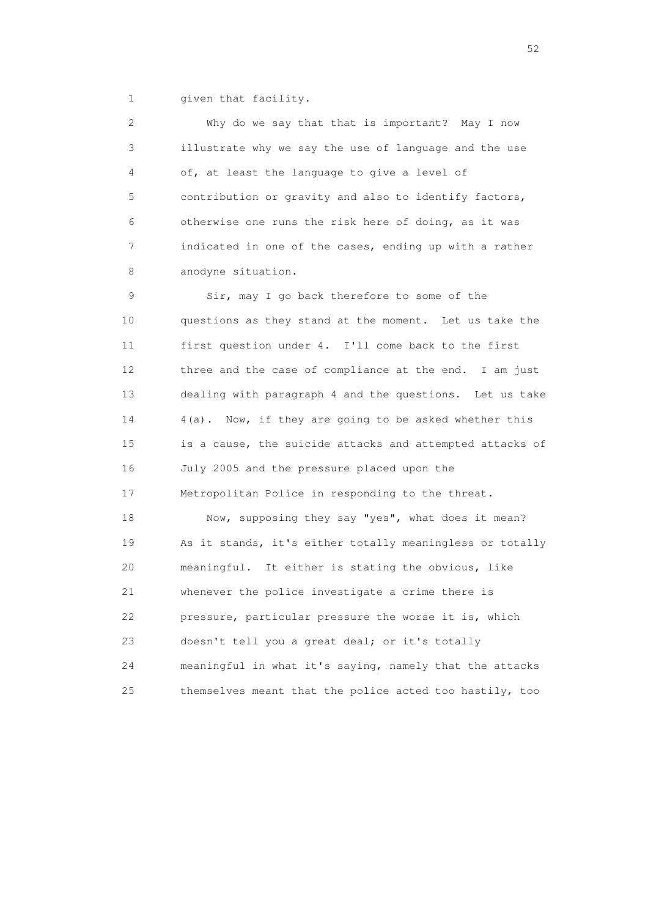1 given that facility.

 2 Why do we say that that is important? May I now 3 illustrate why we say the use of language and the use 4 of, at least the language to give a level of 5 contribution or gravity and also to identify factors, 6 otherwise one runs the risk here of doing, as it was 7 indicated in one of the cases, ending up with a rather 8 anodyne situation.

 9 Sir, may I go back therefore to some of the 10 questions as they stand at the moment. Let us take the 11 first question under 4. I'll come back to the first 12 three and the case of compliance at the end. I am just 13 dealing with paragraph 4 and the questions. Let us take 14 4(a). Now, if they are going to be asked whether this 15 is a cause, the suicide attacks and attempted attacks of 16 July 2005 and the pressure placed upon the 17 Metropolitan Police in responding to the threat.

 18 Now, supposing they say "yes", what does it mean? 19 As it stands, it's either totally meaningless or totally 20 meaningful. It either is stating the obvious, like 21 whenever the police investigate a crime there is 22 pressure, particular pressure the worse it is, which 23 doesn't tell you a great deal; or it's totally 24 meaningful in what it's saying, namely that the attacks 25 themselves meant that the police acted too hastily, too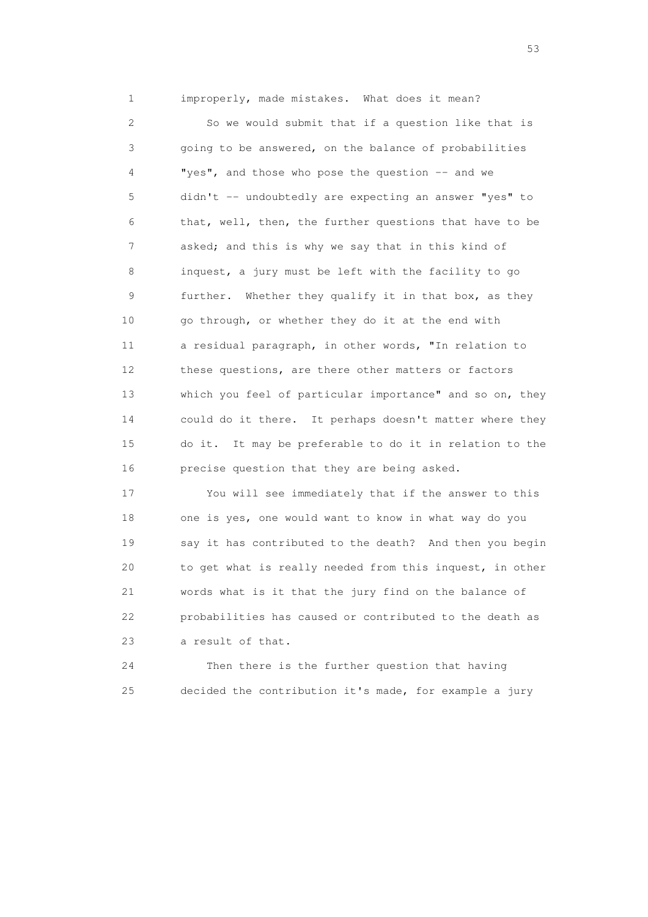1 improperly, made mistakes. What does it mean?

 2 So we would submit that if a question like that is 3 going to be answered, on the balance of probabilities 4 "yes", and those who pose the question -- and we 5 didn't -- undoubtedly are expecting an answer "yes" to 6 that, well, then, the further questions that have to be 7 asked; and this is why we say that in this kind of 8 inquest, a jury must be left with the facility to go 9 further. Whether they qualify it in that box, as they 10 go through, or whether they do it at the end with 11 a residual paragraph, in other words, "In relation to 12 these questions, are there other matters or factors 13 which you feel of particular importance" and so on, they 14 could do it there. It perhaps doesn't matter where they 15 do it. It may be preferable to do it in relation to the 16 precise question that they are being asked.

 17 You will see immediately that if the answer to this 18 one is yes, one would want to know in what way do you 19 say it has contributed to the death? And then you begin 20 to get what is really needed from this inquest, in other 21 words what is it that the jury find on the balance of 22 probabilities has caused or contributed to the death as 23 a result of that.

 24 Then there is the further question that having 25 decided the contribution it's made, for example a jury

 $\sim$  53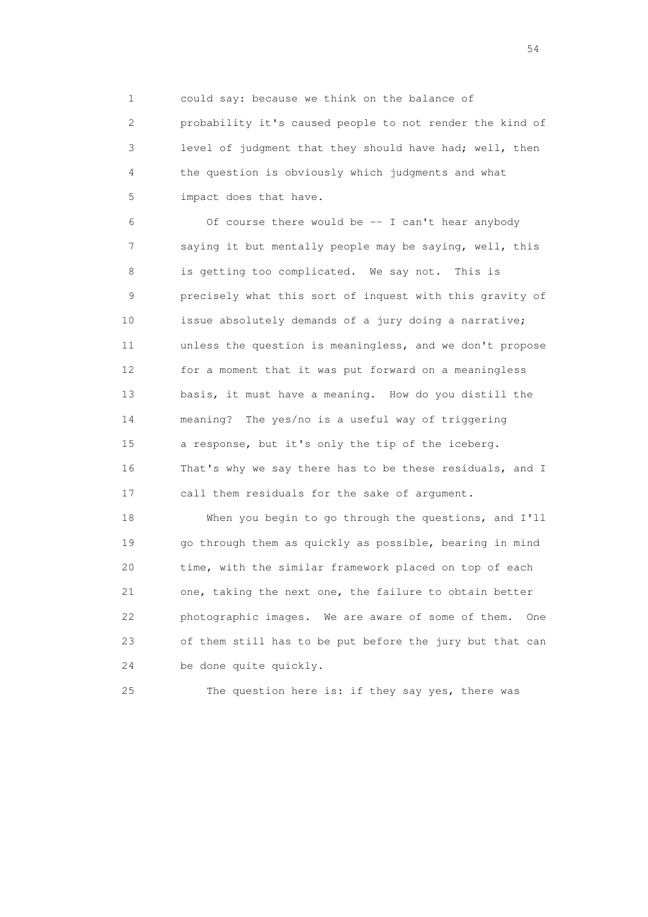1 could say: because we think on the balance of 2 probability it's caused people to not render the kind of 3 level of judgment that they should have had; well, then 4 the question is obviously which judgments and what 5 impact does that have.

 6 Of course there would be -- I can't hear anybody 7 saying it but mentally people may be saying, well, this 8 is getting too complicated. We say not. This is 9 precisely what this sort of inquest with this gravity of 10 issue absolutely demands of a jury doing a narrative; 11 unless the question is meaningless, and we don't propose 12 for a moment that it was put forward on a meaningless 13 basis, it must have a meaning. How do you distill the 14 meaning? The yes/no is a useful way of triggering 15 a response, but it's only the tip of the iceberg. 16 That's why we say there has to be these residuals, and I 17 call them residuals for the sake of argument.

 18 When you begin to go through the questions, and I'll 19 go through them as quickly as possible, bearing in mind 20 time, with the similar framework placed on top of each 21 one, taking the next one, the failure to obtain better 22 photographic images. We are aware of some of them. One 23 of them still has to be put before the jury but that can 24 be done quite quickly.

25 The question here is: if they say yes, there was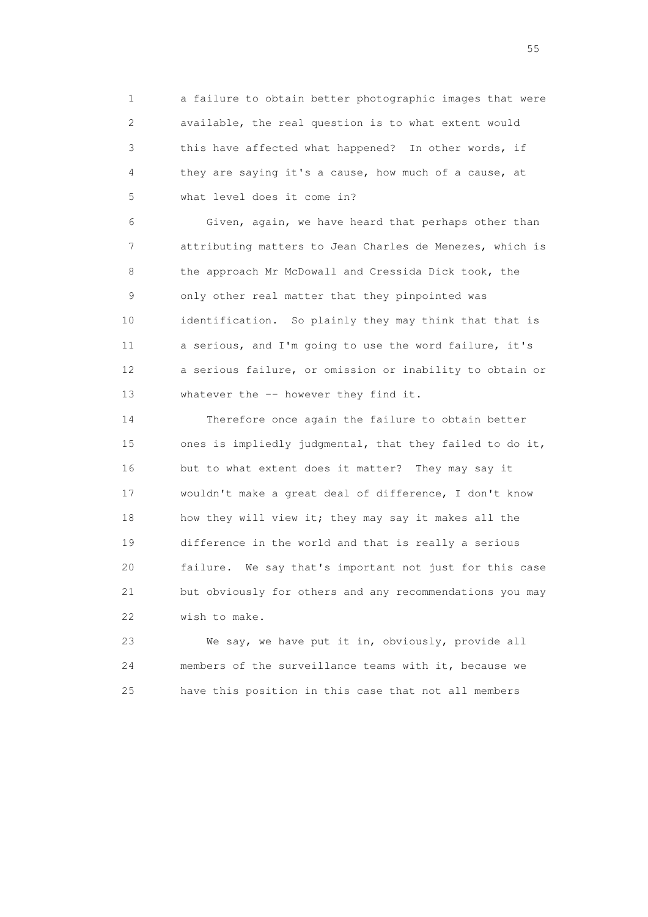1 a failure to obtain better photographic images that were 2 available, the real question is to what extent would 3 this have affected what happened? In other words, if 4 they are saying it's a cause, how much of a cause, at 5 what level does it come in?

 6 Given, again, we have heard that perhaps other than 7 attributing matters to Jean Charles de Menezes, which is 8 the approach Mr McDowall and Cressida Dick took, the 9 only other real matter that they pinpointed was 10 identification. So plainly they may think that that is 11 a serious, and I'm going to use the word failure, it's 12 a serious failure, or omission or inability to obtain or 13 whatever the -- however they find it.

 14 Therefore once again the failure to obtain better 15 ones is impliedly judgmental, that they failed to do it, 16 but to what extent does it matter? They may say it 17 wouldn't make a great deal of difference, I don't know 18 how they will view it; they may say it makes all the 19 difference in the world and that is really a serious 20 failure. We say that's important not just for this case 21 but obviously for others and any recommendations you may 22 wish to make.

 23 We say, we have put it in, obviously, provide all 24 members of the surveillance teams with it, because we 25 have this position in this case that not all members

the state of the state of the state of the state of the state of the state of the state of the state of the state of the state of the state of the state of the state of the state of the state of the state of the state of t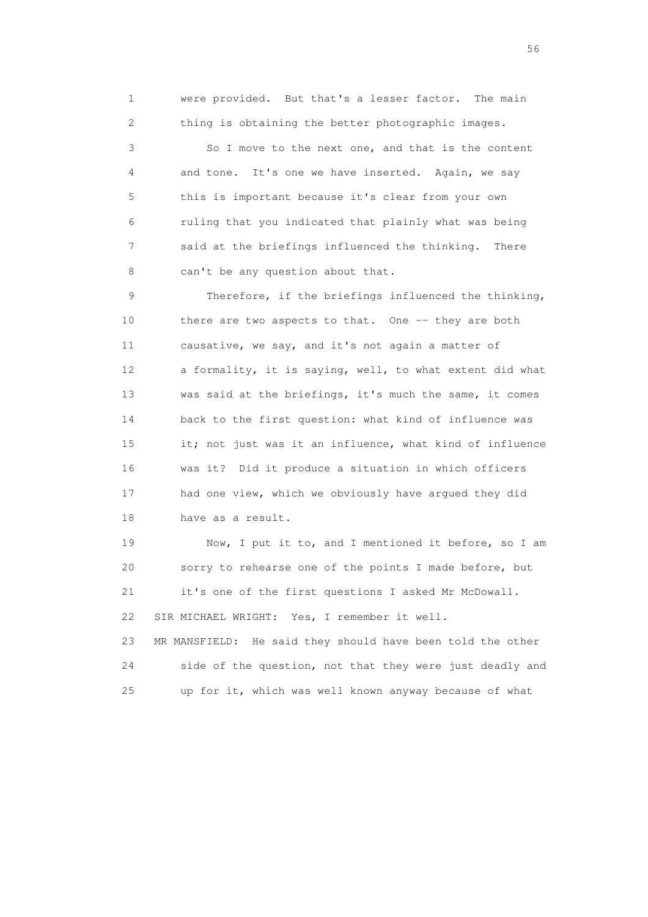1 were provided. But that's a lesser factor. The main 2 thing is obtaining the better photographic images. 3 So I move to the next one, and that is the content 4 and tone. It's one we have inserted. Again, we say 5 this is important because it's clear from your own 6 ruling that you indicated that plainly what was being 7 said at the briefings influenced the thinking. There 8 can't be any question about that.

 9 Therefore, if the briefings influenced the thinking, 10 there are two aspects to that. One -- they are both 11 causative, we say, and it's not again a matter of 12 a formality, it is saying, well, to what extent did what 13 was said at the briefings, it's much the same, it comes 14 back to the first question: what kind of influence was 15 it; not just was it an influence, what kind of influence 16 was it? Did it produce a situation in which officers 17 had one view, which we obviously have argued they did 18 have as a result.

 19 Now, I put it to, and I mentioned it before, so I am 20 sorry to rehearse one of the points I made before, but 21 it's one of the first questions I asked Mr McDowall. 22 SIR MICHAEL WRIGHT: Yes, I remember it well. 23 MR MANSFIELD: He said they should have been told the other

 24 side of the question, not that they were just deadly and 25 up for it, which was well known anyway because of what

 $56<sup>o</sup>$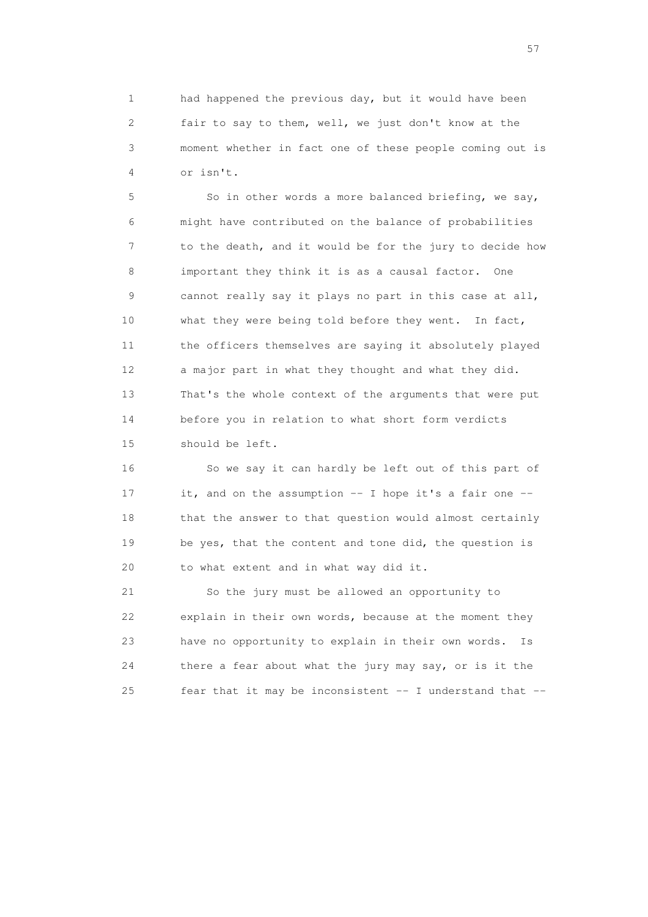1 had happened the previous day, but it would have been 2 fair to say to them, well, we just don't know at the 3 moment whether in fact one of these people coming out is 4 or isn't.

 5 So in other words a more balanced briefing, we say, 6 might have contributed on the balance of probabilities 7 to the death, and it would be for the jury to decide how 8 important they think it is as a causal factor. One 9 cannot really say it plays no part in this case at all, 10 what they were being told before they went. In fact, 11 the officers themselves are saying it absolutely played 12 a major part in what they thought and what they did. 13 That's the whole context of the arguments that were put 14 before you in relation to what short form verdicts 15 should be left.

 16 So we say it can hardly be left out of this part of 17 it, and on the assumption -- I hope it's a fair one -- 18 that the answer to that question would almost certainly 19 be yes, that the content and tone did, the question is 20 to what extent and in what way did it.

 21 So the jury must be allowed an opportunity to 22 explain in their own words, because at the moment they 23 have no opportunity to explain in their own words. Is 24 there a fear about what the jury may say, or is it the 25 fear that it may be inconsistent -- I understand that --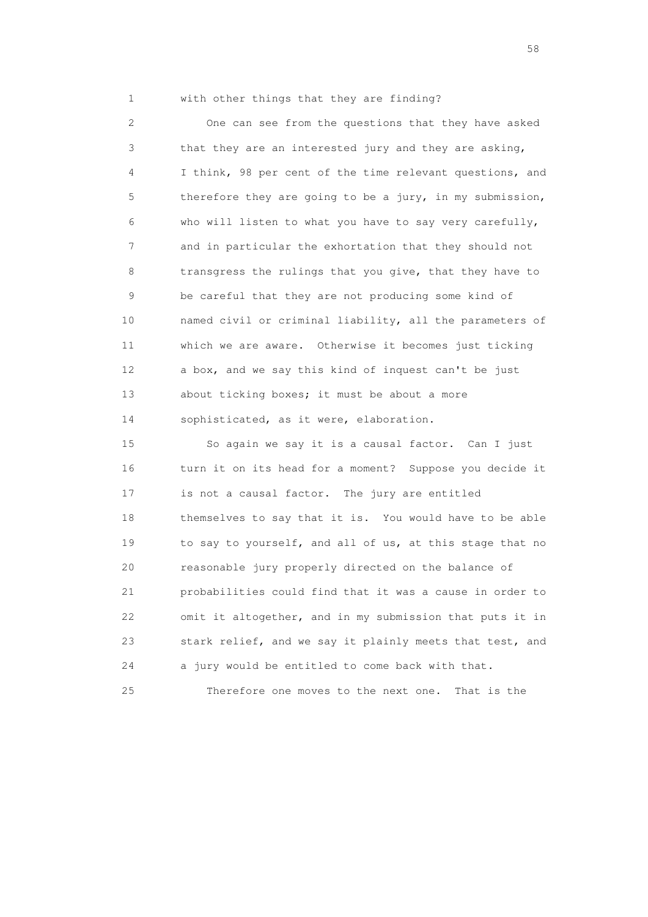1 with other things that they are finding?

 2 One can see from the questions that they have asked 3 that they are an interested jury and they are asking, 4 I think, 98 per cent of the time relevant questions, and 5 therefore they are going to be a jury, in my submission, 6 who will listen to what you have to say very carefully, 7 and in particular the exhortation that they should not 8 transgress the rulings that you give, that they have to 9 be careful that they are not producing some kind of 10 named civil or criminal liability, all the parameters of 11 which we are aware. Otherwise it becomes just ticking 12 a box, and we say this kind of inquest can't be just 13 about ticking boxes; it must be about a more 14 sophisticated, as it were, elaboration.

 15 So again we say it is a causal factor. Can I just 16 turn it on its head for a moment? Suppose you decide it 17 is not a causal factor. The jury are entitled 18 themselves to say that it is. You would have to be able 19 to say to yourself, and all of us, at this stage that no 20 reasonable jury properly directed on the balance of 21 probabilities could find that it was a cause in order to 22 omit it altogether, and in my submission that puts it in 23 stark relief, and we say it plainly meets that test, and 24 a jury would be entitled to come back with that.

25 Therefore one moves to the next one. That is the

the state of the state of the state of the state of the state of the state of the state of the state of the state of the state of the state of the state of the state of the state of the state of the state of the state of t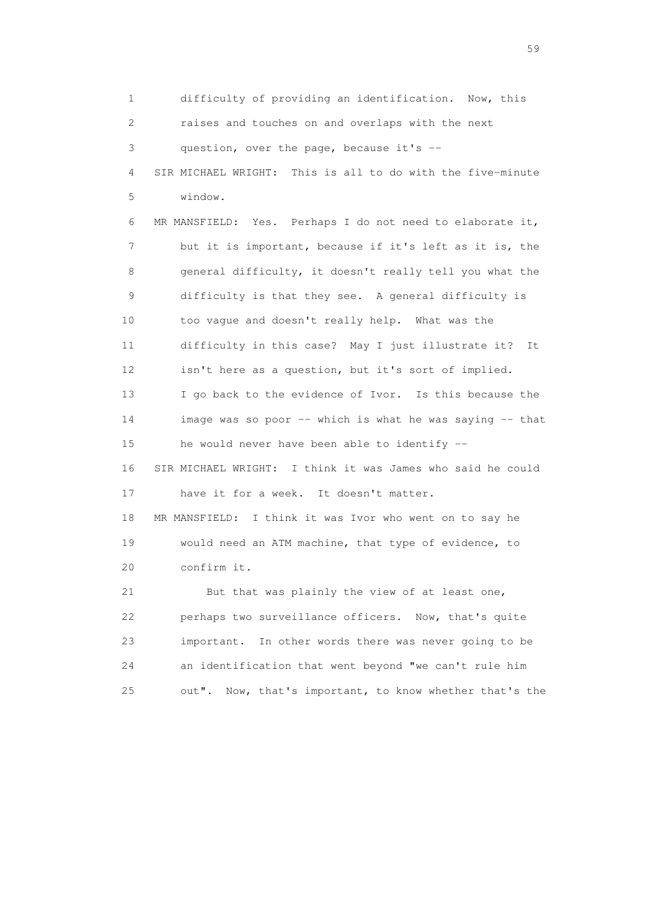1 difficulty of providing an identification. Now, this 2 raises and touches on and overlaps with the next 3 question, over the page, because it's -- 4 SIR MICHAEL WRIGHT: This is all to do with the five-minute 5 window. 6 MR MANSFIELD: Yes. Perhaps I do not need to elaborate it, 7 but it is important, because if it's left as it is, the 8 general difficulty, it doesn't really tell you what the 9 difficulty is that they see. A general difficulty is 10 too vague and doesn't really help. What was the 11 difficulty in this case? May I just illustrate it? It 12 isn't here as a question, but it's sort of implied. 13 I go back to the evidence of Ivor. Is this because the 14 image was so poor -- which is what he was saying -- that 15 he would never have been able to identify -- 16 SIR MICHAEL WRIGHT: I think it was James who said he could 17 have it for a week. It doesn't matter. 18 MR MANSFIELD: I think it was Ivor who went on to say he 19 would need an ATM machine, that type of evidence, to 20 confirm it. 21 But that was plainly the view of at least one, 22 perhaps two surveillance officers. Now, that's quite 23 important. In other words there was never going to be 24 an identification that went beyond "we can't rule him 25 out". Now, that's important, to know whether that's the

 $59<sub>2</sub>$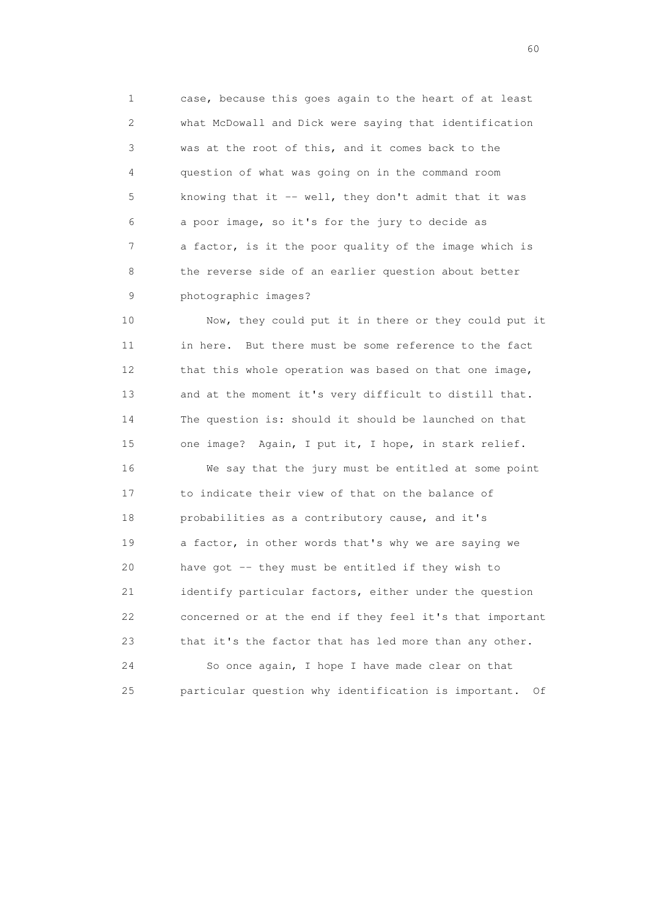1 case, because this goes again to the heart of at least 2 what McDowall and Dick were saying that identification 3 was at the root of this, and it comes back to the 4 question of what was going on in the command room 5 knowing that it -- well, they don't admit that it was 6 a poor image, so it's for the jury to decide as 7 a factor, is it the poor quality of the image which is 8 the reverse side of an earlier question about better 9 photographic images?

 10 Now, they could put it in there or they could put it 11 in here. But there must be some reference to the fact 12 that this whole operation was based on that one image, 13 and at the moment it's very difficult to distill that. 14 The question is: should it should be launched on that 15 one image? Again, I put it, I hope, in stark relief.

 16 We say that the jury must be entitled at some point 17 to indicate their view of that on the balance of 18 probabilities as a contributory cause, and it's 19 a factor, in other words that's why we are saying we 20 have got -- they must be entitled if they wish to 21 identify particular factors, either under the question 22 concerned or at the end if they feel it's that important 23 that it's the factor that has led more than any other. 24 So once again, I hope I have made clear on that

25 particular question why identification is important. Of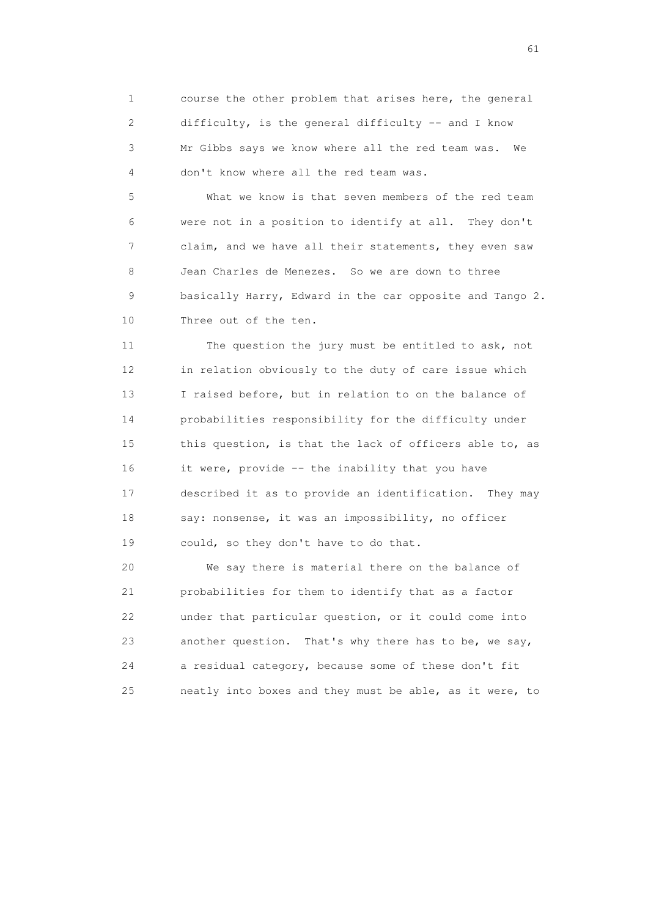1 course the other problem that arises here, the general 2 difficulty, is the general difficulty -- and I know 3 Mr Gibbs says we know where all the red team was. We 4 don't know where all the red team was.

 5 What we know is that seven members of the red team 6 were not in a position to identify at all. They don't 7 claim, and we have all their statements, they even saw 8 Jean Charles de Menezes. So we are down to three 9 basically Harry, Edward in the car opposite and Tango 2. 10 Three out of the ten.

 11 The question the jury must be entitled to ask, not 12 in relation obviously to the duty of care issue which 13 I raised before, but in relation to on the balance of 14 probabilities responsibility for the difficulty under 15 this question, is that the lack of officers able to, as 16 it were, provide -- the inability that you have 17 described it as to provide an identification. They may 18 say: nonsense, it was an impossibility, no officer 19 could, so they don't have to do that.

 20 We say there is material there on the balance of 21 probabilities for them to identify that as a factor 22 under that particular question, or it could come into 23 another question. That's why there has to be, we say, 24 a residual category, because some of these don't fit 25 neatly into boxes and they must be able, as it were, to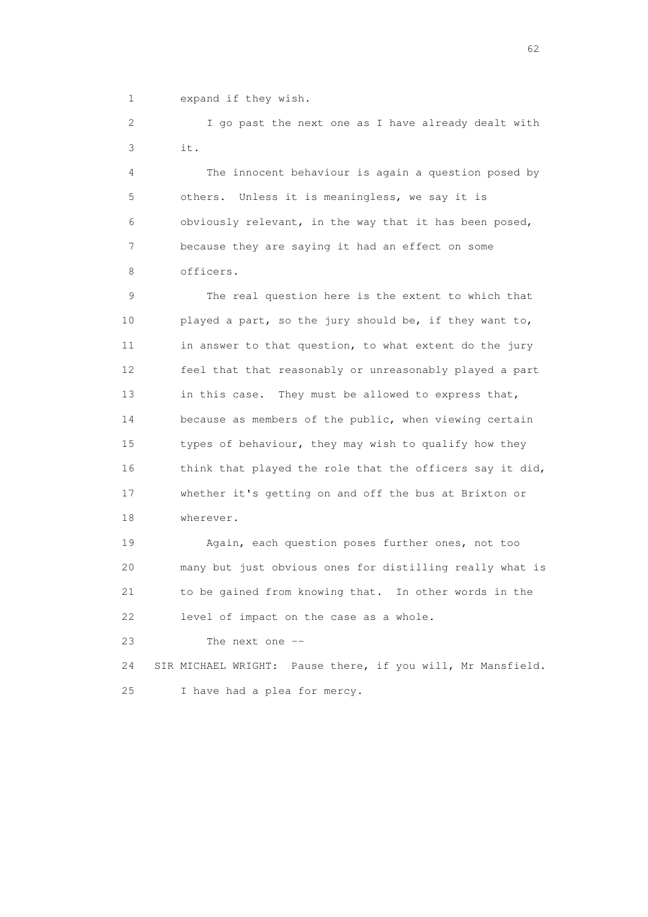1 expand if they wish.

 2 I go past the next one as I have already dealt with 3 it.

 4 The innocent behaviour is again a question posed by 5 others. Unless it is meaningless, we say it is 6 obviously relevant, in the way that it has been posed, 7 because they are saying it had an effect on some 8 officers.

 9 The real question here is the extent to which that 10 played a part, so the jury should be, if they want to, 11 in answer to that question, to what extent do the jury 12 feel that that reasonably or unreasonably played a part 13 in this case. They must be allowed to express that, 14 because as members of the public, when viewing certain 15 types of behaviour, they may wish to qualify how they 16 think that played the role that the officers say it did, 17 whether it's getting on and off the bus at Brixton or 18 wherever.

 19 Again, each question poses further ones, not too 20 many but just obvious ones for distilling really what is 21 to be gained from knowing that. In other words in the 22 level of impact on the case as a whole.

23 The next one --

 24 SIR MICHAEL WRIGHT: Pause there, if you will, Mr Mansfield. 25 I have had a plea for mercy.

 $\sim$  62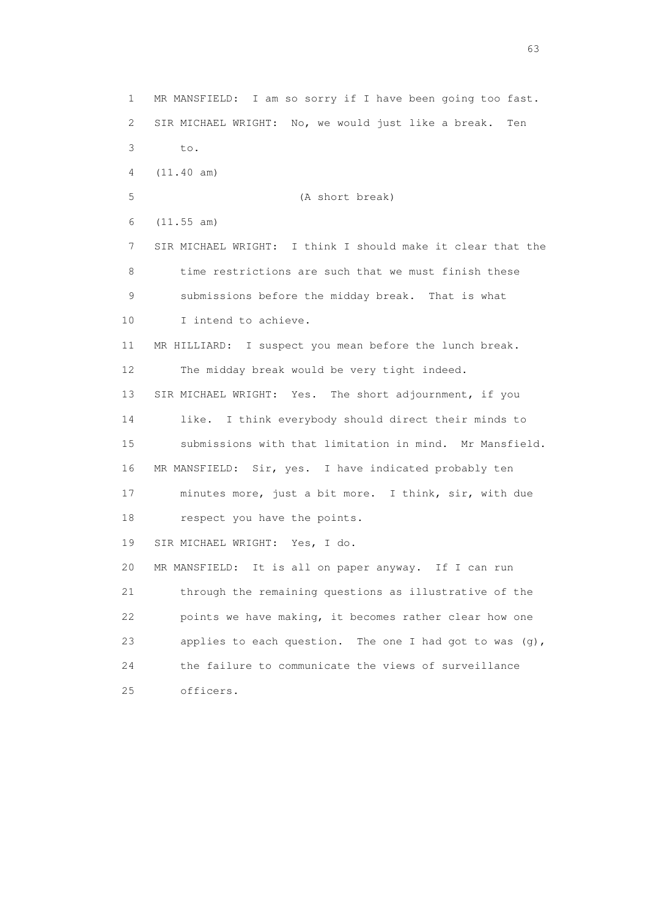1 MR MANSFIELD: I am so sorry if I have been going too fast. 2 SIR MICHAEL WRIGHT: No, we would just like a break. Ten 3 to. 4 (11.40 am) 5 (A short break) 6 (11.55 am) 7 SIR MICHAEL WRIGHT: I think I should make it clear that the 8 time restrictions are such that we must finish these 9 submissions before the midday break. That is what 10 I intend to achieve. 11 MR HILLIARD: I suspect you mean before the lunch break. 12 The midday break would be very tight indeed. 13 SIR MICHAEL WRIGHT: Yes. The short adjournment, if you 14 like. I think everybody should direct their minds to 15 submissions with that limitation in mind. Mr Mansfield. 16 MR MANSFIELD: Sir, yes. I have indicated probably ten 17 minutes more, just a bit more. I think, sir, with due 18 respect you have the points. 19 SIR MICHAEL WRIGHT: Yes, I do. 20 MR MANSFIELD: It is all on paper anyway. If I can run 21 through the remaining questions as illustrative of the 22 points we have making, it becomes rather clear how one 23 applies to each question. The one I had got to was (g), 24 the failure to communicate the views of surveillance 25 officers.

experience of the contract of the contract of the contract of the contract of the contract of the contract of the contract of the contract of the contract of the contract of the contract of the contract of the contract of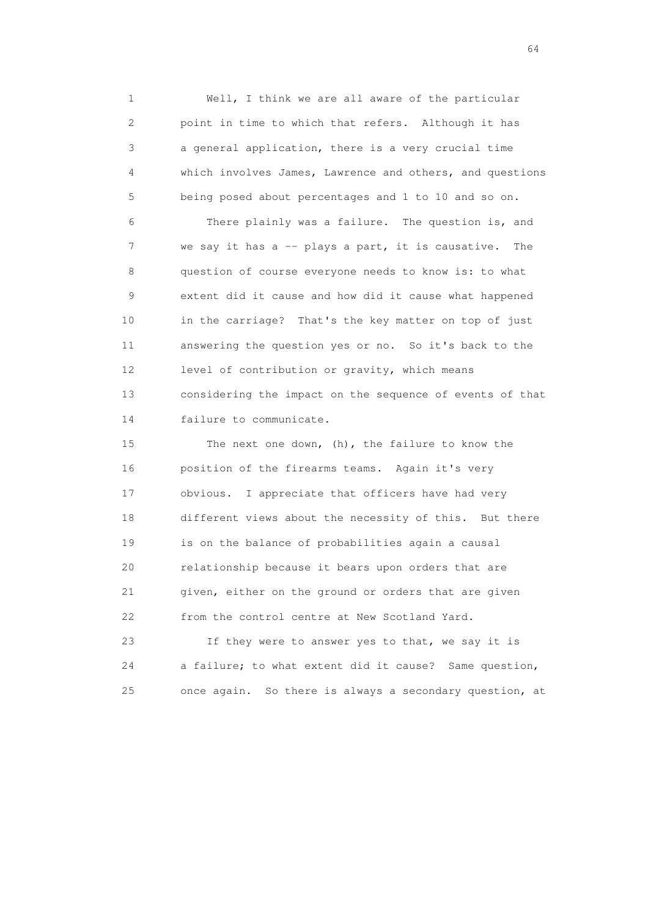1 Well, I think we are all aware of the particular 2 point in time to which that refers. Although it has 3 a general application, there is a very crucial time 4 which involves James, Lawrence and others, and questions 5 being posed about percentages and 1 to 10 and so on.

 6 There plainly was a failure. The question is, and 7 we say it has a -- plays a part, it is causative. The 8 question of course everyone needs to know is: to what 9 extent did it cause and how did it cause what happened 10 in the carriage? That's the key matter on top of just 11 answering the question yes or no. So it's back to the 12 level of contribution or gravity, which means 13 considering the impact on the sequence of events of that 14 failure to communicate.

 15 The next one down, (h), the failure to know the 16 position of the firearms teams. Again it's very 17 obvious. I appreciate that officers have had very 18 different views about the necessity of this. But there 19 is on the balance of probabilities again a causal 20 relationship because it bears upon orders that are 21 given, either on the ground or orders that are given 22 from the control centre at New Scotland Yard.

 23 If they were to answer yes to that, we say it is 24 a failure; to what extent did it cause? Same question, 25 once again. So there is always a secondary question, at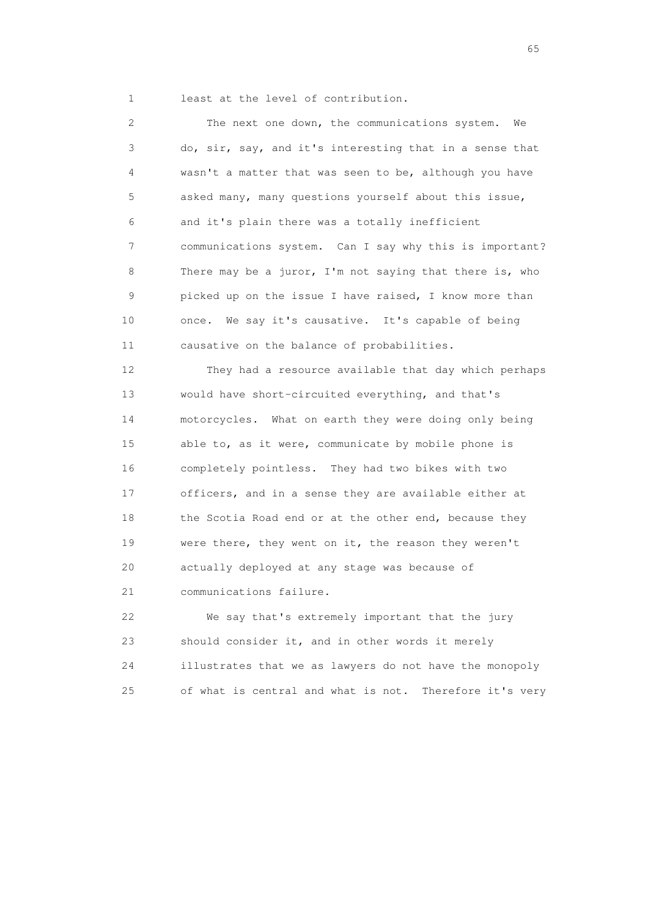1 least at the level of contribution.

 2 The next one down, the communications system. We 3 do, sir, say, and it's interesting that in a sense that 4 wasn't a matter that was seen to be, although you have 5 asked many, many questions yourself about this issue, 6 and it's plain there was a totally inefficient 7 communications system. Can I say why this is important? 8 There may be a juror, I'm not saying that there is, who 9 picked up on the issue I have raised, I know more than 10 once. We say it's causative. It's capable of being 11 causative on the balance of probabilities.

 12 They had a resource available that day which perhaps 13 would have short-circuited everything, and that's 14 motorcycles. What on earth they were doing only being 15 able to, as it were, communicate by mobile phone is 16 completely pointless. They had two bikes with two 17 officers, and in a sense they are available either at 18 the Scotia Road end or at the other end, because they 19 were there, they went on it, the reason they weren't 20 actually deployed at any stage was because of 21 communications failure.

 22 We say that's extremely important that the jury 23 should consider it, and in other words it merely 24 illustrates that we as lawyers do not have the monopoly 25 of what is central and what is not. Therefore it's very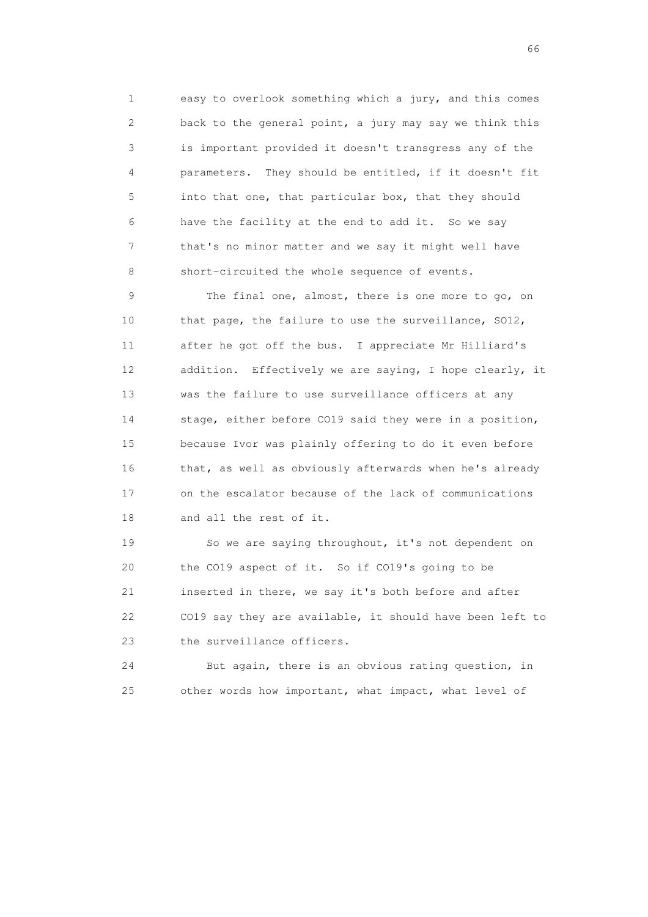1 easy to overlook something which a jury, and this comes 2 back to the general point, a jury may say we think this 3 is important provided it doesn't transgress any of the 4 parameters. They should be entitled, if it doesn't fit 5 into that one, that particular box, that they should 6 have the facility at the end to add it. So we say 7 that's no minor matter and we say it might well have 8 short-circuited the whole sequence of events.

 9 The final one, almost, there is one more to go, on 10 that page, the failure to use the surveillance, SO12, 11 after he got off the bus. I appreciate Mr Hilliard's 12 addition. Effectively we are saying, I hope clearly, it 13 was the failure to use surveillance officers at any 14 stage, either before CO19 said they were in a position, 15 because Ivor was plainly offering to do it even before 16 that, as well as obviously afterwards when he's already 17 on the escalator because of the lack of communications 18 and all the rest of it.

 19 So we are saying throughout, it's not dependent on 20 the CO19 aspect of it. So if CO19's going to be 21 inserted in there, we say it's both before and after 22 CO19 say they are available, it should have been left to 23 the surveillance officers.

 24 But again, there is an obvious rating question, in 25 other words how important, what impact, what level of

 $\sim$  66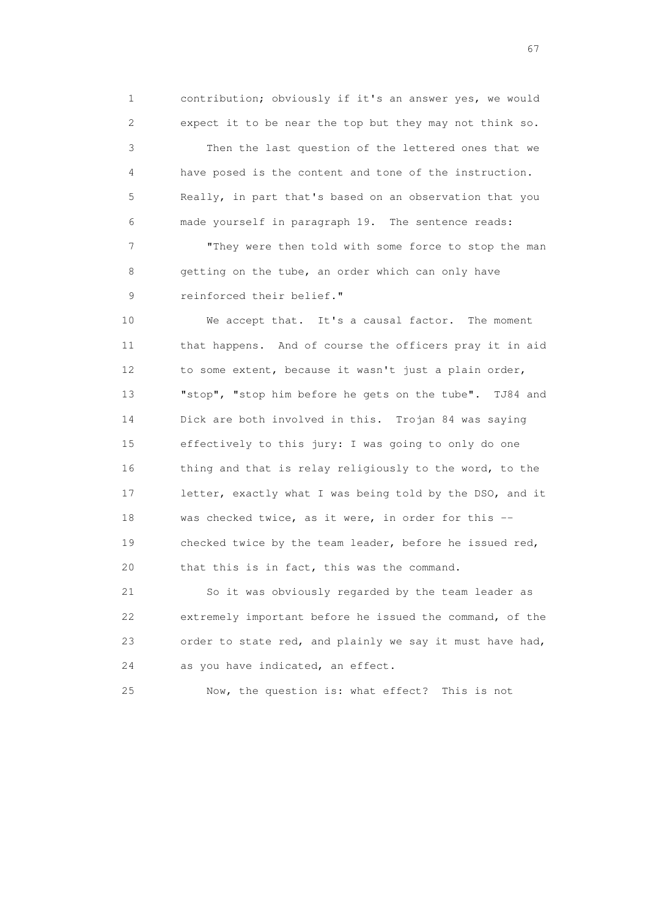1 contribution; obviously if it's an answer yes, we would 2 expect it to be near the top but they may not think so. 3 Then the last question of the lettered ones that we 4 have posed is the content and tone of the instruction. 5 Really, in part that's based on an observation that you 6 made yourself in paragraph 19. The sentence reads:

 7 "They were then told with some force to stop the man 8 getting on the tube, an order which can only have 9 reinforced their belief."

 10 We accept that. It's a causal factor. The moment 11 that happens. And of course the officers pray it in aid 12 to some extent, because it wasn't just a plain order, 13 "stop", "stop him before he gets on the tube". TJ84 and 14 Dick are both involved in this. Trojan 84 was saying 15 effectively to this jury: I was going to only do one 16 thing and that is relay religiously to the word, to the 17 letter, exactly what I was being told by the DSO, and it 18 was checked twice, as it were, in order for this -- 19 checked twice by the team leader, before he issued red, 20 that this is in fact, this was the command.

 21 So it was obviously regarded by the team leader as 22 extremely important before he issued the command, of the 23 order to state red, and plainly we say it must have had, 24 as you have indicated, an effect.

25 Now, the question is: what effect? This is not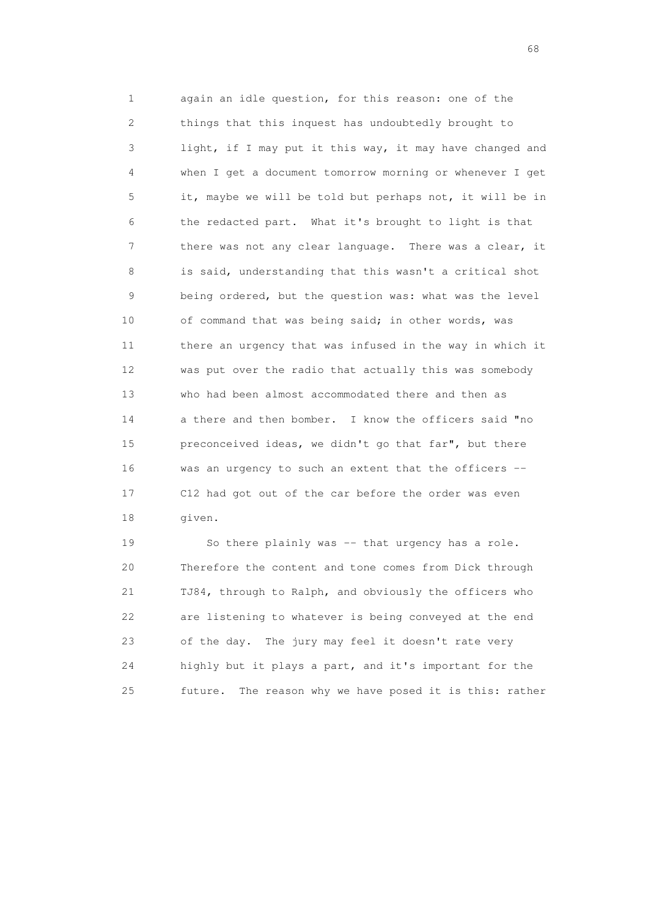1 again an idle question, for this reason: one of the 2 things that this inquest has undoubtedly brought to 3 light, if I may put it this way, it may have changed and 4 when I get a document tomorrow morning or whenever I get 5 it, maybe we will be told but perhaps not, it will be in 6 the redacted part. What it's brought to light is that 7 there was not any clear language. There was a clear, it 8 is said, understanding that this wasn't a critical shot 9 being ordered, but the question was: what was the level 10 of command that was being said; in other words, was 11 there an urgency that was infused in the way in which it 12 was put over the radio that actually this was somebody 13 who had been almost accommodated there and then as 14 a there and then bomber. I know the officers said "no 15 preconceived ideas, we didn't go that far", but there 16 was an urgency to such an extent that the officers -- 17 C12 had got out of the car before the order was even 18 given.

 19 So there plainly was -- that urgency has a role. 20 Therefore the content and tone comes from Dick through 21 TJ84, through to Ralph, and obviously the officers who 22 are listening to whatever is being conveyed at the end 23 of the day. The jury may feel it doesn't rate very 24 highly but it plays a part, and it's important for the 25 future. The reason why we have posed it is this: rather

entration of the contract of the contract of the contract of the contract of the contract of the contract of the contract of the contract of the contract of the contract of the contract of the contract of the contract of t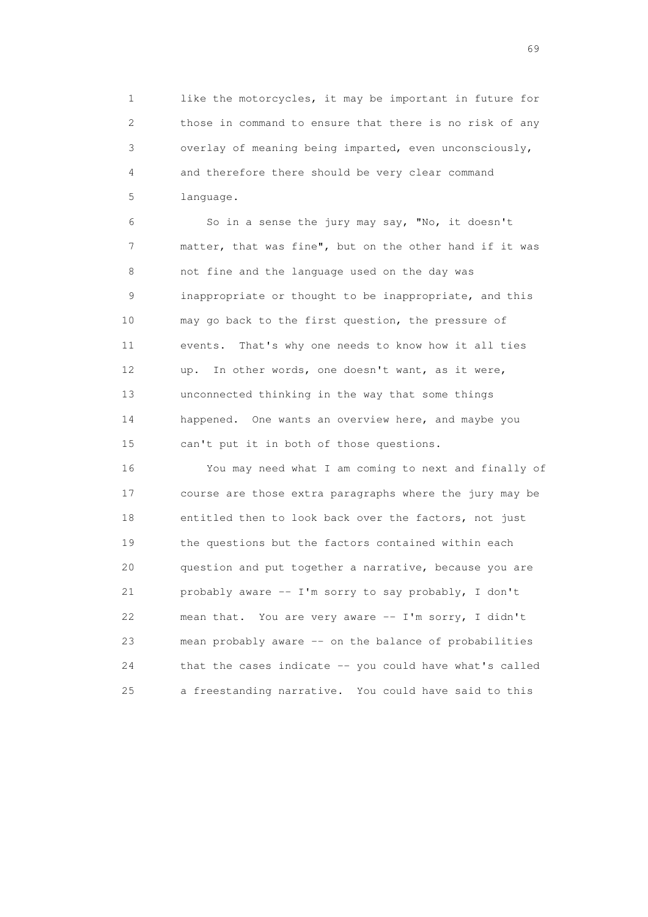1 like the motorcycles, it may be important in future for 2 those in command to ensure that there is no risk of any 3 overlay of meaning being imparted, even unconsciously, 4 and therefore there should be very clear command 5 language.

 6 So in a sense the jury may say, "No, it doesn't 7 matter, that was fine", but on the other hand if it was 8 not fine and the language used on the day was 9 inappropriate or thought to be inappropriate, and this 10 may go back to the first question, the pressure of 11 events. That's why one needs to know how it all ties 12 up. In other words, one doesn't want, as it were, 13 unconnected thinking in the way that some things 14 happened. One wants an overview here, and maybe you 15 can't put it in both of those questions.

 16 You may need what I am coming to next and finally of 17 course are those extra paragraphs where the jury may be 18 entitled then to look back over the factors, not just 19 the questions but the factors contained within each 20 question and put together a narrative, because you are 21 probably aware -- I'm sorry to say probably, I don't 22 mean that. You are very aware -- I'm sorry, I didn't 23 mean probably aware -- on the balance of probabilities 24 that the cases indicate -- you could have what's called 25 a freestanding narrative. You could have said to this

entral de la construction de la construction de la construction de la construction de la construction de la co<br>1990 : la construction de la construction de la construction de la construction de la construction de la const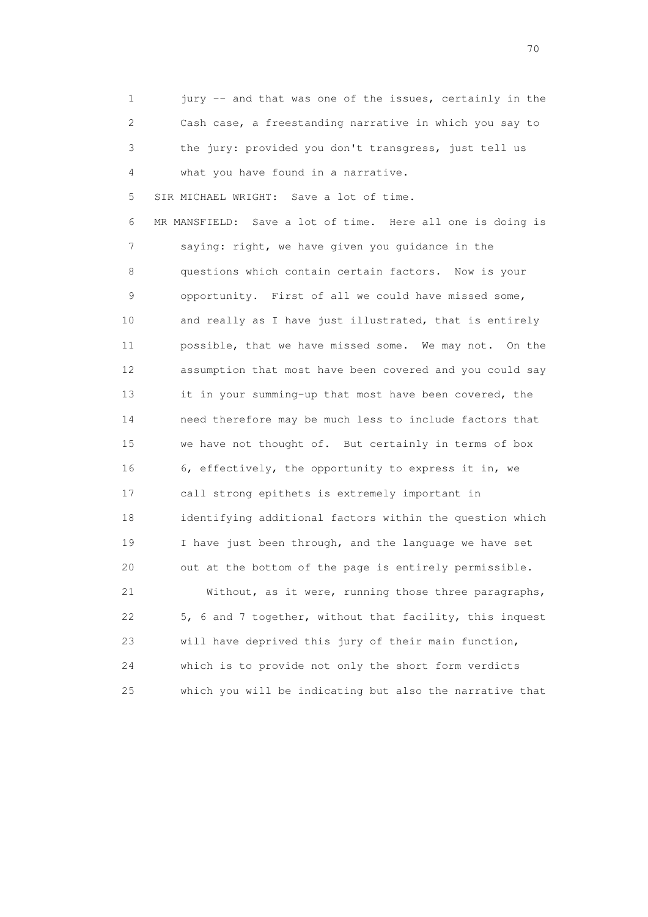1 jury -- and that was one of the issues, certainly in the 2 Cash case, a freestanding narrative in which you say to 3 the jury: provided you don't transgress, just tell us 4 what you have found in a narrative. 5 SIR MICHAEL WRIGHT: Save a lot of time. 6 MR MANSFIELD: Save a lot of time. Here all one is doing is 7 saying: right, we have given you guidance in the 8 questions which contain certain factors. Now is your 9 opportunity. First of all we could have missed some, 10 and really as I have just illustrated, that is entirely 11 possible, that we have missed some. We may not. On the 12 assumption that most have been covered and you could say 13 it in your summing-up that most have been covered, the 14 need therefore may be much less to include factors that 15 we have not thought of. But certainly in terms of box 16 6, effectively, the opportunity to express it in, we 17 call strong epithets is extremely important in 18 identifying additional factors within the question which 19 I have just been through, and the language we have set 20 out at the bottom of the page is entirely permissible. 21 Without, as it were, running those three paragraphs, 22 5, 6 and 7 together, without that facility, this inquest 23 will have deprived this jury of their main function,

 24 which is to provide not only the short form verdicts 25 which you will be indicating but also the narrative that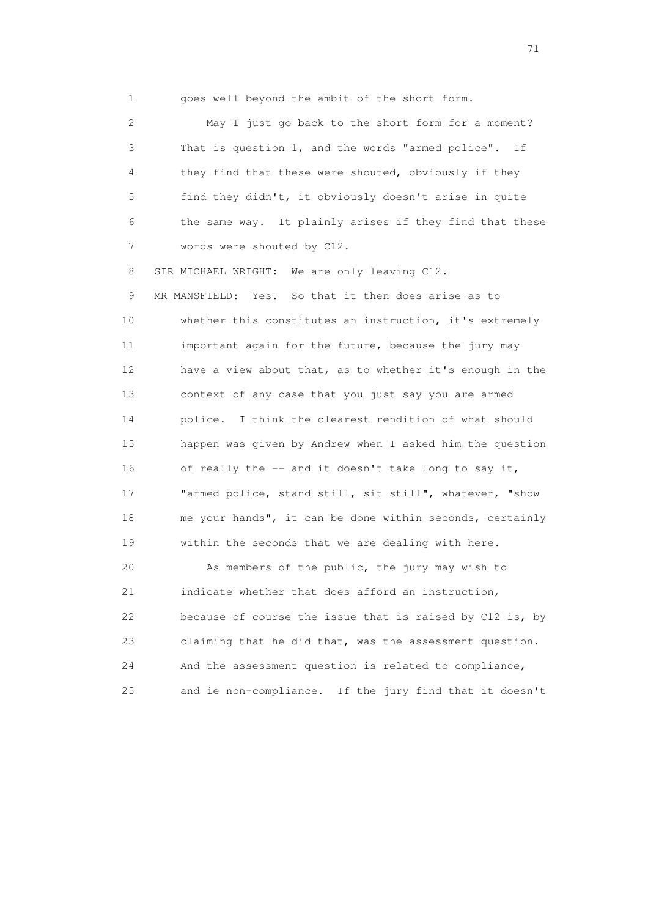1 goes well beyond the ambit of the short form.

 2 May I just go back to the short form for a moment? 3 That is question 1, and the words "armed police". If 4 they find that these were shouted, obviously if they 5 find they didn't, it obviously doesn't arise in quite 6 the same way. It plainly arises if they find that these 7 words were shouted by C12.

8 SIR MICHAEL WRIGHT: We are only leaving C12.

 9 MR MANSFIELD: Yes. So that it then does arise as to 10 whether this constitutes an instruction, it's extremely 11 important again for the future, because the jury may 12 have a view about that, as to whether it's enough in the 13 context of any case that you just say you are armed 14 police. I think the clearest rendition of what should 15 happen was given by Andrew when I asked him the question 16 of really the -- and it doesn't take long to say it, 17 "armed police, stand still, sit still", whatever, "show 18 me your hands", it can be done within seconds, certainly 19 within the seconds that we are dealing with here.

 20 As members of the public, the jury may wish to 21 indicate whether that does afford an instruction, 22 because of course the issue that is raised by C12 is, by 23 claiming that he did that, was the assessment question. 24 And the assessment question is related to compliance, 25 and ie non-compliance. If the jury find that it doesn't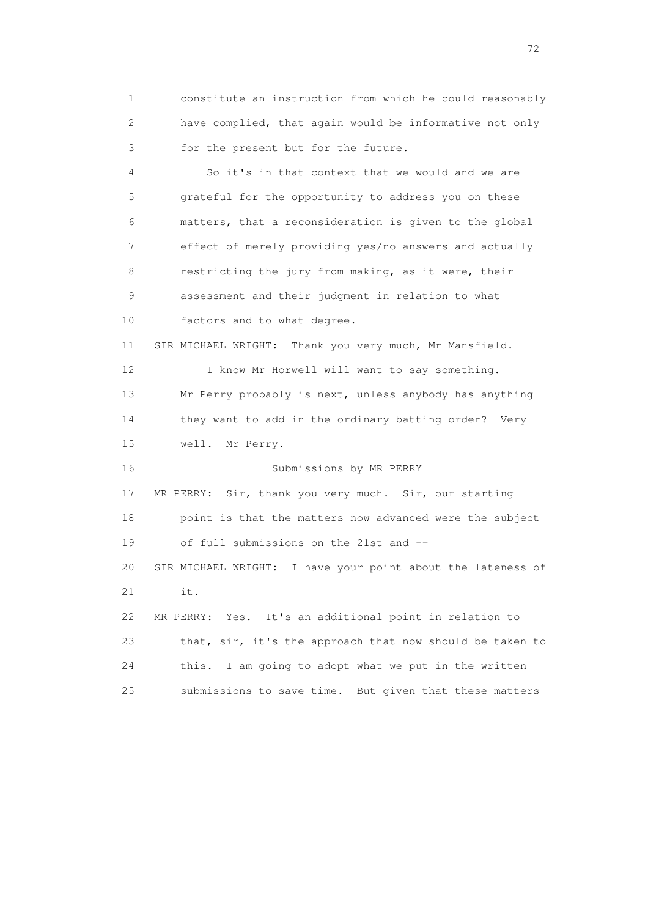1 constitute an instruction from which he could reasonably 2 have complied, that again would be informative not only 3 for the present but for the future.

 4 So it's in that context that we would and we are 5 grateful for the opportunity to address you on these 6 matters, that a reconsideration is given to the global 7 effect of merely providing yes/no answers and actually 8 restricting the jury from making, as it were, their 9 assessment and their judgment in relation to what 10 factors and to what degree. 11 SIR MICHAEL WRIGHT: Thank you very much, Mr Mansfield. 12 I know Mr Horwell will want to say something. 13 Mr Perry probably is next, unless anybody has anything 14 they want to add in the ordinary batting order? Very 15 well. Mr Perry. 16 Submissions by MR PERRY 17 MR PERRY: Sir, thank you very much. Sir, our starting 18 point is that the matters now advanced were the subject 19 of full submissions on the 21st and -- 20 SIR MICHAEL WRIGHT: I have your point about the lateness of 21 it. 22 MR PERRY: Yes. It's an additional point in relation to 23 that, sir, it's the approach that now should be taken to 24 this. I am going to adopt what we put in the written 25 submissions to save time. But given that these matters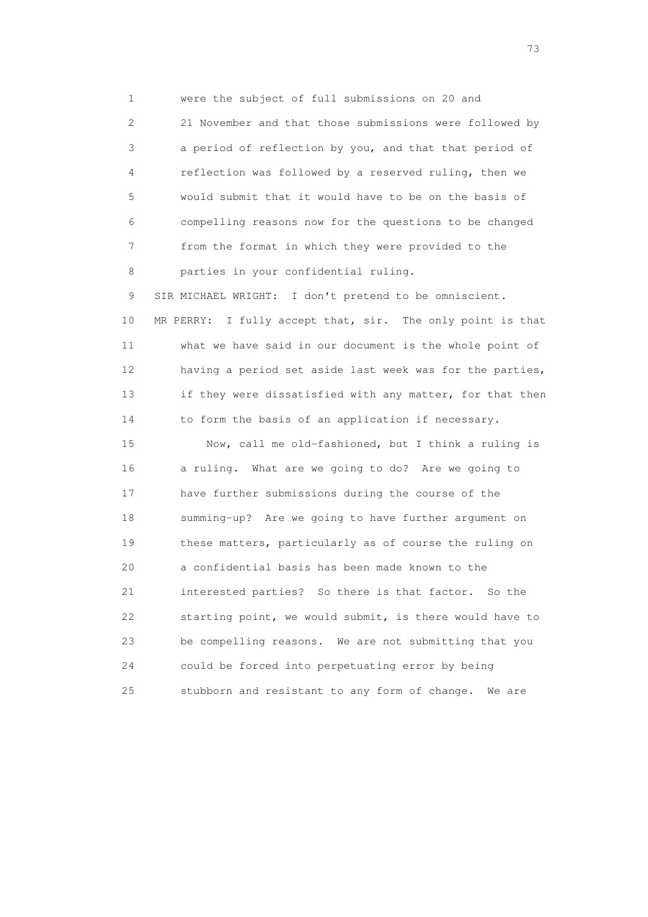1 were the subject of full submissions on 20 and 2 21 November and that those submissions were followed by 3 a period of reflection by you, and that that period of 4 reflection was followed by a reserved ruling, then we 5 would submit that it would have to be on the basis of 6 compelling reasons now for the questions to be changed 7 from the format in which they were provided to the 8 parties in your confidential ruling.

 9 SIR MICHAEL WRIGHT: I don't pretend to be omniscient. 10 MR PERRY: I fully accept that, sir. The only point is that 11 what we have said in our document is the whole point of 12 having a period set aside last week was for the parties, 13 if they were dissatisfied with any matter, for that then 14 to form the basis of an application if necessary.

 15 Now, call me old-fashioned, but I think a ruling is 16 a ruling. What are we going to do? Are we going to 17 have further submissions during the course of the 18 summing-up? Are we going to have further argument on 19 these matters, particularly as of course the ruling on 20 a confidential basis has been made known to the 21 interested parties? So there is that factor. So the 22 starting point, we would submit, is there would have to 23 be compelling reasons. We are not submitting that you 24 could be forced into perpetuating error by being 25 stubborn and resistant to any form of change. We are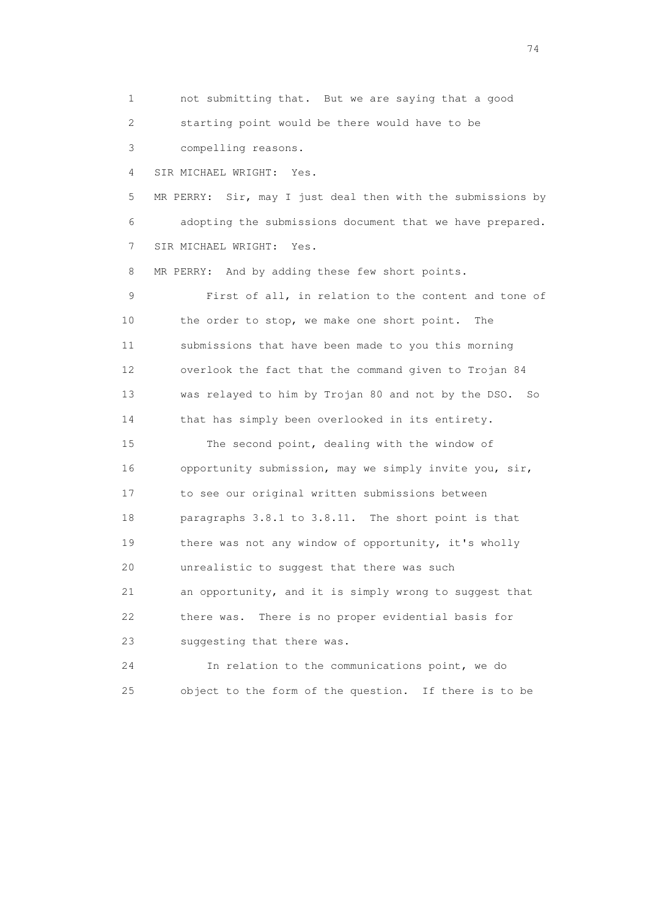1 not submitting that. But we are saying that a good 2 starting point would be there would have to be 3 compelling reasons. 4 SIR MICHAEL WRIGHT: Yes. 5 MR PERRY: Sir, may I just deal then with the submissions by 6 adopting the submissions document that we have prepared. 7 SIR MICHAEL WRIGHT: Yes. 8 MR PERRY: And by adding these few short points. 9 First of all, in relation to the content and tone of 10 the order to stop, we make one short point. The 11 submissions that have been made to you this morning 12 overlook the fact that the command given to Trojan 84 13 was relayed to him by Trojan 80 and not by the DSO. So 14 that has simply been overlooked in its entirety. 15 The second point, dealing with the window of 16 opportunity submission, may we simply invite you, sir, 17 to see our original written submissions between 18 paragraphs 3.8.1 to 3.8.11. The short point is that 19 there was not any window of opportunity, it's wholly 20 unrealistic to suggest that there was such 21 an opportunity, and it is simply wrong to suggest that 22 there was. There is no proper evidential basis for 23 suggesting that there was. 24 In relation to the communications point, we do

25 object to the form of the question. If there is to be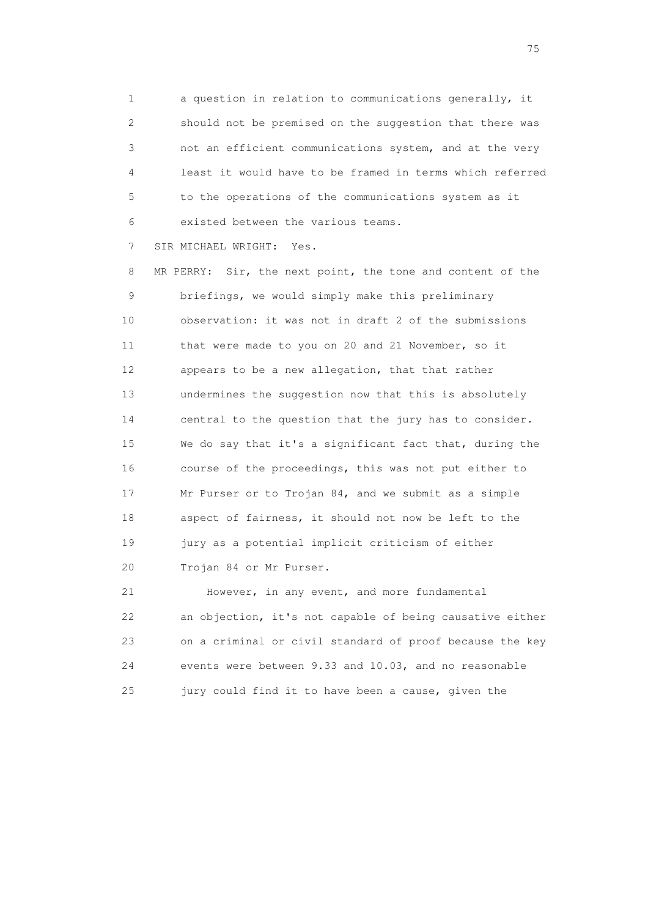1 a question in relation to communications generally, it 2 should not be premised on the suggestion that there was 3 not an efficient communications system, and at the very 4 least it would have to be framed in terms which referred 5 to the operations of the communications system as it 6 existed between the various teams.

7 SIR MICHAEL WRIGHT: Yes.

 8 MR PERRY: Sir, the next point, the tone and content of the 9 briefings, we would simply make this preliminary 10 observation: it was not in draft 2 of the submissions 11 that were made to you on 20 and 21 November, so it 12 appears to be a new allegation, that that rather 13 undermines the suggestion now that this is absolutely 14 central to the question that the jury has to consider. 15 We do say that it's a significant fact that, during the 16 course of the proceedings, this was not put either to 17 Mr Purser or to Trojan 84, and we submit as a simple 18 aspect of fairness, it should not now be left to the 19 jury as a potential implicit criticism of either 20 Trojan 84 or Mr Purser.

 21 However, in any event, and more fundamental 22 an objection, it's not capable of being causative either 23 on a criminal or civil standard of proof because the key 24 events were between 9.33 and 10.03, and no reasonable 25 jury could find it to have been a cause, given the

na matsay na katalog as na kasang na mga 175 may 2008. Ang isang isang nagsang nagsang nagsang nagsang nagsang<br>Tagapang nagsang nagsang nagsang nagsang nagsang nagsang nagsang nagsang nagsang nagsang nagsang nagsang nagsa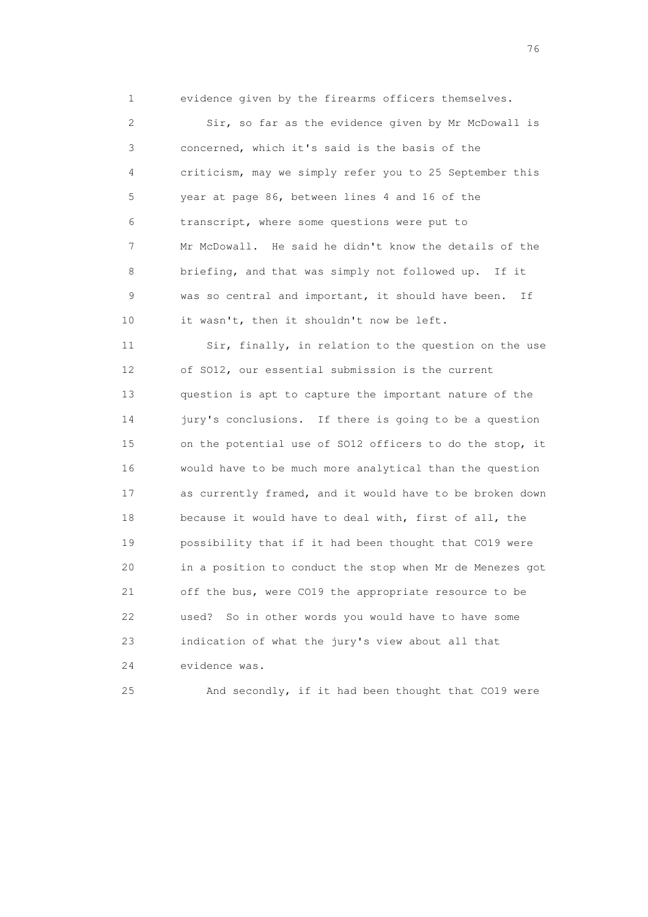1 evidence given by the firearms officers themselves. 2 Sir, so far as the evidence given by Mr McDowall is 3 concerned, which it's said is the basis of the 4 criticism, may we simply refer you to 25 September this 5 year at page 86, between lines 4 and 16 of the 6 transcript, where some questions were put to 7 Mr McDowall. He said he didn't know the details of the 8 briefing, and that was simply not followed up. If it 9 was so central and important, it should have been. If 10 it wasn't, then it shouldn't now be left.

 11 Sir, finally, in relation to the question on the use 12 of SO12, our essential submission is the current 13 question is apt to capture the important nature of the 14 jury's conclusions. If there is going to be a question 15 on the potential use of SO12 officers to do the stop, it 16 would have to be much more analytical than the question 17 as currently framed, and it would have to be broken down 18 because it would have to deal with, first of all, the 19 possibility that if it had been thought that CO19 were 20 in a position to conduct the stop when Mr de Menezes got 21 off the bus, were CO19 the appropriate resource to be 22 used? So in other words you would have to have some 23 indication of what the jury's view about all that 24 evidence was.

25 And secondly, if it had been thought that CO19 were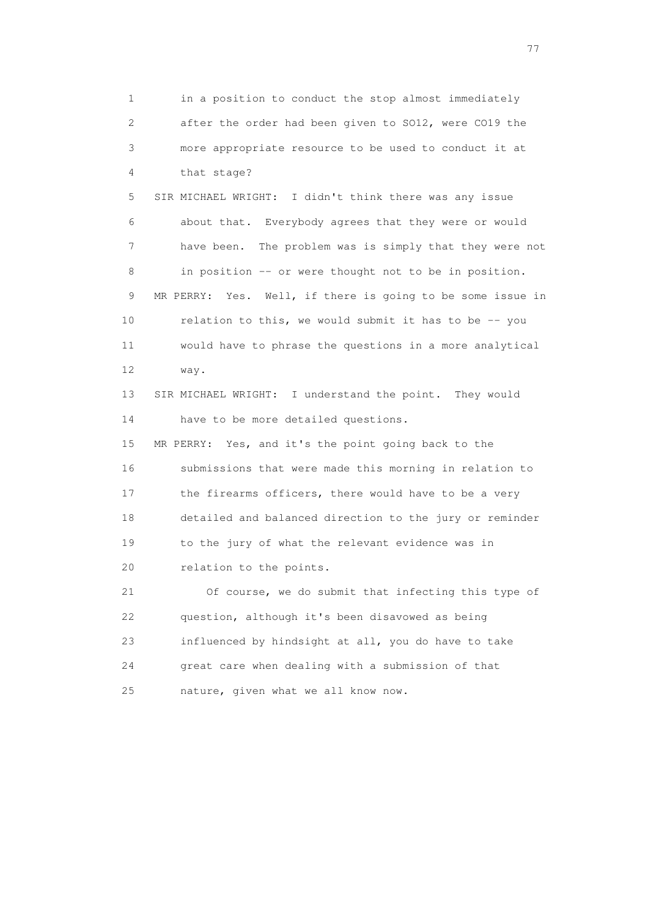1 in a position to conduct the stop almost immediately 2 after the order had been given to SO12, were CO19 the 3 more appropriate resource to be used to conduct it at 4 that stage? 5 SIR MICHAEL WRIGHT: I didn't think there was any issue 6 about that. Everybody agrees that they were or would 7 have been. The problem was is simply that they were not 8 in position -- or were thought not to be in position. 9 MR PERRY: Yes. Well, if there is going to be some issue in 10 relation to this, we would submit it has to be -- you 11 would have to phrase the questions in a more analytical 12 way. 13 SIR MICHAEL WRIGHT: I understand the point. They would 14 have to be more detailed questions. 15 MR PERRY: Yes, and it's the point going back to the 16 submissions that were made this morning in relation to 17 the firearms officers, there would have to be a very 18 detailed and balanced direction to the jury or reminder 19 to the jury of what the relevant evidence was in 20 relation to the points. 21 Of course, we do submit that infecting this type of 22 question, although it's been disavowed as being 23 influenced by hindsight at all, you do have to take 24 great care when dealing with a submission of that 25 nature, given what we all know now.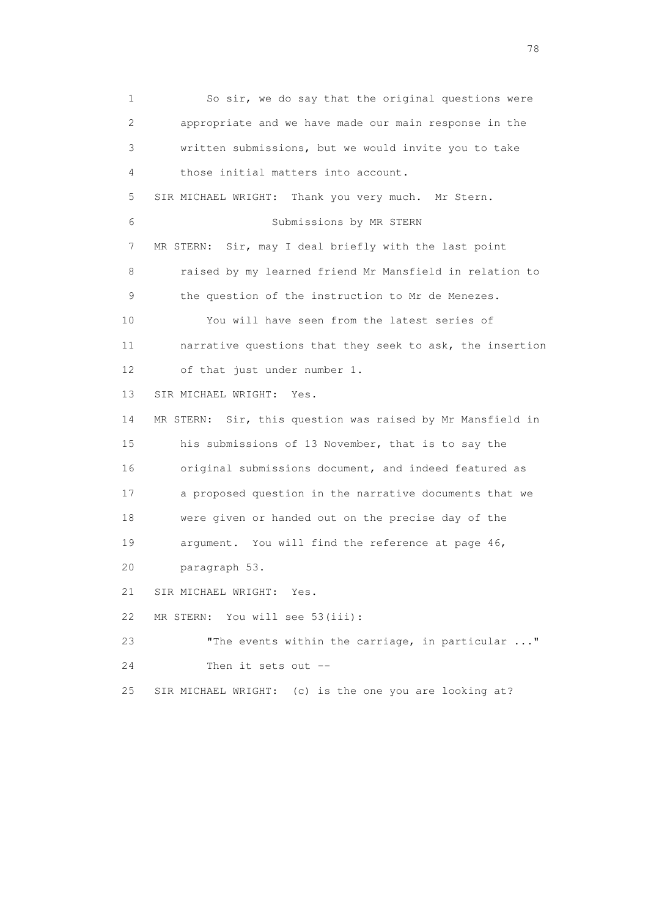1 So sir, we do say that the original questions were 2 appropriate and we have made our main response in the 3 written submissions, but we would invite you to take 4 those initial matters into account. 5 SIR MICHAEL WRIGHT: Thank you very much. Mr Stern. 6 Submissions by MR STERN 7 MR STERN: Sir, may I deal briefly with the last point 8 raised by my learned friend Mr Mansfield in relation to 9 the question of the instruction to Mr de Menezes. 10 You will have seen from the latest series of 11 narrative questions that they seek to ask, the insertion 12 of that just under number 1. 13 SIR MICHAEL WRIGHT: Yes. 14 MR STERN: Sir, this question was raised by Mr Mansfield in 15 his submissions of 13 November, that is to say the 16 original submissions document, and indeed featured as 17 a proposed question in the narrative documents that we 18 were given or handed out on the precise day of the 19 argument. You will find the reference at page 46, 20 paragraph 53. 21 SIR MICHAEL WRIGHT: Yes. 22 MR STERN: You will see 53(iii): 23 "The events within the carriage, in particular ..." 24 Then it sets out -- 25 SIR MICHAEL WRIGHT: (c) is the one you are looking at?

n and the state of the state of the state of the state of the state of the state of the state of the state of the state of the state of the state of the state of the state of the state of the state of the state of the stat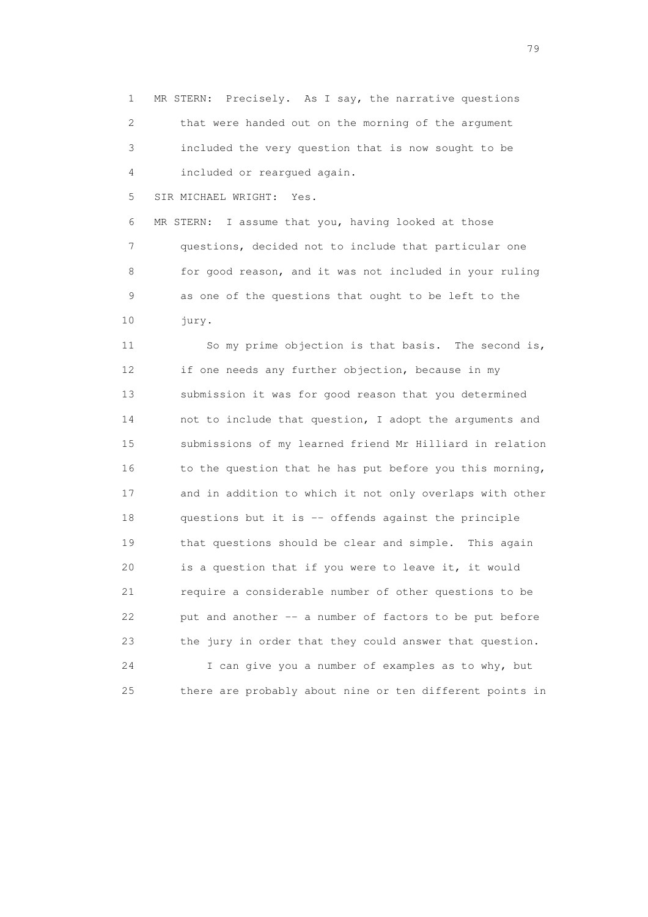1 MR STERN: Precisely. As I say, the narrative questions 2 that were handed out on the morning of the argument 3 included the very question that is now sought to be 4 included or reargued again.

5 SIR MICHAEL WRIGHT: Yes.

 6 MR STERN: I assume that you, having looked at those 7 questions, decided not to include that particular one 8 for good reason, and it was not included in your ruling 9 as one of the questions that ought to be left to the 10 jury.

 11 So my prime objection is that basis. The second is, 12 if one needs any further objection, because in my 13 submission it was for good reason that you determined 14 not to include that question, I adopt the arguments and 15 submissions of my learned friend Mr Hilliard in relation 16 to the question that he has put before you this morning, 17 and in addition to which it not only overlaps with other 18 questions but it is -- offends against the principle 19 that questions should be clear and simple. This again 20 is a question that if you were to leave it, it would 21 require a considerable number of other questions to be 22 put and another -- a number of factors to be put before 23 the jury in order that they could answer that question. 24 I can give you a number of examples as to why, but

25 there are probably about nine or ten different points in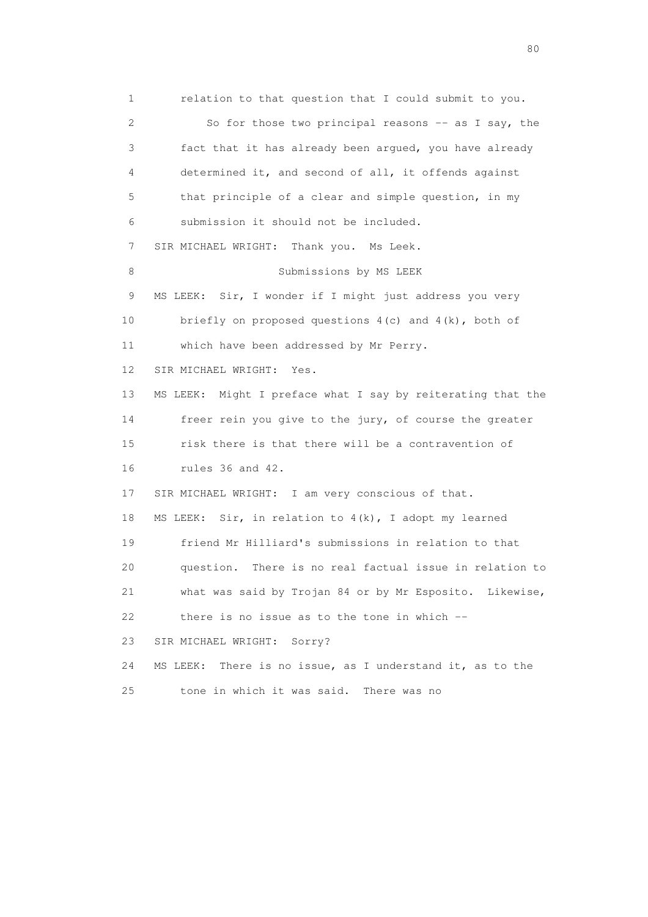1 relation to that question that I could submit to you. 2 So for those two principal reasons -- as I say, the 3 fact that it has already been argued, you have already 4 determined it, and second of all, it offends against 5 that principle of a clear and simple question, in my 6 submission it should not be included. 7 SIR MICHAEL WRIGHT: Thank you. Ms Leek. 8 Submissions by MS LEEK 9 MS LEEK: Sir, I wonder if I might just address you very 10 briefly on proposed questions 4(c) and 4(k), both of 11 which have been addressed by Mr Perry. 12 SIR MICHAEL WRIGHT: Yes. 13 MS LEEK: Might I preface what I say by reiterating that the 14 freer rein you give to the jury, of course the greater 15 risk there is that there will be a contravention of 16 rules 36 and 42. 17 SIR MICHAEL WRIGHT: I am very conscious of that. 18 MS LEEK: Sir, in relation to 4(k), I adopt my learned 19 friend Mr Hilliard's submissions in relation to that 20 question. There is no real factual issue in relation to 21 what was said by Trojan 84 or by Mr Esposito. Likewise,  $22$  there is no issue as to the tone in which  $-$  23 SIR MICHAEL WRIGHT: Sorry? 24 MS LEEK: There is no issue, as I understand it, as to the 25 tone in which it was said. There was no

entration of the state of the state of the state of the state of the state of the state of the state of the state of the state of the state of the state of the state of the state of the state of the state of the state of t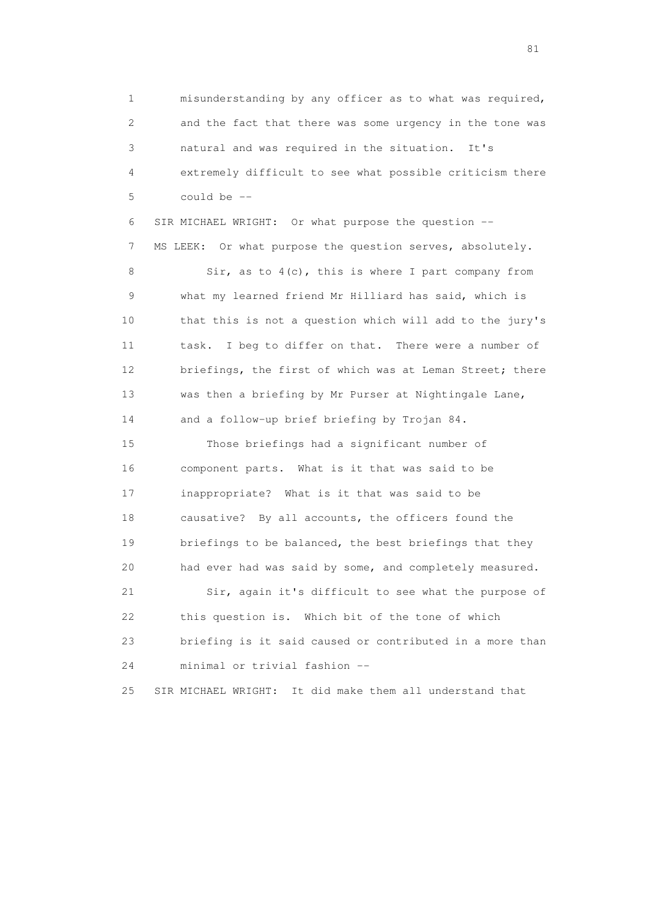1 misunderstanding by any officer as to what was required, 2 and the fact that there was some urgency in the tone was 3 natural and was required in the situation. It's 4 extremely difficult to see what possible criticism there 5 could be --

 6 SIR MICHAEL WRIGHT: Or what purpose the question -- 7 MS LEEK: Or what purpose the question serves, absolutely.

 8 Sir, as to 4(c), this is where I part company from 9 what my learned friend Mr Hilliard has said, which is 10 that this is not a question which will add to the jury's 11 task. I beg to differ on that. There were a number of 12 briefings, the first of which was at Leman Street; there 13 was then a briefing by Mr Purser at Nightingale Lane, 14 and a follow-up brief briefing by Trojan 84.

 15 Those briefings had a significant number of 16 component parts. What is it that was said to be 17 inappropriate? What is it that was said to be 18 causative? By all accounts, the officers found the 19 briefings to be balanced, the best briefings that they 20 had ever had was said by some, and completely measured. 21 Sir, again it's difficult to see what the purpose of 22 this question is. Which bit of the tone of which 23 briefing is it said caused or contributed in a more than 24 minimal or trivial fashion --

25 SIR MICHAEL WRIGHT: It did make them all understand that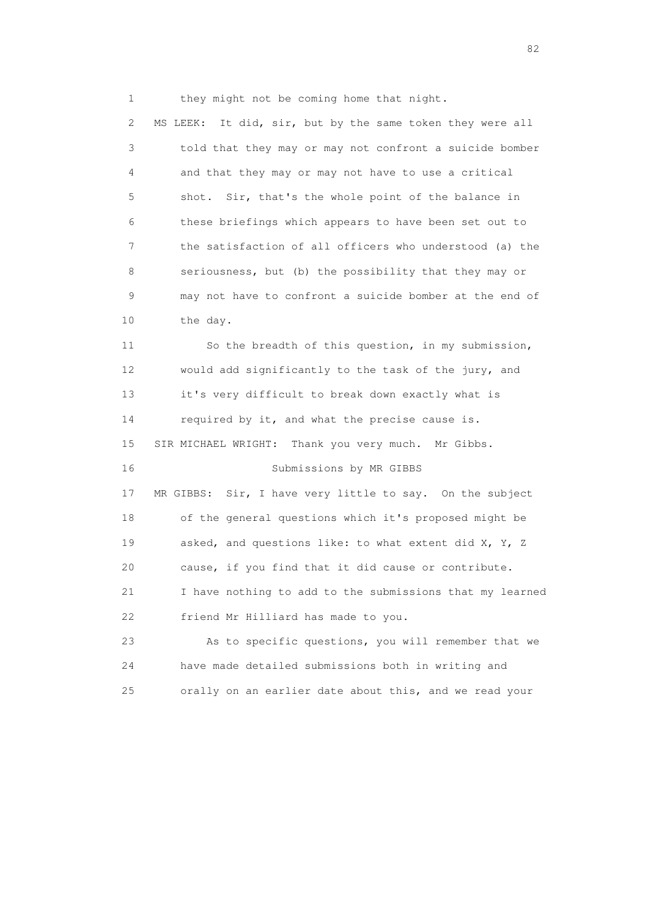1 they might not be coming home that night.

 2 MS LEEK: It did, sir, but by the same token they were all 3 told that they may or may not confront a suicide bomber 4 and that they may or may not have to use a critical 5 shot. Sir, that's the whole point of the balance in 6 these briefings which appears to have been set out to 7 the satisfaction of all officers who understood (a) the 8 seriousness, but (b) the possibility that they may or 9 may not have to confront a suicide bomber at the end of 10 the day.

 11 So the breadth of this question, in my submission, 12 would add significantly to the task of the jury, and 13 it's very difficult to break down exactly what is 14 required by it, and what the precise cause is. 15 SIR MICHAEL WRIGHT: Thank you very much. Mr Gibbs. 16 Submissions by MR GIBBS 17 MR GIBBS: Sir, I have very little to say. On the subject 18 of the general questions which it's proposed might be 19 asked, and questions like: to what extent did X, Y, Z 20 cause, if you find that it did cause or contribute. 21 I have nothing to add to the submissions that my learned 22 friend Mr Hilliard has made to you.

 23 As to specific questions, you will remember that we 24 have made detailed submissions both in writing and 25 orally on an earlier date about this, and we read your

experience of the state of the state of the state of the state of the state of the state of the state of the s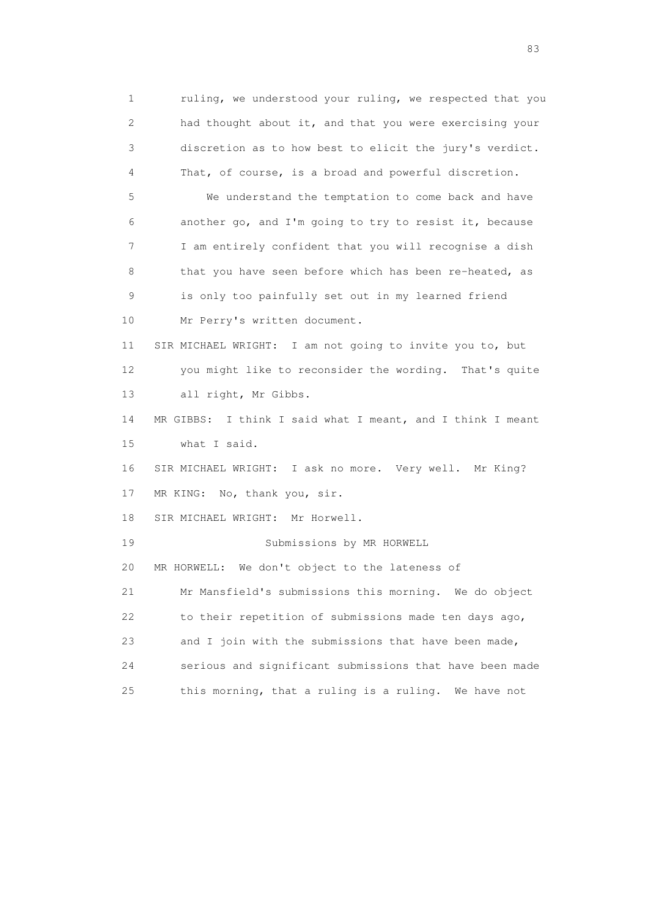1 ruling, we understood your ruling, we respected that you 2 had thought about it, and that you were exercising your 3 discretion as to how best to elicit the jury's verdict. 4 That, of course, is a broad and powerful discretion. 5 We understand the temptation to come back and have 6 another go, and I'm going to try to resist it, because 7 I am entirely confident that you will recognise a dish 8 that you have seen before which has been re-heated, as 9 is only too painfully set out in my learned friend 10 Mr Perry's written document. 11 SIR MICHAEL WRIGHT: I am not going to invite you to, but 12 you might like to reconsider the wording. That's quite 13 all right, Mr Gibbs. 14 MR GIBBS: I think I said what I meant, and I think I meant 15 what I said. 16 SIR MICHAEL WRIGHT: I ask no more. Very well. Mr King? 17 MR KING: No, thank you, sir. 18 SIR MICHAEL WRIGHT: Mr Horwell. 19 Submissions by MR HORWELL 20 MR HORWELL: We don't object to the lateness of 21 Mr Mansfield's submissions this morning. We do object 22 to their repetition of submissions made ten days ago, 23 and I join with the submissions that have been made, 24 serious and significant submissions that have been made 25 this morning, that a ruling is a ruling. We have not

experience and the contract of the contract of the contract of the contract of the contract of the contract of the contract of the contract of the contract of the contract of the contract of the contract of the contract of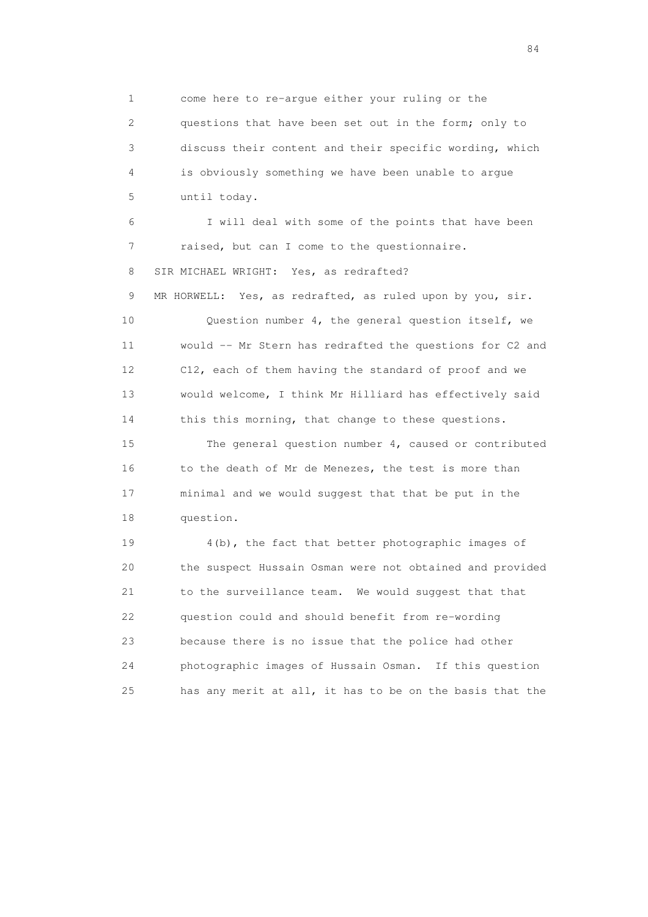1 come here to re-argue either your ruling or the 2 questions that have been set out in the form; only to 3 discuss their content and their specific wording, which 4 is obviously something we have been unable to argue 5 until today.

 6 I will deal with some of the points that have been 7 raised, but can I come to the questionnaire. 8 SIR MICHAEL WRIGHT: Yes, as redrafted? 9 MR HORWELL: Yes, as redrafted, as ruled upon by you, sir. 10 Question number 4, the general question itself, we 11 would -- Mr Stern has redrafted the questions for C2 and 12 C12, each of them having the standard of proof and we 13 would welcome, I think Mr Hilliard has effectively said

 15 The general question number 4, caused or contributed 16 to the death of Mr de Menezes, the test is more than 17 minimal and we would suggest that that be put in the 18 question.

14 this this morning, that change to these questions.

 19 4(b), the fact that better photographic images of 20 the suspect Hussain Osman were not obtained and provided 21 to the surveillance team. We would suggest that that 22 question could and should benefit from re-wording 23 because there is no issue that the police had other 24 photographic images of Hussain Osman. If this question 25 has any merit at all, it has to be on the basis that the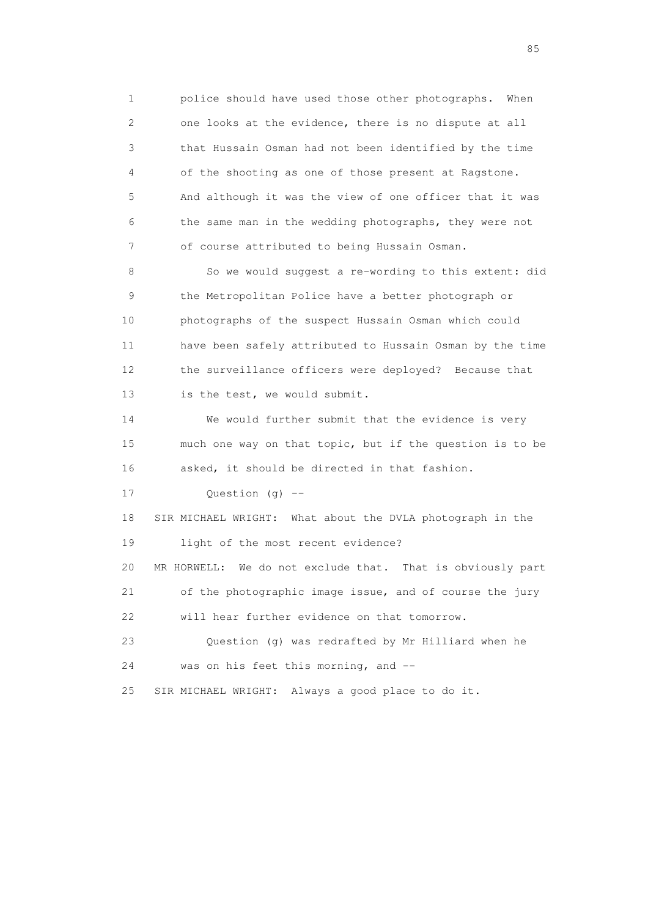1 police should have used those other photographs. When 2 one looks at the evidence, there is no dispute at all 3 that Hussain Osman had not been identified by the time 4 of the shooting as one of those present at Ragstone. 5 And although it was the view of one officer that it was 6 the same man in the wedding photographs, they were not 7 of course attributed to being Hussain Osman.

 8 So we would suggest a re-wording to this extent: did 9 the Metropolitan Police have a better photograph or 10 photographs of the suspect Hussain Osman which could 11 have been safely attributed to Hussain Osman by the time 12 the surveillance officers were deployed? Because that 13 is the test, we would submit.

 14 We would further submit that the evidence is very 15 much one way on that topic, but if the question is to be 16 asked, it should be directed in that fashion.

17 Question (g) --

 18 SIR MICHAEL WRIGHT: What about the DVLA photograph in the 19 light of the most recent evidence?

 20 MR HORWELL: We do not exclude that. That is obviously part 21 of the photographic image issue, and of course the jury

22 will hear further evidence on that tomorrow.

 23 Question (g) was redrafted by Mr Hilliard when he 24 was on his feet this morning, and --

25 SIR MICHAEL WRIGHT: Always a good place to do it.

experience of the contract of the contract of the contract of the contract of the contract of the contract of the contract of the contract of the contract of the contract of the contract of the contract of the contract of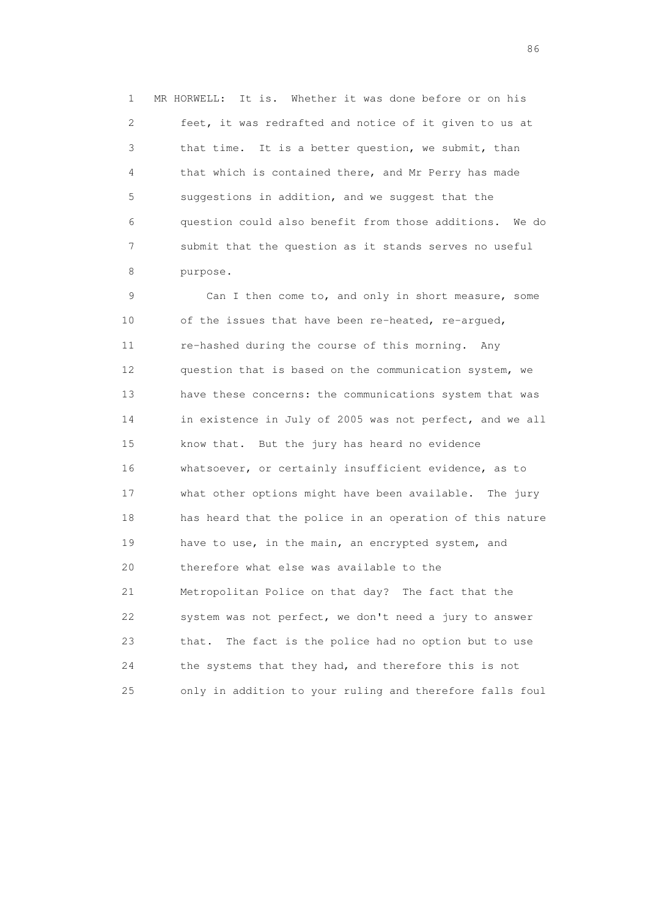1 MR HORWELL: It is. Whether it was done before or on his 2 feet, it was redrafted and notice of it given to us at 3 that time. It is a better question, we submit, than 4 that which is contained there, and Mr Perry has made 5 suggestions in addition, and we suggest that the 6 question could also benefit from those additions. We do 7 submit that the question as it stands serves no useful 8 purpose.

 9 Can I then come to, and only in short measure, some 10 of the issues that have been re-heated, re-argued, 11 re-hashed during the course of this morning. Any 12 question that is based on the communication system, we 13 have these concerns: the communications system that was 14 in existence in July of 2005 was not perfect, and we all 15 know that. But the jury has heard no evidence 16 whatsoever, or certainly insufficient evidence, as to 17 what other options might have been available. The jury 18 has heard that the police in an operation of this nature 19 have to use, in the main, an encrypted system, and 20 therefore what else was available to the 21 Metropolitan Police on that day? The fact that the 22 system was not perfect, we don't need a jury to answer 23 that. The fact is the police had no option but to use 24 the systems that they had, and therefore this is not 25 only in addition to your ruling and therefore falls foul

entration of the contract of the contract of the contract of the contract of the contract of the contract of the contract of the contract of the contract of the contract of the contract of the contract of the contract of t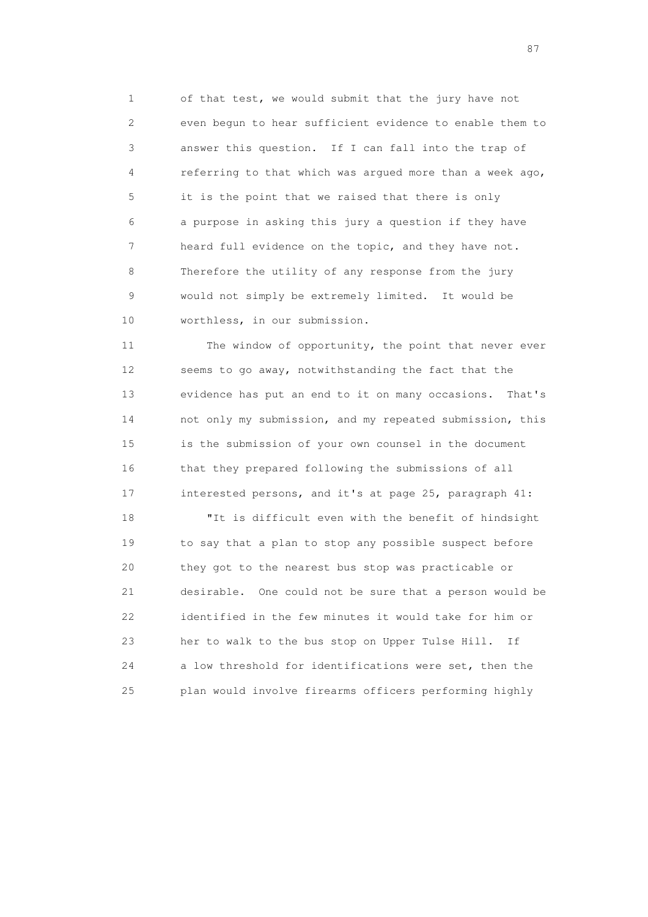1 of that test, we would submit that the jury have not 2 even begun to hear sufficient evidence to enable them to 3 answer this question. If I can fall into the trap of 4 referring to that which was argued more than a week ago, 5 it is the point that we raised that there is only 6 a purpose in asking this jury a question if they have 7 heard full evidence on the topic, and they have not. 8 Therefore the utility of any response from the jury 9 would not simply be extremely limited. It would be 10 worthless, in our submission.

 11 The window of opportunity, the point that never ever 12 seems to go away, notwithstanding the fact that the 13 evidence has put an end to it on many occasions. That's 14 not only my submission, and my repeated submission, this 15 is the submission of your own counsel in the document 16 that they prepared following the submissions of all 17 interested persons, and it's at page 25, paragraph 41:

 18 "It is difficult even with the benefit of hindsight 19 to say that a plan to stop any possible suspect before 20 they got to the nearest bus stop was practicable or 21 desirable. One could not be sure that a person would be 22 identified in the few minutes it would take for him or 23 her to walk to the bus stop on Upper Tulse Hill. If 24 a low threshold for identifications were set, then the 25 plan would involve firearms officers performing highly

experience of the state of the state of the state of the state of the state of the state of the state of the state of the state of the state of the state of the state of the state of the state of the state of the state of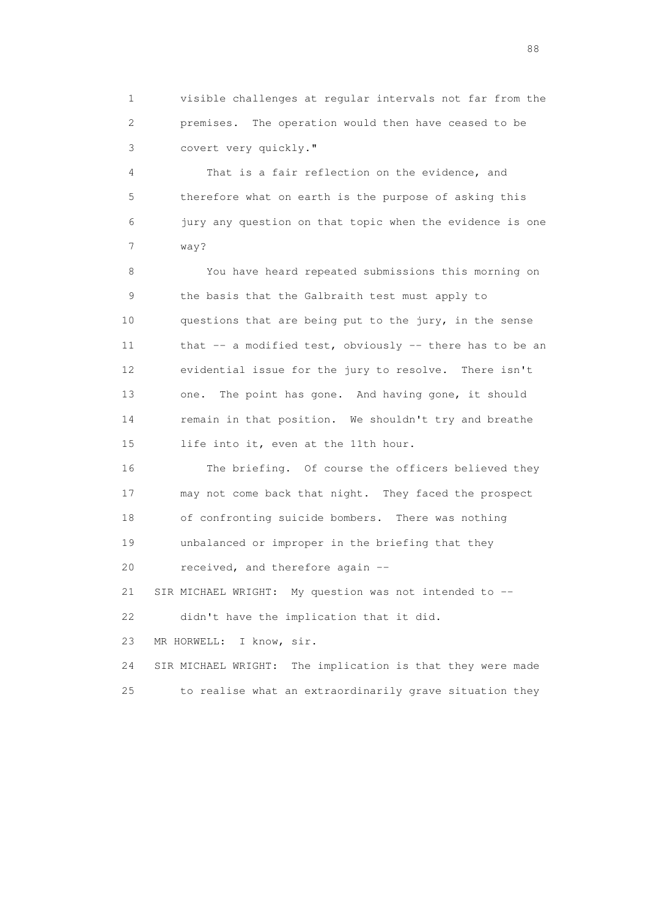1 visible challenges at regular intervals not far from the 2 premises. The operation would then have ceased to be 3 covert very quickly."

 4 That is a fair reflection on the evidence, and 5 therefore what on earth is the purpose of asking this 6 jury any question on that topic when the evidence is one 7 way?

 8 You have heard repeated submissions this morning on 9 the basis that the Galbraith test must apply to 10 questions that are being put to the jury, in the sense 11 that -- a modified test, obviously -- there has to be an 12 evidential issue for the jury to resolve. There isn't 13 one. The point has gone. And having gone, it should 14 remain in that position. We shouldn't try and breathe 15 life into it, even at the 11th hour.

 16 The briefing. Of course the officers believed they 17 may not come back that night. They faced the prospect 18 of confronting suicide bombers. There was nothing 19 unbalanced or improper in the briefing that they 20 received, and therefore again -- 21 SIR MICHAEL WRIGHT: My question was not intended to -- 22 didn't have the implication that it did.

23 MR HORWELL: I know, sir.

 24 SIR MICHAEL WRIGHT: The implication is that they were made 25 to realise what an extraordinarily grave situation they

en de la construction de la construction de la construction de la construction de la construction de la constr<br>1880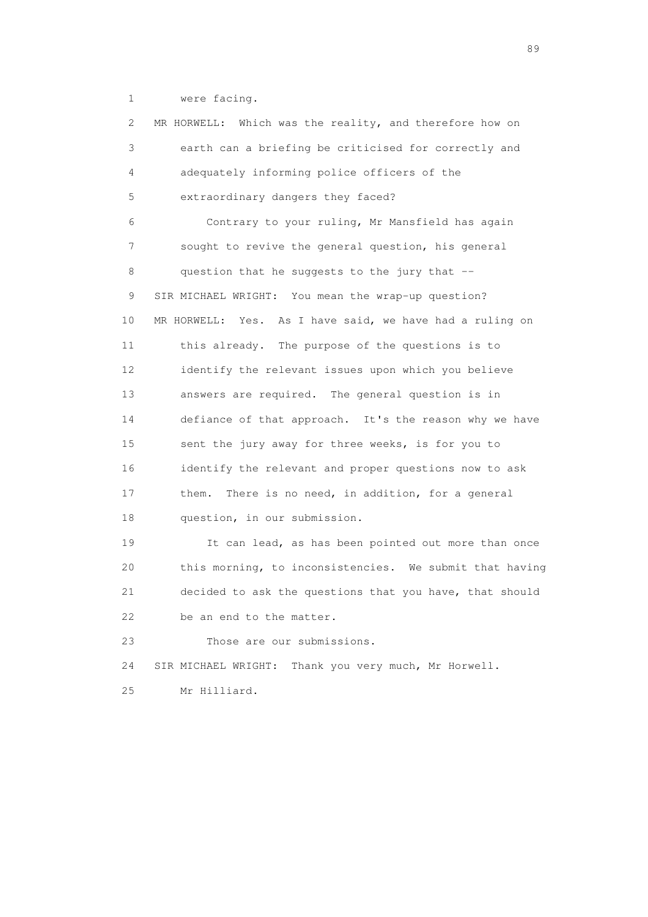1 were facing.

 2 MR HORWELL: Which was the reality, and therefore how on 3 earth can a briefing be criticised for correctly and 4 adequately informing police officers of the 5 extraordinary dangers they faced? 6 Contrary to your ruling, Mr Mansfield has again 7 sought to revive the general question, his general 8 question that he suggests to the jury that -- 9 SIR MICHAEL WRIGHT: You mean the wrap-up question? 10 MR HORWELL: Yes. As I have said, we have had a ruling on 11 this already. The purpose of the questions is to 12 identify the relevant issues upon which you believe 13 answers are required. The general question is in 14 defiance of that approach. It's the reason why we have 15 sent the jury away for three weeks, is for you to 16 identify the relevant and proper questions now to ask 17 them. There is no need, in addition, for a general 18 question, in our submission. 19 It can lead, as has been pointed out more than once 20 this morning, to inconsistencies. We submit that having 21 decided to ask the questions that you have, that should 22 be an end to the matter. 23 Those are our submissions. 24 SIR MICHAEL WRIGHT: Thank you very much, Mr Horwell. 25 Mr Hilliard.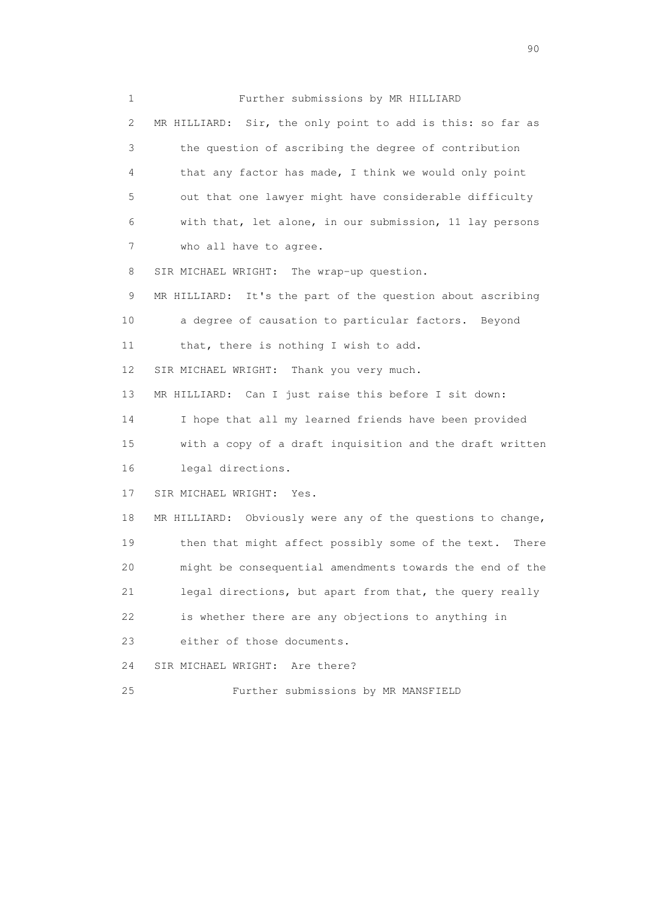1 Further submissions by MR HILLIARD 2 MR HILLIARD: Sir, the only point to add is this: so far as 3 the question of ascribing the degree of contribution 4 that any factor has made, I think we would only point 5 out that one lawyer might have considerable difficulty 6 with that, let alone, in our submission, 11 lay persons 7 who all have to agree. 8 SIR MICHAEL WRIGHT: The wrap-up question. 9 MR HILLIARD: It's the part of the question about ascribing 10 a degree of causation to particular factors. Beyond 11 that, there is nothing I wish to add. 12 SIR MICHAEL WRIGHT: Thank you very much. 13 MR HILLIARD: Can I just raise this before I sit down: 14 I hope that all my learned friends have been provided 15 with a copy of a draft inquisition and the draft written 16 legal directions. 17 SIR MICHAEL WRIGHT: Yes. 18 MR HILLIARD: Obviously were any of the questions to change, 19 then that might affect possibly some of the text. There 20 might be consequential amendments towards the end of the 21 legal directions, but apart from that, the query really 22 is whether there are any objections to anything in 23 either of those documents. 24 SIR MICHAEL WRIGHT: Are there? 25 Further submissions by MR MANSFIELD

entration of the contract of the contract of the contract of the contract of the contract of the contract of the contract of the contract of the contract of the contract of the contract of the contract of the contract of t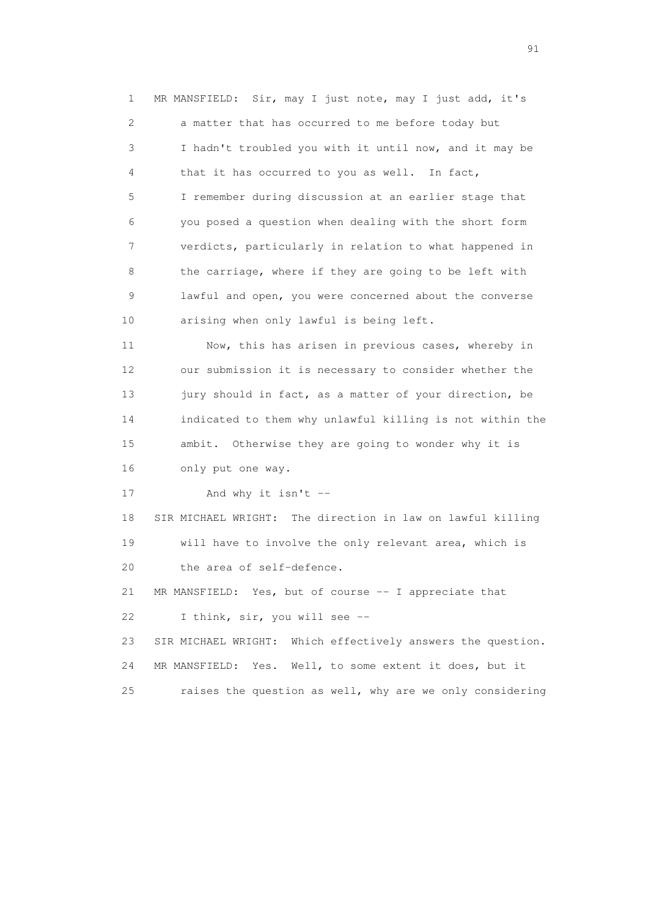1 MR MANSFIELD: Sir, may I just note, may I just add, it's 2 a matter that has occurred to me before today but 3 I hadn't troubled you with it until now, and it may be 4 that it has occurred to you as well. In fact, 5 I remember during discussion at an earlier stage that 6 you posed a question when dealing with the short form 7 verdicts, particularly in relation to what happened in 8 the carriage, where if they are going to be left with 9 lawful and open, you were concerned about the converse 10 arising when only lawful is being left. 11 Now, this has arisen in previous cases, whereby in

 12 our submission it is necessary to consider whether the 13 jury should in fact, as a matter of your direction, be 14 indicated to them why unlawful killing is not within the 15 ambit. Otherwise they are going to wonder why it is 16 only put one way.

17 And why it isn't --

 18 SIR MICHAEL WRIGHT: The direction in law on lawful killing 19 will have to involve the only relevant area, which is 20 the area of self-defence.

 21 MR MANSFIELD: Yes, but of course -- I appreciate that 22 I think, sir, you will see --

 23 SIR MICHAEL WRIGHT: Which effectively answers the question. 24 MR MANSFIELD: Yes. Well, to some extent it does, but it 25 raises the question as well, why are we only considering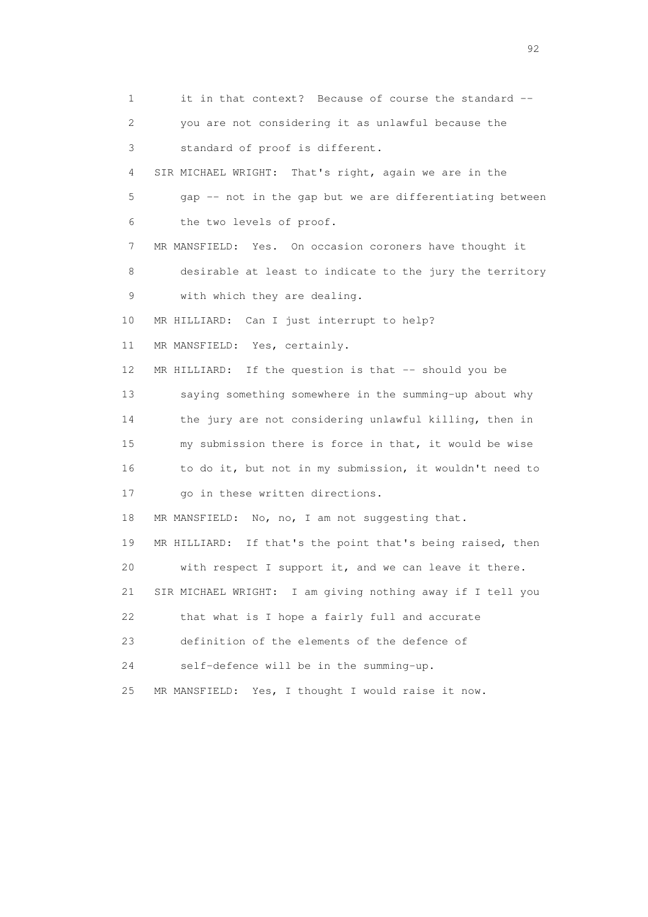1 it in that context? Because of course the standard -- 2 you are not considering it as unlawful because the 3 standard of proof is different. 4 SIR MICHAEL WRIGHT: That's right, again we are in the 5 gap -- not in the gap but we are differentiating between 6 the two levels of proof. 7 MR MANSFIELD: Yes. On occasion coroners have thought it 8 desirable at least to indicate to the jury the territory 9 with which they are dealing. 10 MR HILLIARD: Can I just interrupt to help? 11 MR MANSFIELD: Yes, certainly. 12 MR HILLIARD: If the question is that -- should you be 13 saying something somewhere in the summing-up about why 14 the jury are not considering unlawful killing, then in 15 my submission there is force in that, it would be wise 16 to do it, but not in my submission, it wouldn't need to 17 go in these written directions. 18 MR MANSFIELD: No, no, I am not suggesting that. 19 MR HILLIARD: If that's the point that's being raised, then 20 with respect I support it, and we can leave it there. 21 SIR MICHAEL WRIGHT: I am giving nothing away if I tell you 22 that what is I hope a fairly full and accurate 23 definition of the elements of the defence of 24 self-defence will be in the summing-up. 25 MR MANSFIELD: Yes, I thought I would raise it now.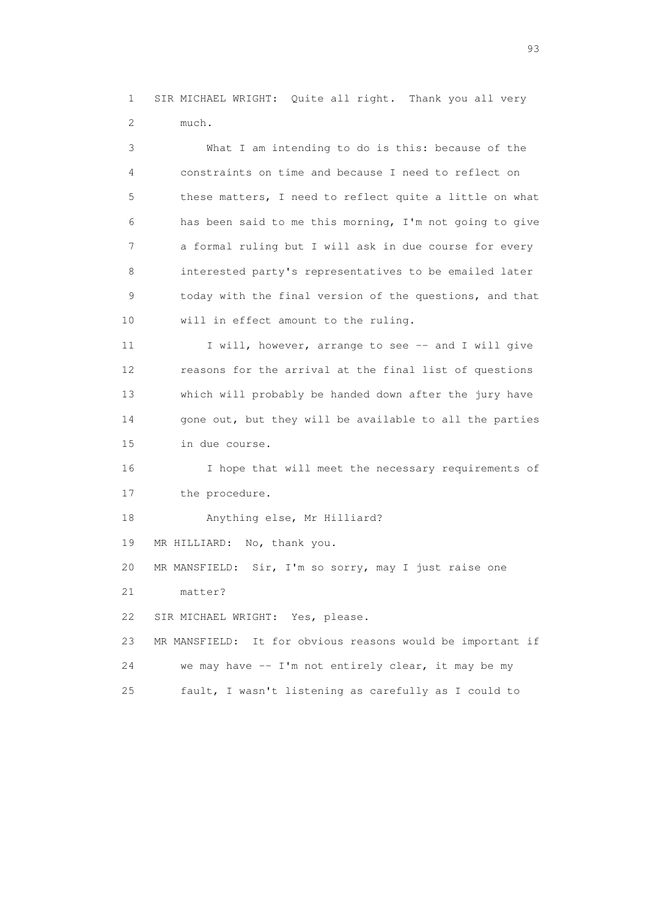1 SIR MICHAEL WRIGHT: Quite all right. Thank you all very 2 much.

 3 What I am intending to do is this: because of the 4 constraints on time and because I need to reflect on 5 these matters, I need to reflect quite a little on what 6 has been said to me this morning, I'm not going to give 7 a formal ruling but I will ask in due course for every 8 interested party's representatives to be emailed later 9 today with the final version of the questions, and that 10 will in effect amount to the ruling.

11 I will, however, arrange to see -- and I will give 12 reasons for the arrival at the final list of questions 13 which will probably be handed down after the jury have 14 gone out, but they will be available to all the parties 15 in due course.

 16 I hope that will meet the necessary requirements of 17 the procedure.

18 Anything else, Mr Hilliard?

19 MR HILLIARD: No, thank you.

20 MR MANSFIELD: Sir, I'm so sorry, may I just raise one

21 matter?

22 SIR MICHAEL WRIGHT: Yes, please.

 23 MR MANSFIELD: It for obvious reasons would be important if 24 we may have -- I'm not entirely clear, it may be my 25 fault, I wasn't listening as carefully as I could to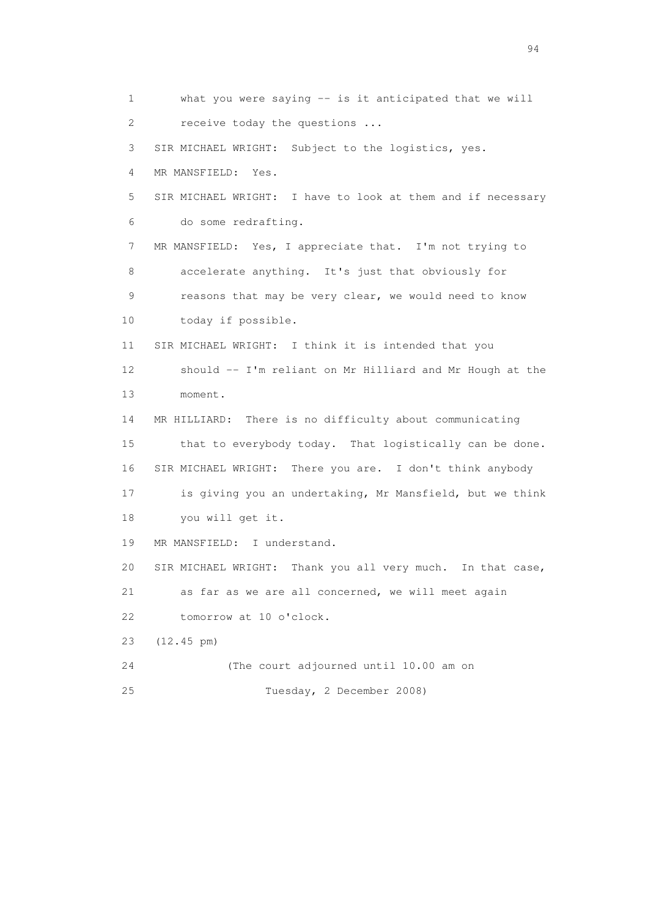1 what you were saying -- is it anticipated that we will 2 receive today the questions ... 3 SIR MICHAEL WRIGHT: Subject to the logistics, yes. 4 MR MANSFIELD: Yes. 5 SIR MICHAEL WRIGHT: I have to look at them and if necessary 6 do some redrafting. 7 MR MANSFIELD: Yes, I appreciate that. I'm not trying to 8 accelerate anything. It's just that obviously for 9 reasons that may be very clear, we would need to know 10 today if possible. 11 SIR MICHAEL WRIGHT: I think it is intended that you 12 should -- I'm reliant on Mr Hilliard and Mr Hough at the 13 moment. 14 MR HILLIARD: There is no difficulty about communicating 15 that to everybody today. That logistically can be done. 16 SIR MICHAEL WRIGHT: There you are. I don't think anybody 17 is giving you an undertaking, Mr Mansfield, but we think 18 you will get it. 19 MR MANSFIELD: I understand. 20 SIR MICHAEL WRIGHT: Thank you all very much. In that case, 21 as far as we are all concerned, we will meet again 22 tomorrow at 10 o'clock. 23 (12.45 pm) 24 (The court adjourned until 10.00 am on 25 Tuesday, 2 December 2008)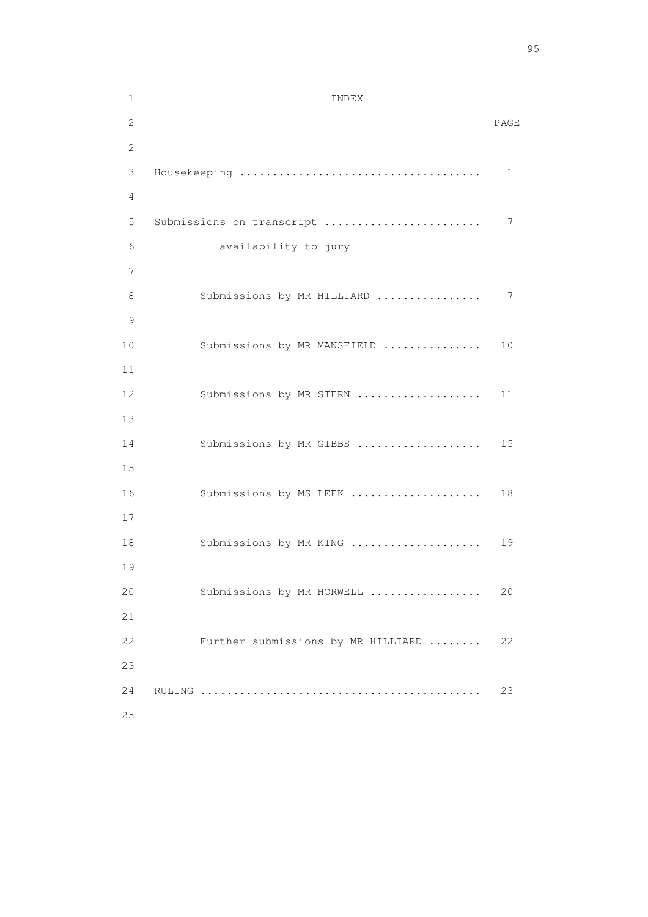| $\mathbf 1$ | INDEX                              |      |
|-------------|------------------------------------|------|
| 2           |                                    | PAGE |
| 2           |                                    |      |
| 3           |                                    | 1    |
| 4           |                                    |      |
| 5           | Submissions on transcript          | 7    |
| 6           | availability to jury               |      |
| 7           |                                    |      |
| 8           | Submissions by MR HILLIARD         | 7    |
| 9           |                                    |      |
| 10          | Submissions by MR MANSFIELD        | 10   |
| 11          |                                    |      |
| 12          | Submissions by MR STERN            | 11   |
| 13          |                                    |      |
| 14          | Submissions by MR GIBBS            | 15   |
| 15          |                                    |      |
| 16          | Submissions by MS LEEK             | 18   |
| 17          |                                    |      |
| 18          | Submissions by MR KING             | 19   |
| 19          |                                    |      |
| 20          | Submissions by MR HORWELL          | 20   |
| 21          |                                    |      |
| 22          | Further submissions by MR HILLIARD | 22   |
| 23          |                                    |      |
| 24          |                                    | 23   |
| 25          |                                    |      |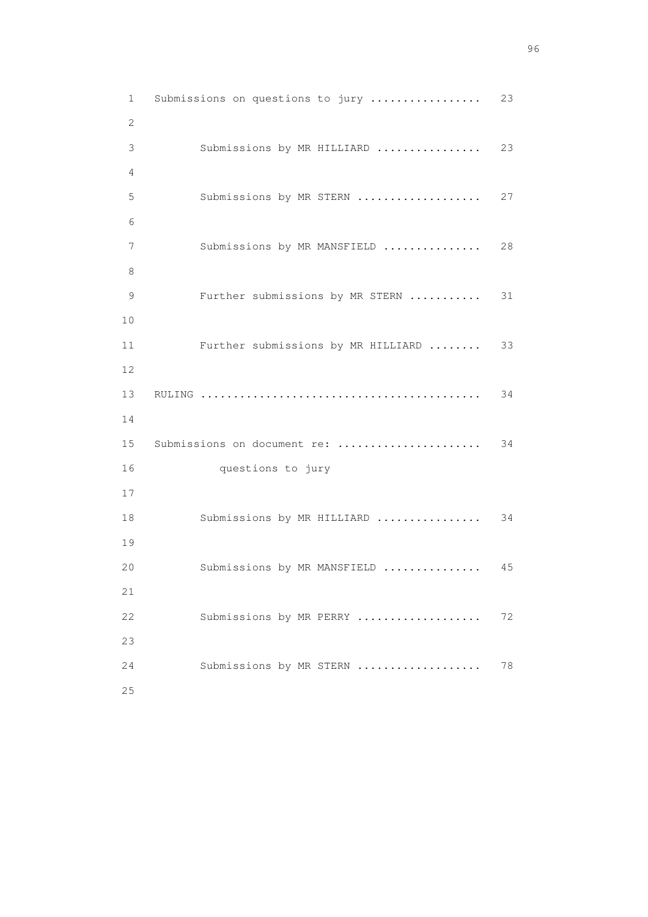1 Submissions on questions to jury ................... 23 2 3 Submissions by MR HILLIARD ................ 23 4 5 Submissions by MR STERN ..................... 27 6 7 Submissions by MR MANSFIELD ................ 28 8 9 Further submissions by MR STERN ........... 31 10 11 Further submissions by MR HILLIARD ........ 33 12 13 RULING ........................................... 34 14 15 Submissions on document re: ...................... 34 16 questions to jury 17 18 Submissions by MR HILLIARD ................... 34 19 20 Submissions by MR MANSFIELD ................ 45 21 22 Submissions by MR PERRY ................... 72 23 24 Submissions by MR STERN ...................... 78 25